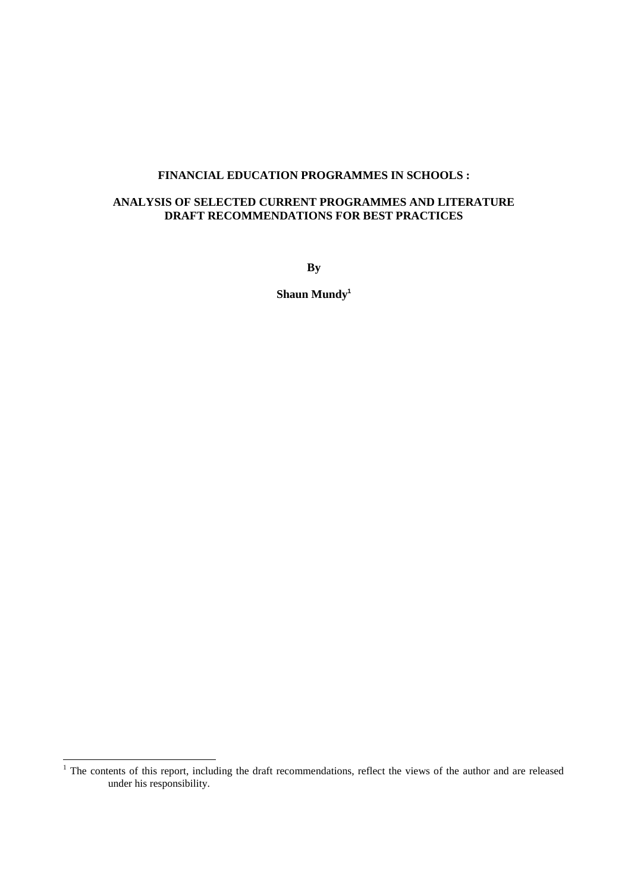## **FINANCIAL EDUCATION PROGRAMMES IN SCHOOLS :**

## **ANALYSIS OF SELECTED CURRENT PROGRAMMES AND LITERATURE DRAFT RECOMMENDATIONS FOR BEST PRACTICES**

**By**

**Shaun Mundy<sup>1</sup>**

l

 $1$  The contents of this report, including the draft recommendations, reflect the views of the author and are released under his responsibility.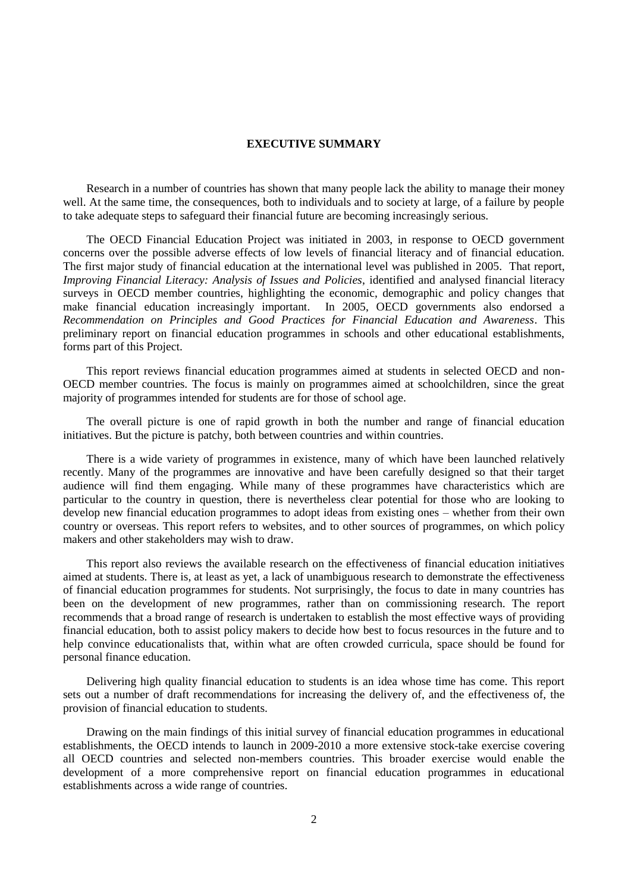### **EXECUTIVE SUMMARY**

Research in a number of countries has shown that many people lack the ability to manage their money well. At the same time, the consequences, both to individuals and to society at large, of a failure by people to take adequate steps to safeguard their financial future are becoming increasingly serious.

The OECD Financial Education Project was initiated in 2003, in response to OECD government concerns over the possible adverse effects of low levels of financial literacy and of financial education. The first major study of financial education at the international level was published in 2005. That report, *Improving Financial Literacy: Analysis of Issues and Policies*, identified and analysed financial literacy surveys in OECD member countries, highlighting the economic, demographic and policy changes that make financial education increasingly important. In 2005, OECD governments also endorsed a *Recommendation on Principles and Good Practices for Financial Education and Awareness*. This preliminary report on financial education programmes in schools and other educational establishments, forms part of this Project.

This report reviews financial education programmes aimed at students in selected OECD and non-OECD member countries. The focus is mainly on programmes aimed at schoolchildren, since the great majority of programmes intended for students are for those of school age.

The overall picture is one of rapid growth in both the number and range of financial education initiatives. But the picture is patchy, both between countries and within countries.

There is a wide variety of programmes in existence, many of which have been launched relatively recently. Many of the programmes are innovative and have been carefully designed so that their target audience will find them engaging. While many of these programmes have characteristics which are particular to the country in question, there is nevertheless clear potential for those who are looking to develop new financial education programmes to adopt ideas from existing ones – whether from their own country or overseas. This report refers to websites, and to other sources of programmes, on which policy makers and other stakeholders may wish to draw.

This report also reviews the available research on the effectiveness of financial education initiatives aimed at students. There is, at least as yet, a lack of unambiguous research to demonstrate the effectiveness of financial education programmes for students. Not surprisingly, the focus to date in many countries has been on the development of new programmes, rather than on commissioning research. The report recommends that a broad range of research is undertaken to establish the most effective ways of providing financial education, both to assist policy makers to decide how best to focus resources in the future and to help convince educationalists that, within what are often crowded curricula, space should be found for personal finance education.

Delivering high quality financial education to students is an idea whose time has come. This report sets out a number of draft recommendations for increasing the delivery of, and the effectiveness of, the provision of financial education to students.

Drawing on the main findings of this initial survey of financial education programmes in educational establishments, the OECD intends to launch in 2009-2010 a more extensive stock-take exercise covering all OECD countries and selected non-members countries. This broader exercise would enable the development of a more comprehensive report on financial education programmes in educational establishments across a wide range of countries.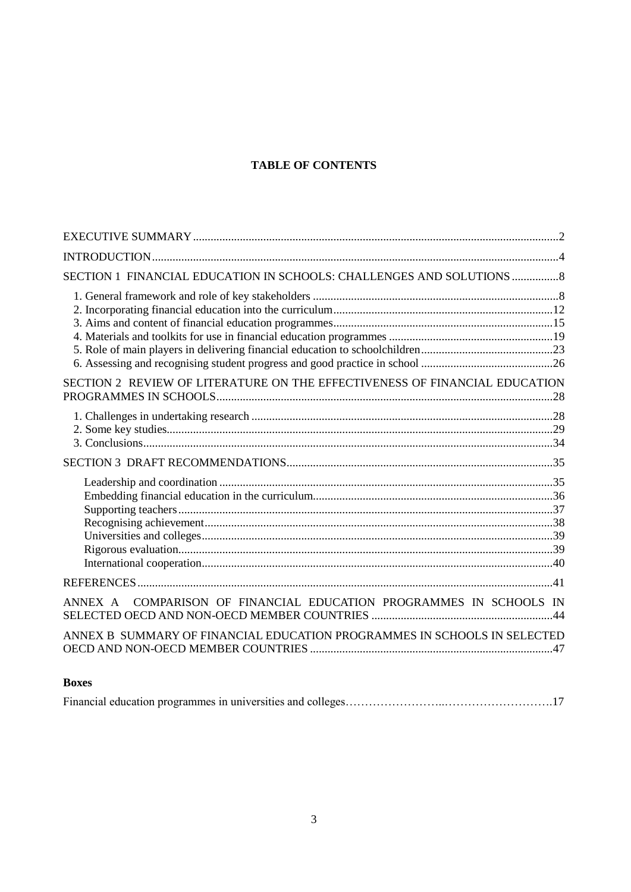# **TABLE OF CONTENTS**

| SECTION 1 FINANCIAL EDUCATION IN SCHOOLS: CHALLENGES AND SOLUTIONS  8      |  |
|----------------------------------------------------------------------------|--|
|                                                                            |  |
| SECTION 2 REVIEW OF LITERATURE ON THE EFFECTIVENESS OF FINANCIAL EDUCATION |  |
|                                                                            |  |
|                                                                            |  |
|                                                                            |  |
|                                                                            |  |
| COMPARISON OF FINANCIAL EDUCATION PROGRAMMES IN SCHOOLS IN<br>ANNEX A      |  |
| ANNEX B SUMMARY OF FINANCIAL EDUCATION PROGRAMMES IN SCHOOLS IN SELECTED   |  |

## **Boxes**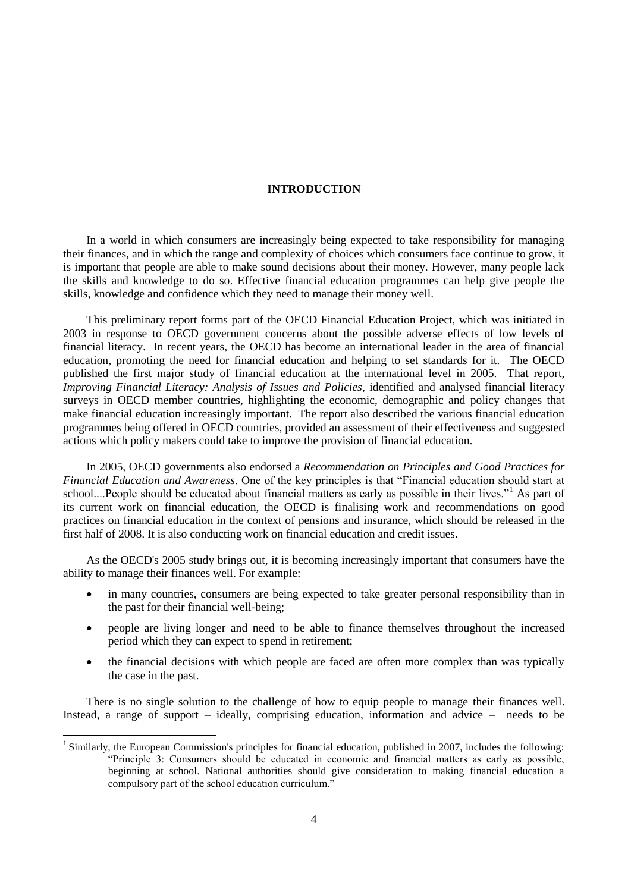### **INTRODUCTION**

In a world in which consumers are increasingly being expected to take responsibility for managing their finances, and in which the range and complexity of choices which consumers face continue to grow, it is important that people are able to make sound decisions about their money. However, many people lack the skills and knowledge to do so. Effective financial education programmes can help give people the skills, knowledge and confidence which they need to manage their money well.

This preliminary report forms part of the OECD Financial Education Project, which was initiated in 2003 in response to OECD government concerns about the possible adverse effects of low levels of financial literacy. In recent years, the OECD has become an international leader in the area of financial education, promoting the need for financial education and helping to set standards for it. The OECD published the first major study of financial education at the international level in 2005. That report, *Improving Financial Literacy: Analysis of Issues and Policies*, identified and analysed financial literacy surveys in OECD member countries, highlighting the economic, demographic and policy changes that make financial education increasingly important. The report also described the various financial education programmes being offered in OECD countries, provided an assessment of their effectiveness and suggested actions which policy makers could take to improve the provision of financial education.

In 2005, OECD governments also endorsed a *Recommendation on Principles and Good Practices for Financial Education and Awareness*. One of the key principles is that "Financial education should start at school....People should be educated about financial matters as early as possible in their lives."<sup>1</sup> As part of its current work on financial education, the OECD is finalising work and recommendations on good practices on financial education in the context of pensions and insurance, which should be released in the first half of 2008. It is also conducting work on financial education and credit issues.

As the OECD's 2005 study brings out, it is becoming increasingly important that consumers have the ability to manage their finances well. For example:

- in many countries, consumers are being expected to take greater personal responsibility than in the past for their financial well-being;
- people are living longer and need to be able to finance themselves throughout the increased period which they can expect to spend in retirement;
- the financial decisions with which people are faced are often more complex than was typically the case in the past.

There is no single solution to the challenge of how to equip people to manage their finances well. Instead, a range of support – ideally, comprising education, information and advice – needs to be

<sup>&</sup>lt;sup>1</sup> Similarly, the European Commission's principles for financial education, published in 2007, includes the following: "Principle 3: Consumers should be educated in economic and financial matters as early as possible, beginning at school. National authorities should give consideration to making financial education a compulsory part of the school education curriculum."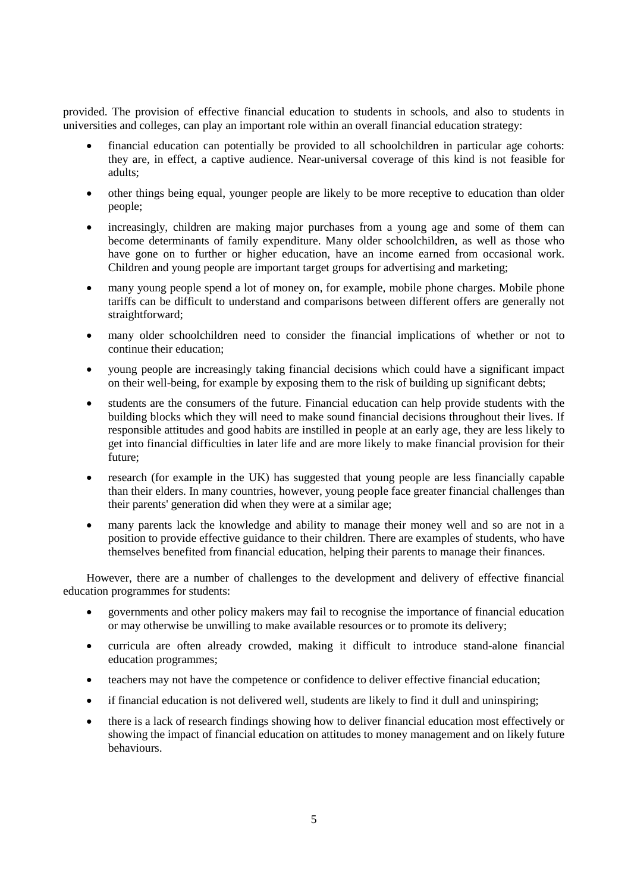provided. The provision of effective financial education to students in schools, and also to students in universities and colleges, can play an important role within an overall financial education strategy:

- financial education can potentially be provided to all schoolchildren in particular age cohorts: they are, in effect, a captive audience. Near-universal coverage of this kind is not feasible for adults;
- other things being equal, younger people are likely to be more receptive to education than older people;
- increasingly, children are making major purchases from a young age and some of them can become determinants of family expenditure. Many older schoolchildren, as well as those who have gone on to further or higher education, have an income earned from occasional work. Children and young people are important target groups for advertising and marketing;
- many young people spend a lot of money on, for example, mobile phone charges. Mobile phone tariffs can be difficult to understand and comparisons between different offers are generally not straightforward;
- many older schoolchildren need to consider the financial implications of whether or not to continue their education;
- young people are increasingly taking financial decisions which could have a significant impact on their well-being, for example by exposing them to the risk of building up significant debts;
- students are the consumers of the future. Financial education can help provide students with the building blocks which they will need to make sound financial decisions throughout their lives. If responsible attitudes and good habits are instilled in people at an early age, they are less likely to get into financial difficulties in later life and are more likely to make financial provision for their future;
- research (for example in the UK) has suggested that young people are less financially capable than their elders. In many countries, however, young people face greater financial challenges than their parents' generation did when they were at a similar age;
- many parents lack the knowledge and ability to manage their money well and so are not in a position to provide effective guidance to their children. There are examples of students, who have themselves benefited from financial education, helping their parents to manage their finances.

However, there are a number of challenges to the development and delivery of effective financial education programmes for students:

- governments and other policy makers may fail to recognise the importance of financial education or may otherwise be unwilling to make available resources or to promote its delivery;
- curricula are often already crowded, making it difficult to introduce stand-alone financial education programmes;
- teachers may not have the competence or confidence to deliver effective financial education;
- if financial education is not delivered well, students are likely to find it dull and uninspiring;
- there is a lack of research findings showing how to deliver financial education most effectively or showing the impact of financial education on attitudes to money management and on likely future behaviours.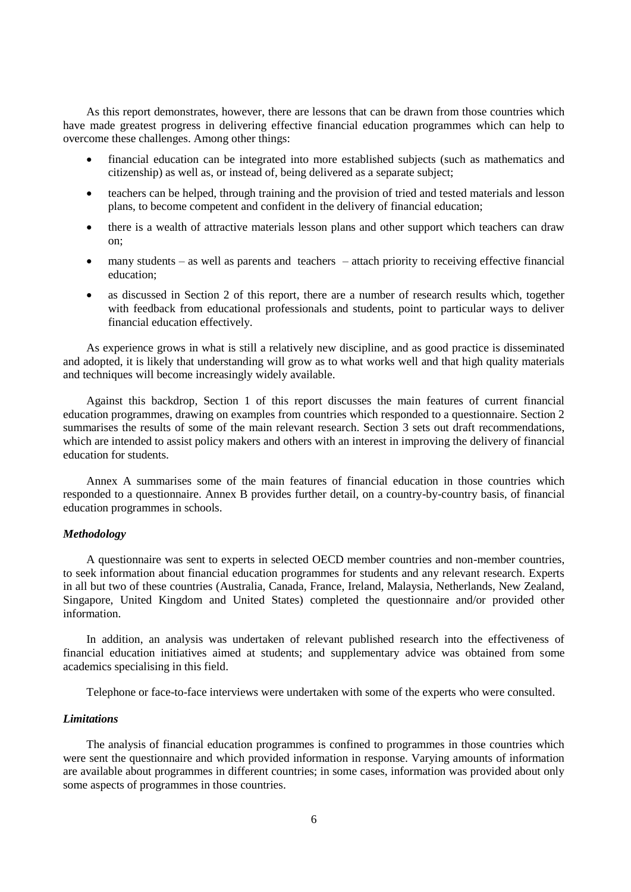As this report demonstrates, however, there are lessons that can be drawn from those countries which have made greatest progress in delivering effective financial education programmes which can help to overcome these challenges. Among other things:

- financial education can be integrated into more established subjects (such as mathematics and citizenship) as well as, or instead of, being delivered as a separate subject;
- teachers can be helped, through training and the provision of tried and tested materials and lesson plans, to become competent and confident in the delivery of financial education;
- there is a wealth of attractive materials lesson plans and other support which teachers can draw on;
- many students as well as parents and teachers attach priority to receiving effective financial education;
- as discussed in Section 2 of this report, there are a number of research results which, together with feedback from educational professionals and students, point to particular ways to deliver financial education effectively.

As experience grows in what is still a relatively new discipline, and as good practice is disseminated and adopted, it is likely that understanding will grow as to what works well and that high quality materials and techniques will become increasingly widely available.

Against this backdrop, Section 1 of this report discusses the main features of current financial education programmes, drawing on examples from countries which responded to a questionnaire. Section 2 summarises the results of some of the main relevant research. Section 3 sets out draft recommendations, which are intended to assist policy makers and others with an interest in improving the delivery of financial education for students.

Annex A summarises some of the main features of financial education in those countries which responded to a questionnaire. Annex B provides further detail, on a country-by-country basis, of financial education programmes in schools.

## *Methodology*

A questionnaire was sent to experts in selected OECD member countries and non-member countries, to seek information about financial education programmes for students and any relevant research. Experts in all but two of these countries (Australia, Canada, France, Ireland, Malaysia, Netherlands, New Zealand, Singapore, United Kingdom and United States) completed the questionnaire and/or provided other information.

In addition, an analysis was undertaken of relevant published research into the effectiveness of financial education initiatives aimed at students; and supplementary advice was obtained from some academics specialising in this field.

Telephone or face-to-face interviews were undertaken with some of the experts who were consulted.

### *Limitations*

The analysis of financial education programmes is confined to programmes in those countries which were sent the questionnaire and which provided information in response. Varying amounts of information are available about programmes in different countries; in some cases, information was provided about only some aspects of programmes in those countries.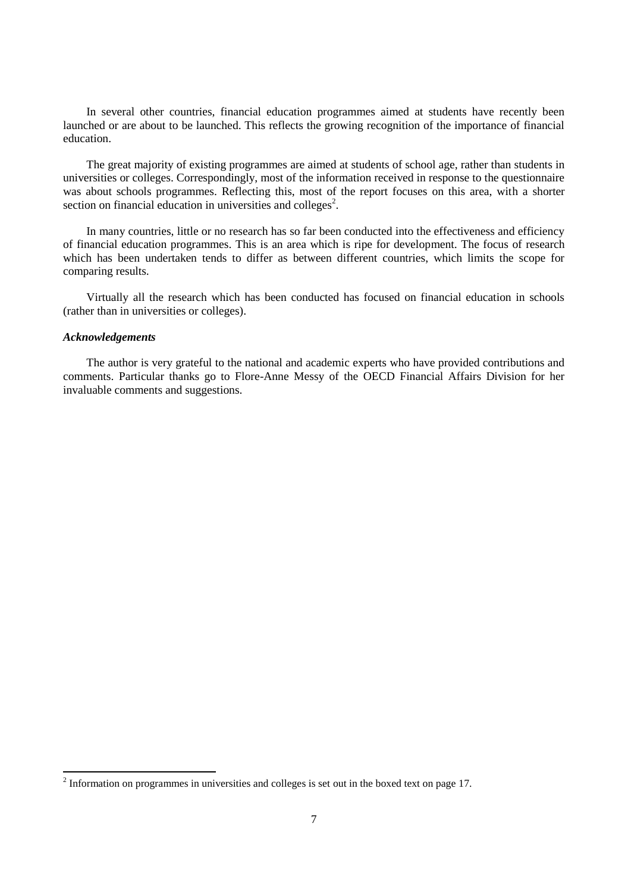In several other countries, financial education programmes aimed at students have recently been launched or are about to be launched. This reflects the growing recognition of the importance of financial education.

The great majority of existing programmes are aimed at students of school age, rather than students in universities or colleges. Correspondingly, most of the information received in response to the questionnaire was about schools programmes. Reflecting this, most of the report focuses on this area, with a shorter section on financial education in universities and colleges<sup>2</sup>.

In many countries, little or no research has so far been conducted into the effectiveness and efficiency of financial education programmes. This is an area which is ripe for development. The focus of research which has been undertaken tends to differ as between different countries, which limits the scope for comparing results.

Virtually all the research which has been conducted has focused on financial education in schools (rather than in universities or colleges).

### *Acknowledgements*

 $\overline{a}$ 

The author is very grateful to the national and academic experts who have provided contributions and comments. Particular thanks go to Flore-Anne Messy of the OECD Financial Affairs Division for her invaluable comments and suggestions.

 $2<sup>2</sup>$  Information on programmes in universities and colleges is set out in the boxed text on page 17.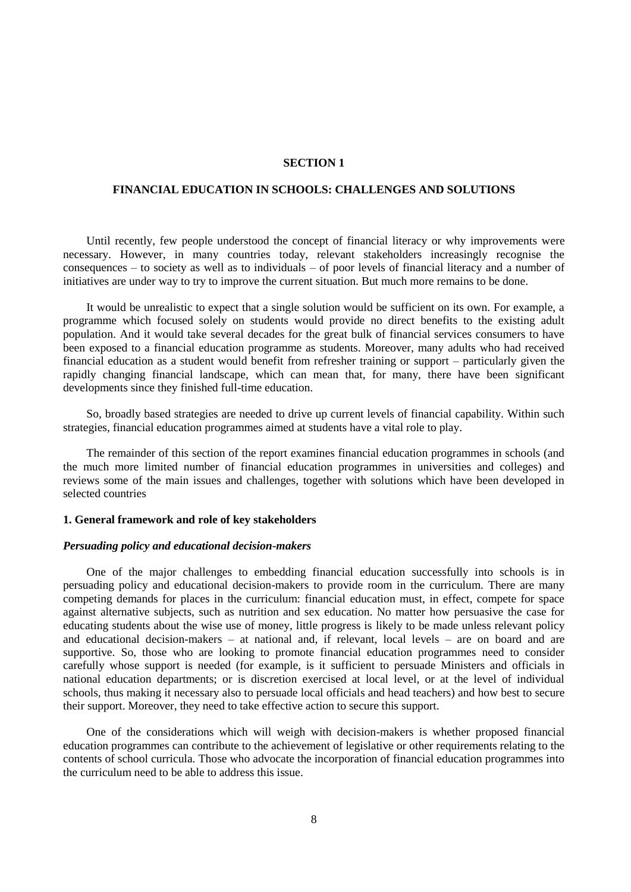#### **SECTION 1**

#### **FINANCIAL EDUCATION IN SCHOOLS: CHALLENGES AND SOLUTIONS**

Until recently, few people understood the concept of financial literacy or why improvements were necessary. However, in many countries today, relevant stakeholders increasingly recognise the consequences – to society as well as to individuals – of poor levels of financial literacy and a number of initiatives are under way to try to improve the current situation. But much more remains to be done.

It would be unrealistic to expect that a single solution would be sufficient on its own. For example, a programme which focused solely on students would provide no direct benefits to the existing adult population. And it would take several decades for the great bulk of financial services consumers to have been exposed to a financial education programme as students. Moreover, many adults who had received financial education as a student would benefit from refresher training or support – particularly given the rapidly changing financial landscape, which can mean that, for many, there have been significant developments since they finished full-time education.

So, broadly based strategies are needed to drive up current levels of financial capability. Within such strategies, financial education programmes aimed at students have a vital role to play.

The remainder of this section of the report examines financial education programmes in schools (and the much more limited number of financial education programmes in universities and colleges) and reviews some of the main issues and challenges, together with solutions which have been developed in selected countries

#### **1. General framework and role of key stakeholders**

### *Persuading policy and educational decision-makers*

One of the major challenges to embedding financial education successfully into schools is in persuading policy and educational decision-makers to provide room in the curriculum. There are many competing demands for places in the curriculum: financial education must, in effect, compete for space against alternative subjects, such as nutrition and sex education. No matter how persuasive the case for educating students about the wise use of money, little progress is likely to be made unless relevant policy and educational decision-makers – at national and, if relevant, local levels – are on board and are supportive. So, those who are looking to promote financial education programmes need to consider carefully whose support is needed (for example, is it sufficient to persuade Ministers and officials in national education departments; or is discretion exercised at local level, or at the level of individual schools, thus making it necessary also to persuade local officials and head teachers) and how best to secure their support. Moreover, they need to take effective action to secure this support.

One of the considerations which will weigh with decision-makers is whether proposed financial education programmes can contribute to the achievement of legislative or other requirements relating to the contents of school curricula. Those who advocate the incorporation of financial education programmes into the curriculum need to be able to address this issue.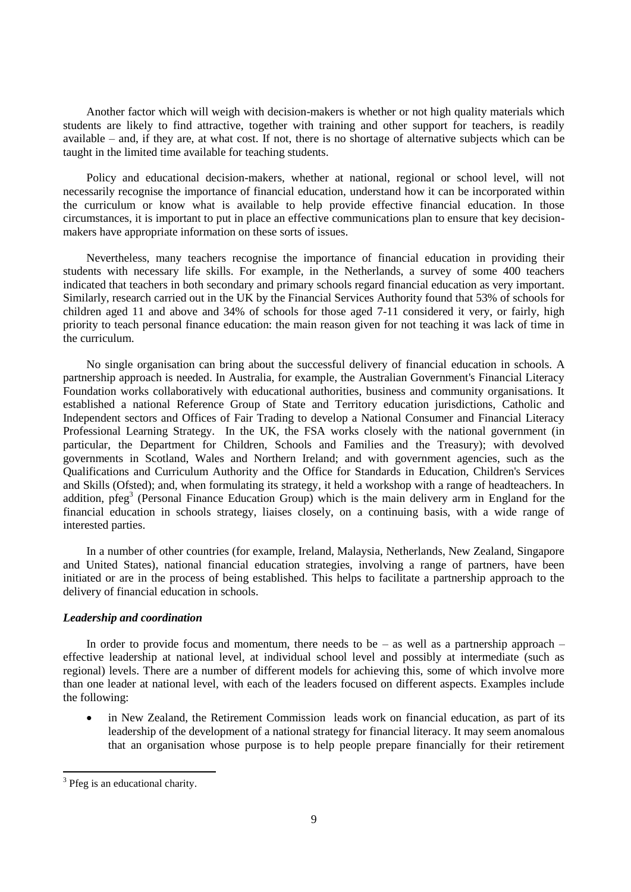Another factor which will weigh with decision-makers is whether or not high quality materials which students are likely to find attractive, together with training and other support for teachers, is readily available – and, if they are, at what cost. If not, there is no shortage of alternative subjects which can be taught in the limited time available for teaching students.

Policy and educational decision-makers, whether at national, regional or school level, will not necessarily recognise the importance of financial education, understand how it can be incorporated within the curriculum or know what is available to help provide effective financial education. In those circumstances, it is important to put in place an effective communications plan to ensure that key decisionmakers have appropriate information on these sorts of issues.

Nevertheless, many teachers recognise the importance of financial education in providing their students with necessary life skills. For example, in the Netherlands, a survey of some 400 teachers indicated that teachers in both secondary and primary schools regard financial education as very important. Similarly, research carried out in the UK by the Financial Services Authority found that 53% of schools for children aged 11 and above and 34% of schools for those aged 7-11 considered it very, or fairly, high priority to teach personal finance education: the main reason given for not teaching it was lack of time in the curriculum.

No single organisation can bring about the successful delivery of financial education in schools. A partnership approach is needed. In Australia, for example, the Australian Government's Financial Literacy Foundation works collaboratively with educational authorities, business and community organisations. It established a national Reference Group of State and Territory education jurisdictions, Catholic and Independent sectors and Offices of Fair Trading to develop a National Consumer and Financial Literacy Professional Learning Strategy. In the UK, the FSA works closely with the national government (in particular, the Department for Children, Schools and Families and the Treasury); with devolved governments in Scotland, Wales and Northern Ireland; and with government agencies, such as the Qualifications and Curriculum Authority and the Office for Standards in Education, Children's Services and Skills (Ofsted); and, when formulating its strategy, it held a workshop with a range of headteachers. In addition, pfeg<sup>3</sup> (Personal Finance Education Group) which is the main delivery arm in England for the financial education in schools strategy, liaises closely, on a continuing basis, with a wide range of interested parties.

In a number of other countries (for example, Ireland, Malaysia, Netherlands, New Zealand, Singapore and United States), national financial education strategies, involving a range of partners, have been initiated or are in the process of being established. This helps to facilitate a partnership approach to the delivery of financial education in schools.

## *Leadership and coordination*

In order to provide focus and momentum, there needs to be – as well as a partnership approach – effective leadership at national level, at individual school level and possibly at intermediate (such as regional) levels. There are a number of different models for achieving this, some of which involve more than one leader at national level, with each of the leaders focused on different aspects. Examples include the following:

 in New Zealand, the Retirement Commission leads work on financial education, as part of its leadership of the development of a national strategy for financial literacy. It may seem anomalous that an organisation whose purpose is to help people prepare financially for their retirement

<sup>&</sup>lt;sup>3</sup> Pfeg is an educational charity.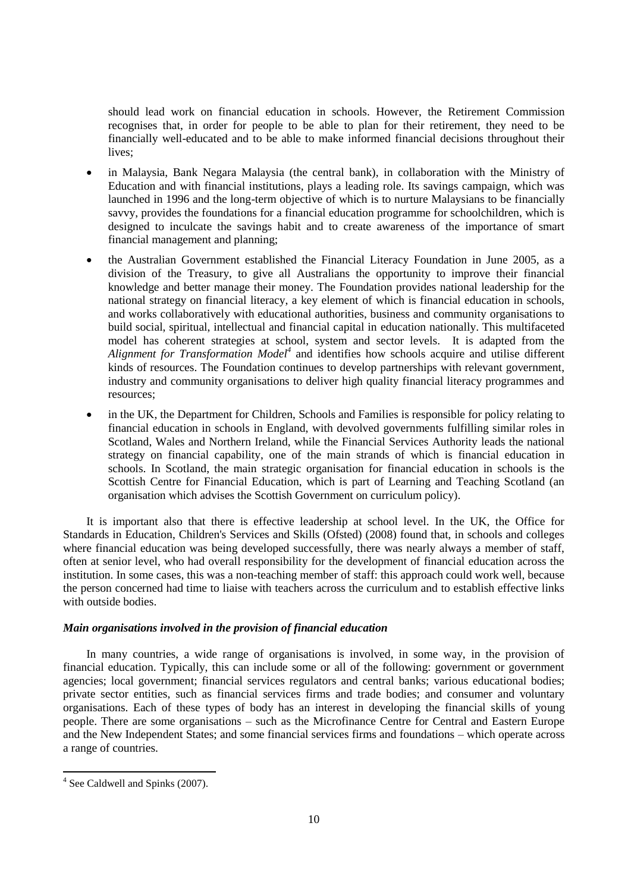should lead work on financial education in schools. However, the Retirement Commission recognises that, in order for people to be able to plan for their retirement, they need to be financially well-educated and to be able to make informed financial decisions throughout their lives;

- in Malaysia, Bank Negara Malaysia (the central bank), in collaboration with the Ministry of Education and with financial institutions, plays a leading role. Its savings campaign, which was launched in 1996 and the long-term objective of which is to nurture Malaysians to be financially savvy, provides the foundations for a financial education programme for schoolchildren, which is designed to inculcate the savings habit and to create awareness of the importance of smart financial management and planning;
- the Australian Government established the Financial Literacy Foundation in June 2005, as a division of the Treasury, to give all Australians the opportunity to improve their financial knowledge and better manage their money. The Foundation provides national leadership for the national strategy on financial literacy, a key element of which is financial education in schools, and works collaboratively with educational authorities, business and community organisations to build social, spiritual, intellectual and financial capital in education nationally. This multifaceted model has coherent strategies at school, system and sector levels. It is adapted from the *Alignment for Transformation Model<sup>4</sup>* and identifies how schools acquire and utilise different kinds of resources. The Foundation continues to develop partnerships with relevant government, industry and community organisations to deliver high quality financial literacy programmes and resources;
- in the UK, the Department for Children, Schools and Families is responsible for policy relating to financial education in schools in England, with devolved governments fulfilling similar roles in Scotland, Wales and Northern Ireland, while the Financial Services Authority leads the national strategy on financial capability, one of the main strands of which is financial education in schools. In Scotland, the main strategic organisation for financial education in schools is the Scottish Centre for Financial Education, which is part of Learning and Teaching Scotland (an organisation which advises the Scottish Government on curriculum policy).

It is important also that there is effective leadership at school level. In the UK, the Office for Standards in Education, Children's Services and Skills (Ofsted) (2008) found that, in schools and colleges where financial education was being developed successfully, there was nearly always a member of staff, often at senior level, who had overall responsibility for the development of financial education across the institution. In some cases, this was a non-teaching member of staff: this approach could work well, because the person concerned had time to liaise with teachers across the curriculum and to establish effective links with outside bodies.

## *Main organisations involved in the provision of financial education*

In many countries, a wide range of organisations is involved, in some way, in the provision of financial education. Typically, this can include some or all of the following: government or government agencies; local government; financial services regulators and central banks; various educational bodies; private sector entities, such as financial services firms and trade bodies; and consumer and voluntary organisations. Each of these types of body has an interest in developing the financial skills of young people. There are some organisations – such as the Microfinance Centre for Central and Eastern Europe and the New Independent States; and some financial services firms and foundations – which operate across a range of countries.

<sup>&</sup>lt;sup>4</sup> See Caldwell and Spinks (2007).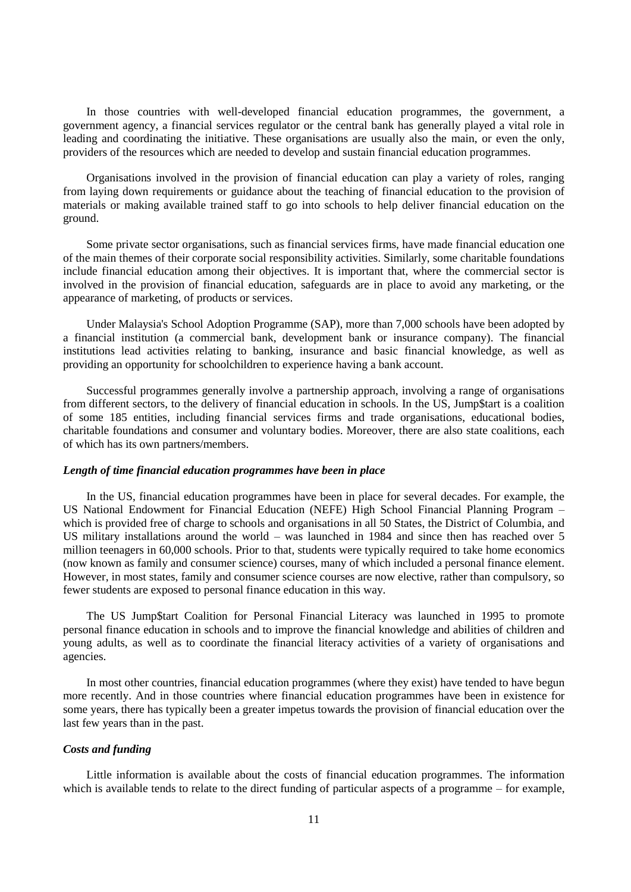In those countries with well-developed financial education programmes, the government, a government agency, a financial services regulator or the central bank has generally played a vital role in leading and coordinating the initiative. These organisations are usually also the main, or even the only, providers of the resources which are needed to develop and sustain financial education programmes.

Organisations involved in the provision of financial education can play a variety of roles, ranging from laying down requirements or guidance about the teaching of financial education to the provision of materials or making available trained staff to go into schools to help deliver financial education on the ground.

Some private sector organisations, such as financial services firms, have made financial education one of the main themes of their corporate social responsibility activities. Similarly, some charitable foundations include financial education among their objectives. It is important that, where the commercial sector is involved in the provision of financial education, safeguards are in place to avoid any marketing, or the appearance of marketing, of products or services.

Under Malaysia's School Adoption Programme (SAP), more than 7,000 schools have been adopted by a financial institution (a commercial bank, development bank or insurance company). The financial institutions lead activities relating to banking, insurance and basic financial knowledge, as well as providing an opportunity for schoolchildren to experience having a bank account.

Successful programmes generally involve a partnership approach, involving a range of organisations from different sectors, to the delivery of financial education in schools. In the US, Jump\$tart is a coalition of some 185 entities, including financial services firms and trade organisations, educational bodies, charitable foundations and consumer and voluntary bodies. Moreover, there are also state coalitions, each of which has its own partners/members.

## *Length of time financial education programmes have been in place*

In the US, financial education programmes have been in place for several decades. For example, the US National Endowment for Financial Education (NEFE) High School Financial Planning Program – which is provided free of charge to schools and organisations in all 50 States, the District of Columbia, and US military installations around the world – was launched in 1984 and since then has reached over 5 million teenagers in 60,000 schools. Prior to that, students were typically required to take home economics (now known as family and consumer science) courses, many of which included a personal finance element. However, in most states, family and consumer science courses are now elective, rather than compulsory, so fewer students are exposed to personal finance education in this way.

The US Jump\$tart Coalition for Personal Financial Literacy was launched in 1995 to promote personal finance education in schools and to improve the financial knowledge and abilities of children and young adults, as well as to coordinate the financial literacy activities of a variety of organisations and agencies.

In most other countries, financial education programmes (where they exist) have tended to have begun more recently. And in those countries where financial education programmes have been in existence for some years, there has typically been a greater impetus towards the provision of financial education over the last few years than in the past.

### *Costs and funding*

Little information is available about the costs of financial education programmes. The information which is available tends to relate to the direct funding of particular aspects of a programme – for example,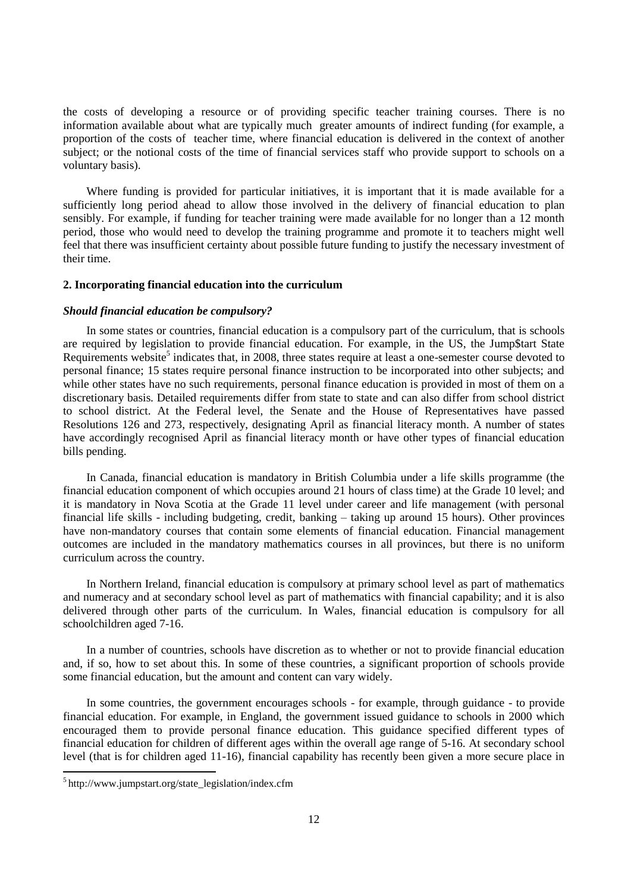the costs of developing a resource or of providing specific teacher training courses. There is no information available about what are typically much greater amounts of indirect funding (for example, a proportion of the costs of teacher time, where financial education is delivered in the context of another subject; or the notional costs of the time of financial services staff who provide support to schools on a voluntary basis).

Where funding is provided for particular initiatives, it is important that it is made available for a sufficiently long period ahead to allow those involved in the delivery of financial education to plan sensibly. For example, if funding for teacher training were made available for no longer than a 12 month period, those who would need to develop the training programme and promote it to teachers might well feel that there was insufficient certainty about possible future funding to justify the necessary investment of their time.

### **2. Incorporating financial education into the curriculum**

### *Should financial education be compulsory?*

In some states or countries, financial education is a compulsory part of the curriculum, that is schools are required by legislation to provide financial education. For example, in the US, the Jump\$tart State Requirements website<sup>5</sup> indicates that, in 2008, three states require at least a one-semester course devoted to personal finance; 15 states require personal finance instruction to be incorporated into other subjects; and while other states have no such requirements, personal finance education is provided in most of them on a discretionary basis. Detailed requirements differ from state to state and can also differ from school district to school district. At the Federal level, the Senate and the House of Representatives have passed Resolutions 126 and 273, respectively, designating April as financial literacy month. A number of states have accordingly recognised April as financial literacy month or have other types of financial education bills pending.

In Canada, financial education is mandatory in British Columbia under a life skills programme (the financial education component of which occupies around 21 hours of class time) at the Grade 10 level; and it is mandatory in Nova Scotia at the Grade 11 level under career and life management (with personal financial life skills - including budgeting, credit, banking – taking up around 15 hours). Other provinces have non-mandatory courses that contain some elements of financial education. Financial management outcomes are included in the mandatory mathematics courses in all provinces, but there is no uniform curriculum across the country.

In Northern Ireland, financial education is compulsory at primary school level as part of mathematics and numeracy and at secondary school level as part of mathematics with financial capability; and it is also delivered through other parts of the curriculum. In Wales, financial education is compulsory for all schoolchildren aged 7-16.

In a number of countries, schools have discretion as to whether or not to provide financial education and, if so, how to set about this. In some of these countries, a significant proportion of schools provide some financial education, but the amount and content can vary widely.

In some countries, the government encourages schools - for example, through guidance - to provide financial education. For example, in England, the government issued guidance to schools in 2000 which encouraged them to provide personal finance education. This guidance specified different types of financial education for children of different ages within the overall age range of 5-16. At secondary school level (that is for children aged 11-16), financial capability has recently been given a more secure place in

<sup>&</sup>lt;sup>5</sup>http://www.jumpstart.org/state\_legislation/index.cfm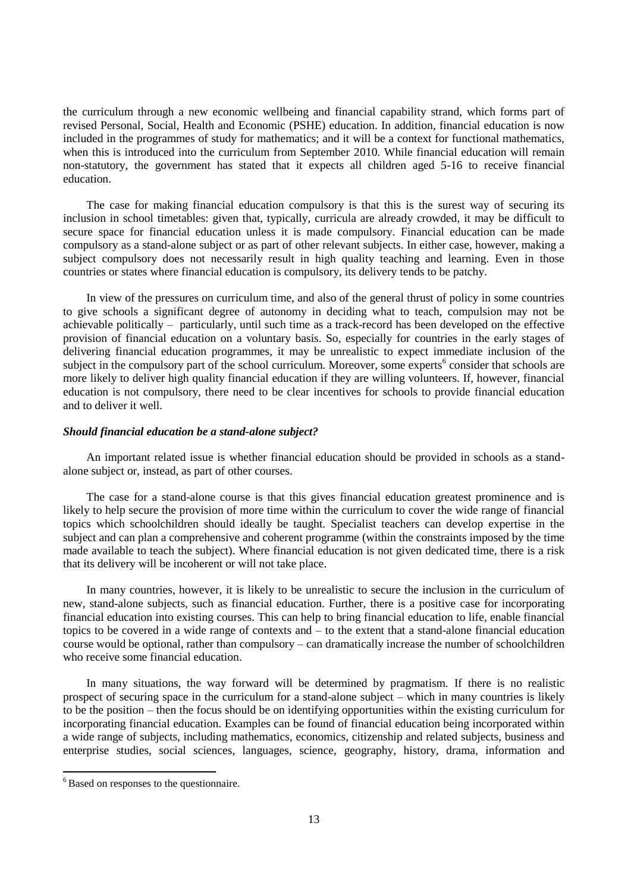the curriculum through a new economic wellbeing and financial capability strand, which forms part of revised Personal, Social, Health and Economic (PSHE) education. In addition, financial education is now included in the programmes of study for mathematics; and it will be a context for functional mathematics, when this is introduced into the curriculum from September 2010. While financial education will remain non-statutory, the government has stated that it expects all children aged 5-16 to receive financial education.

The case for making financial education compulsory is that this is the surest way of securing its inclusion in school timetables: given that, typically, curricula are already crowded, it may be difficult to secure space for financial education unless it is made compulsory. Financial education can be made compulsory as a stand-alone subject or as part of other relevant subjects. In either case, however, making a subject compulsory does not necessarily result in high quality teaching and learning. Even in those countries or states where financial education is compulsory, its delivery tends to be patchy.

In view of the pressures on curriculum time, and also of the general thrust of policy in some countries to give schools a significant degree of autonomy in deciding what to teach, compulsion may not be achievable politically – particularly, until such time as a track-record has been developed on the effective provision of financial education on a voluntary basis. So, especially for countries in the early stages of delivering financial education programmes, it may be unrealistic to expect immediate inclusion of the subject in the compulsory part of the school curriculum. Moreover, some experts<sup>6</sup> consider that schools are more likely to deliver high quality financial education if they are willing volunteers. If, however, financial education is not compulsory, there need to be clear incentives for schools to provide financial education and to deliver it well.

### *Should financial education be a stand-alone subject?*

An important related issue is whether financial education should be provided in schools as a standalone subject or, instead, as part of other courses.

The case for a stand-alone course is that this gives financial education greatest prominence and is likely to help secure the provision of more time within the curriculum to cover the wide range of financial topics which schoolchildren should ideally be taught. Specialist teachers can develop expertise in the subject and can plan a comprehensive and coherent programme (within the constraints imposed by the time made available to teach the subject). Where financial education is not given dedicated time, there is a risk that its delivery will be incoherent or will not take place.

In many countries, however, it is likely to be unrealistic to secure the inclusion in the curriculum of new, stand-alone subjects, such as financial education. Further, there is a positive case for incorporating financial education into existing courses. This can help to bring financial education to life, enable financial topics to be covered in a wide range of contexts and – to the extent that a stand-alone financial education course would be optional, rather than compulsory – can dramatically increase the number of schoolchildren who receive some financial education.

In many situations, the way forward will be determined by pragmatism. If there is no realistic prospect of securing space in the curriculum for a stand-alone subject – which in many countries is likely to be the position – then the focus should be on identifying opportunities within the existing curriculum for incorporating financial education. Examples can be found of financial education being incorporated within a wide range of subjects, including mathematics, economics, citizenship and related subjects, business and enterprise studies, social sciences, languages, science, geography, history, drama, information and

 $<sup>6</sup>$  Based on responses to the questionnaire.</sup>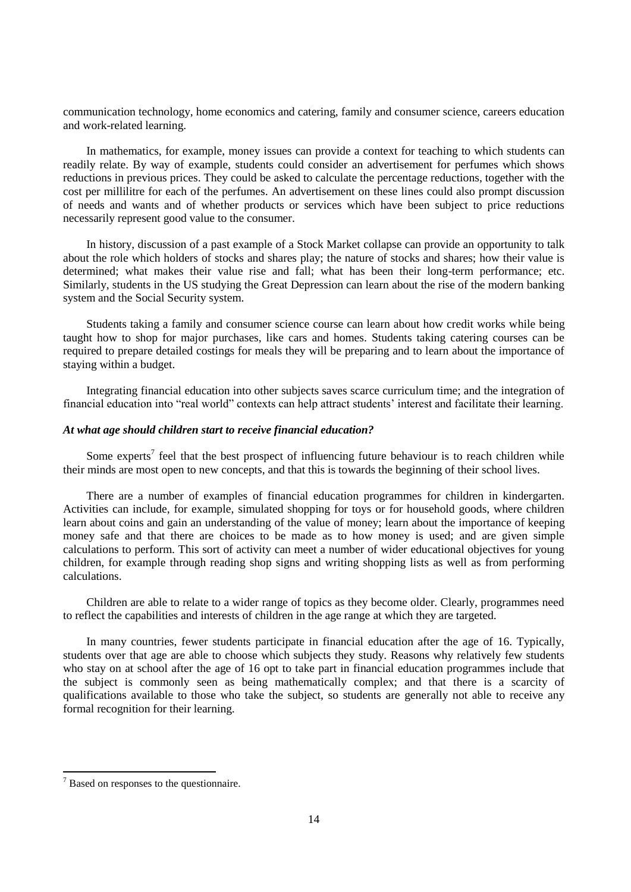communication technology, home economics and catering, family and consumer science, careers education and work-related learning.

In mathematics, for example, money issues can provide a context for teaching to which students can readily relate. By way of example, students could consider an advertisement for perfumes which shows reductions in previous prices. They could be asked to calculate the percentage reductions, together with the cost per millilitre for each of the perfumes. An advertisement on these lines could also prompt discussion of needs and wants and of whether products or services which have been subject to price reductions necessarily represent good value to the consumer.

In history, discussion of a past example of a Stock Market collapse can provide an opportunity to talk about the role which holders of stocks and shares play; the nature of stocks and shares; how their value is determined; what makes their value rise and fall; what has been their long-term performance; etc. Similarly, students in the US studying the Great Depression can learn about the rise of the modern banking system and the Social Security system.

Students taking a family and consumer science course can learn about how credit works while being taught how to shop for major purchases, like cars and homes. Students taking catering courses can be required to prepare detailed costings for meals they will be preparing and to learn about the importance of staying within a budget.

Integrating financial education into other subjects saves scarce curriculum time; and the integration of financial education into "real world" contexts can help attract students" interest and facilitate their learning.

### *At what age should children start to receive financial education?*

Some experts<sup>7</sup> feel that the best prospect of influencing future behaviour is to reach children while their minds are most open to new concepts, and that this is towards the beginning of their school lives.

There are a number of examples of financial education programmes for children in kindergarten. Activities can include, for example, simulated shopping for toys or for household goods, where children learn about coins and gain an understanding of the value of money; learn about the importance of keeping money safe and that there are choices to be made as to how money is used; and are given simple calculations to perform. This sort of activity can meet a number of wider educational objectives for young children, for example through reading shop signs and writing shopping lists as well as from performing calculations.

Children are able to relate to a wider range of topics as they become older. Clearly, programmes need to reflect the capabilities and interests of children in the age range at which they are targeted.

In many countries, fewer students participate in financial education after the age of 16. Typically, students over that age are able to choose which subjects they study. Reasons why relatively few students who stay on at school after the age of 16 opt to take part in financial education programmes include that the subject is commonly seen as being mathematically complex; and that there is a scarcity of qualifications available to those who take the subject, so students are generally not able to receive any formal recognition for their learning.

 $<sup>7</sup>$  Based on responses to the questionnaire.</sup>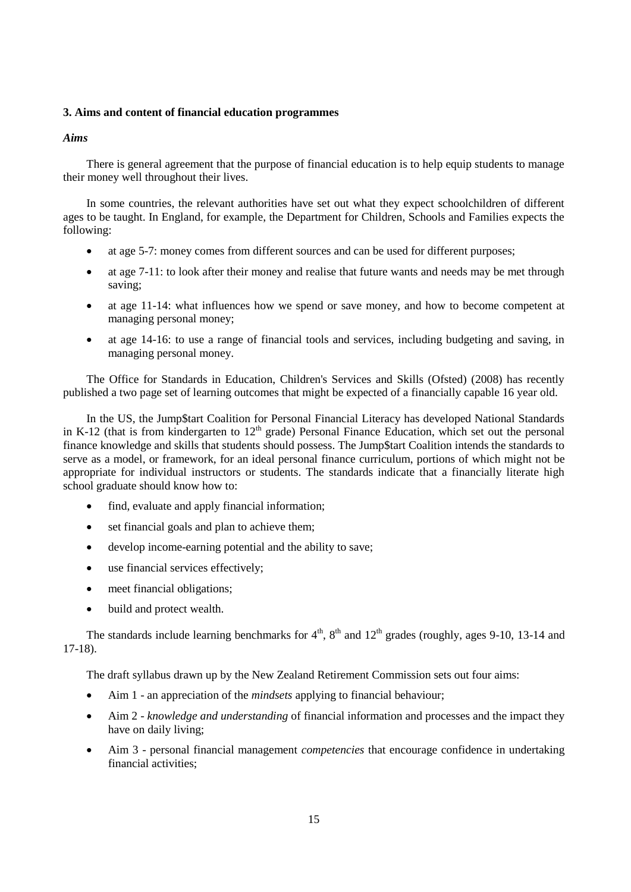## **3. Aims and content of financial education programmes**

## *Aims*

There is general agreement that the purpose of financial education is to help equip students to manage their money well throughout their lives.

In some countries, the relevant authorities have set out what they expect schoolchildren of different ages to be taught. In England, for example, the Department for Children, Schools and Families expects the following:

- at age 5-7: money comes from different sources and can be used for different purposes;
- at age 7-11: to look after their money and realise that future wants and needs may be met through saving;
- at age 11-14: what influences how we spend or save money, and how to become competent at managing personal money;
- at age 14-16: to use a range of financial tools and services, including budgeting and saving, in managing personal money.

The Office for Standards in Education, Children's Services and Skills (Ofsted) (2008) has recently published a two page set of learning outcomes that might be expected of a financially capable 16 year old.

In the US, the Jump\$tart Coalition for Personal Financial Literacy has developed National Standards in K-12 (that is from kindergarten to  $12<sup>th</sup>$  grade) Personal Finance Education, which set out the personal finance knowledge and skills that students should possess. The Jump\$tart Coalition intends the standards to serve as a model, or framework, for an ideal personal finance curriculum, portions of which might not be appropriate for individual instructors or students. The standards indicate that a financially literate high school graduate should know how to:

- find, evaluate and apply financial information;
- set financial goals and plan to achieve them;
- develop income-earning potential and the ability to save;
- use financial services effectively;
- meet financial obligations;
- build and protect wealth.

The standards include learning benchmarks for  $4<sup>th</sup>$ ,  $8<sup>th</sup>$  and  $12<sup>th</sup>$  grades (roughly, ages 9-10, 13-14 and 17-18).

The draft syllabus drawn up by the New Zealand Retirement Commission sets out four aims:

- Aim 1 an appreciation of the *mindsets* applying to financial behaviour;
- Aim 2 *knowledge and understanding* of financial information and processes and the impact they have on daily living;
- Aim 3 personal financial management *competencies* that encourage confidence in undertaking financial activities;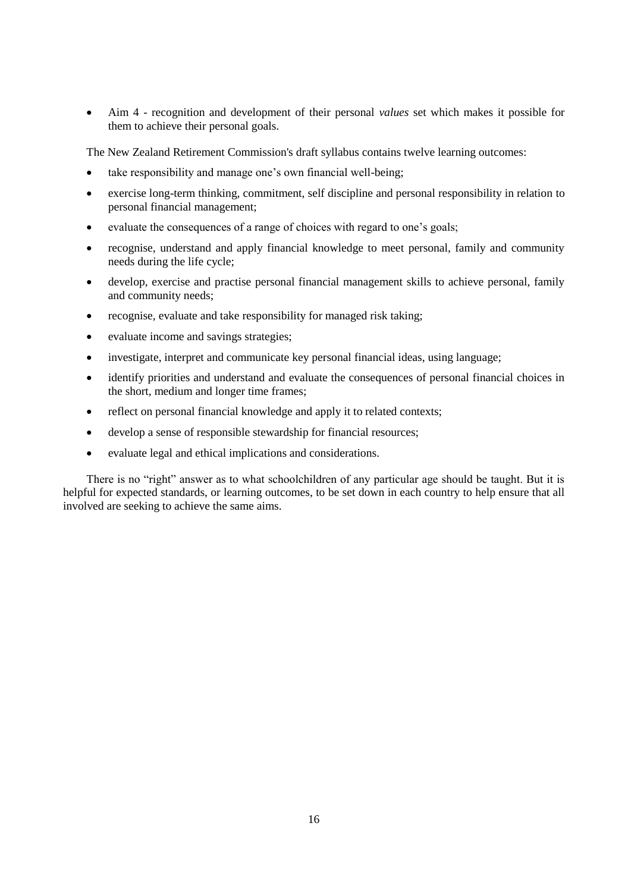Aim 4 - recognition and development of their personal *values* set which makes it possible for them to achieve their personal goals.

The New Zealand Retirement Commission's draft syllabus contains twelve learning outcomes:

- take responsibility and manage one's own financial well-being;
- exercise long-term thinking, commitment, self discipline and personal responsibility in relation to personal financial management;
- evaluate the consequences of a range of choices with regard to one"s goals;
- recognise, understand and apply financial knowledge to meet personal, family and community needs during the life cycle;
- develop, exercise and practise personal financial management skills to achieve personal, family and community needs;
- recognise, evaluate and take responsibility for managed risk taking;
- evaluate income and savings strategies;
- investigate, interpret and communicate key personal financial ideas, using language;
- identify priorities and understand and evaluate the consequences of personal financial choices in the short, medium and longer time frames;
- reflect on personal financial knowledge and apply it to related contexts;
- develop a sense of responsible stewardship for financial resources;
- evaluate legal and ethical implications and considerations.

There is no "right" answer as to what schoolchildren of any particular age should be taught. But it is helpful for expected standards, or learning outcomes, to be set down in each country to help ensure that all involved are seeking to achieve the same aims.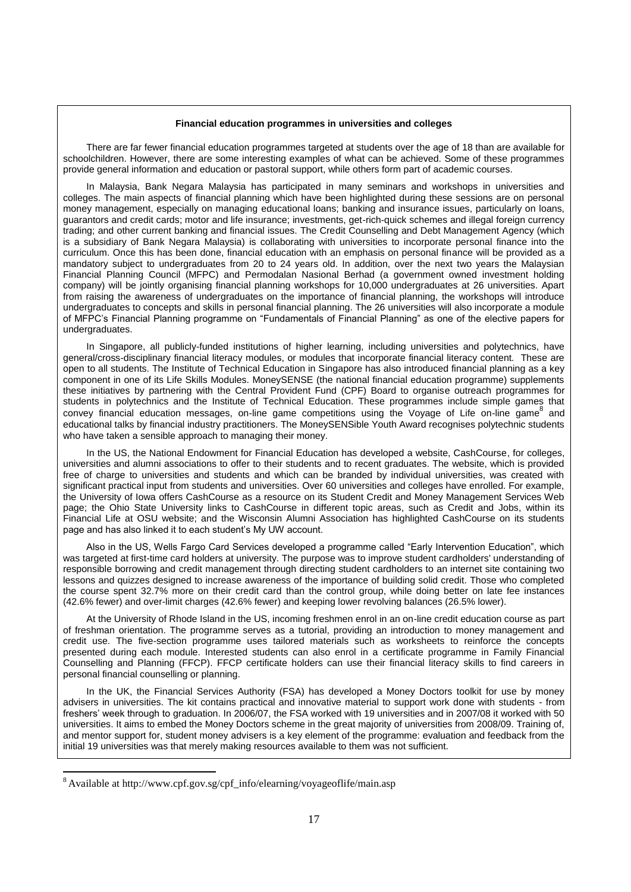#### **Financial education programmes in universities and colleges**

There are far fewer financial education programmes targeted at students over the age of 18 than are available for schoolchildren. However, there are some interesting examples of what can be achieved. Some of these programmes provide general information and education or pastoral support, while others form part of academic courses.

In Malaysia, Bank Negara Malaysia has participated in many seminars and workshops in universities and colleges. The main aspects of financial planning which have been highlighted during these sessions are on personal money management, especially on managing educational loans; banking and insurance issues, particularly on loans, guarantors and credit cards; motor and life insurance; investments, get-rich-quick schemes and illegal foreign currency trading; and other current banking and financial issues. The Credit Counselling and Debt Management Agency (which is a subsidiary of Bank Negara Malaysia) is collaborating with universities to incorporate personal finance into the curriculum. Once this has been done, financial education with an emphasis on personal finance will be provided as a mandatory subject to undergraduates from 20 to 24 years old. In addition, over the next two years the Malaysian Financial Planning Council (MFPC) and Permodalan Nasional Berhad (a government owned investment holding company) will be jointly organising financial planning workshops for 10,000 undergraduates at 26 universities. Apart from raising the awareness of undergraduates on the importance of financial planning, the workshops will introduce undergraduates to concepts and skills in personal financial planning. The 26 universities will also incorporate a module of MFPC's Financial Planning programme on "Fundamentals of Financial Planning" as one of the elective papers for undergraduates.

In Singapore, all publicly-funded institutions of higher learning, including universities and polytechnics, have general/cross-disciplinary financial literacy modules, or modules that incorporate financial literacy content. These are open to all students. The Institute of Technical Education in Singapore has also introduced financial planning as a key component in one of its Life Skills Modules. MoneySENSE (the national financial education programme) supplements these initiatives by partnering with the Central Provident Fund (CPF) Board to organise outreach programmes for students in polytechnics and the Institute of Technical Education. These programmes include simple games that convey financial education messages, on-line game competitions using the Voyage of Life on-line game<sup>8</sup> and educational talks by financial industry practitioners. The MoneySENSible Youth Award recognises polytechnic students who have taken a sensible approach to managing their money.

In the US, the National Endowment for Financial Education has developed a website, CashCourse, for colleges, universities and alumni associations to offer to their students and to recent graduates. The website, which is provided free of charge to universities and students and which can be branded by individual universities, was created with significant practical input from students and universities. Over 60 universities and colleges have enrolled. For example, the University of Iowa offers CashCourse as a resource on its Student Credit and Money Management Services Web page; the Ohio State University links to CashCourse in different topic areas, such as Credit and Jobs, within its Financial Life at OSU website; and the Wisconsin Alumni Association has highlighted CashCourse on its students page and has also linked it to each student's My UW account.

Also in the US, Wells Fargo Card Services developed a programme called "Early Intervention Education", which was targeted at first-time card holders at university. The purpose was to improve student cardholders' understanding of responsible borrowing and credit management through directing student cardholders to an internet site containing two lessons and quizzes designed to increase awareness of the importance of building solid credit. Those who completed the course spent 32.7% more on their credit card than the control group, while doing better on late fee instances (42.6% fewer) and over-limit charges (42.6% fewer) and keeping lower revolving balances (26.5% lower).

At the University of Rhode Island in the US, incoming freshmen enrol in an on-line credit education course as part of freshman orientation. The programme serves as a tutorial, providing an introduction to money management and credit use. The five-section programme uses tailored materials such as worksheets to reinforce the concepts presented during each module. Interested students can also enrol in a certificate programme in Family Financial Counselling and Planning (FFCP). FFCP certificate holders can use their financial literacy skills to find careers in personal financial counselling or planning.

In the UK, the Financial Services Authority (FSA) has developed a Money Doctors toolkit for use by money advisers in universities. The kit contains practical and innovative material to support work done with students - from freshers' week through to graduation. In 2006/07, the FSA worked with 19 universities and in 2007/08 it worked with 50 universities. It aims to embed the Money Doctors scheme in the great majority of universities from 2008/09. Training of, and mentor support for, student money advisers is a key element of the programme: evaluation and feedback from the initial 19 universities was that merely making resources available to them was not sufficient.

<sup>&</sup>lt;sup>8</sup> Available at http://www.cpf.gov.sg/cpf\_info/elearning/voyageoflife/main.asp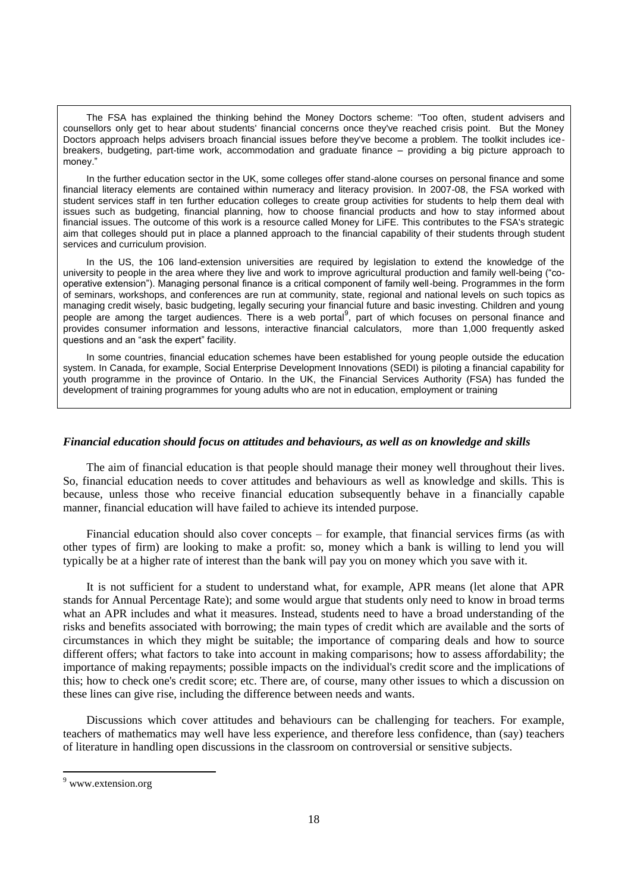The FSA has explained the thinking behind the Money Doctors scheme: "Too often, student advisers and counsellors only get to hear about students' financial concerns once they've reached crisis point. But the Money Doctors approach helps advisers broach financial issues before they've become a problem. The toolkit includes icebreakers, budgeting, part-time work, accommodation and graduate finance – providing a big picture approach to money<sup>'</sup>

In the further education sector in the UK, some colleges offer stand-alone courses on personal finance and some financial literacy elements are contained within numeracy and literacy provision. In 2007-08, the FSA worked with student services staff in ten further education colleges to create group activities for students to help them deal with issues such as budgeting, financial planning, how to choose financial products and how to stay informed about financial issues. The outcome of this work is a resource called Money for LiFE. This contributes to the FSA's strategic aim that colleges should put in place a planned approach to the financial capability of their students through student services and curriculum provision.

In the US, the 106 land-extension universities are required by legislation to extend the knowledge of the university to people in the area where they live and work to improve agricultural production and family well-being ("cooperative extension"). Managing personal finance is a critical component of family well-being. Programmes in the form of seminars, workshops, and conferences are run at community, state, regional and national levels on such topics as managing credit wisely, basic budgeting, legally securing your financial future and basic investing. Children and young people are among the target audiences. There is a web portal<sup>9</sup>, part of which focuses on personal finance and provides consumer information and lessons, interactive financial calculators, more than 1,000 frequently asked questions and an "ask the expert" facility.

In some countries, financial education schemes have been established for young people outside the education system. In Canada, for example, Social Enterprise Development Innovations (SEDI) is piloting a financial capability for youth programme in the province of Ontario. In the UK, the Financial Services Authority (FSA) has funded the development of training programmes for young adults who are not in education, employment or training

### *Financial education should focus on attitudes and behaviours, as well as on knowledge and skills*

The aim of financial education is that people should manage their money well throughout their lives. So, financial education needs to cover attitudes and behaviours as well as knowledge and skills. This is because, unless those who receive financial education subsequently behave in a financially capable manner, financial education will have failed to achieve its intended purpose.

Financial education should also cover concepts – for example, that financial services firms (as with other types of firm) are looking to make a profit: so, money which a bank is willing to lend you will typically be at a higher rate of interest than the bank will pay you on money which you save with it.

It is not sufficient for a student to understand what, for example, APR means (let alone that APR stands for Annual Percentage Rate); and some would argue that students only need to know in broad terms what an APR includes and what it measures. Instead, students need to have a broad understanding of the risks and benefits associated with borrowing; the main types of credit which are available and the sorts of circumstances in which they might be suitable; the importance of comparing deals and how to source different offers; what factors to take into account in making comparisons; how to assess affordability; the importance of making repayments; possible impacts on the individual's credit score and the implications of this; how to check one's credit score; etc. There are, of course, many other issues to which a discussion on these lines can give rise, including the difference between needs and wants.

Discussions which cover attitudes and behaviours can be challenging for teachers. For example, teachers of mathematics may well have less experience, and therefore less confidence, than (say) teachers of literature in handling open discussions in the classroom on controversial or sensitive subjects.

<sup>&</sup>lt;sup>9</sup> www.extension.org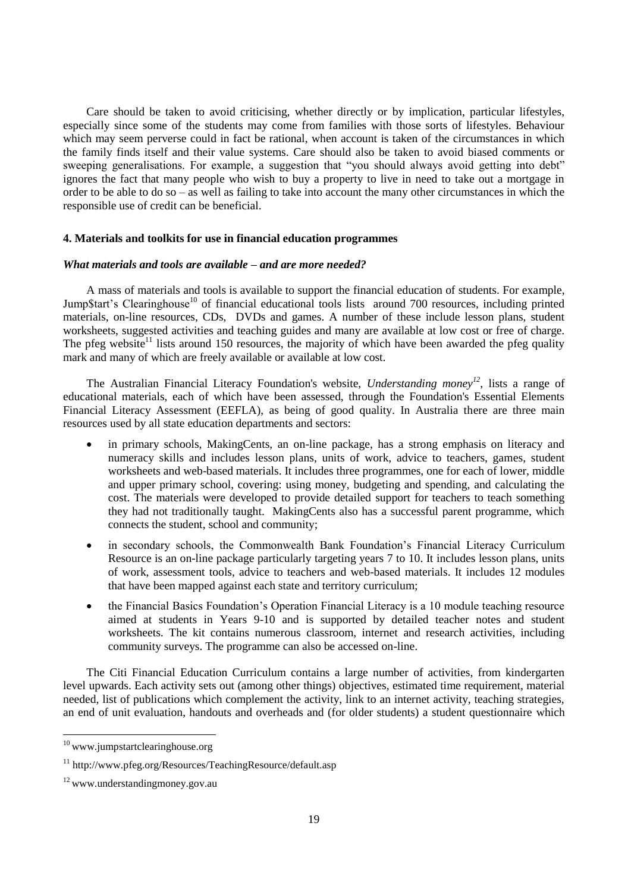Care should be taken to avoid criticising, whether directly or by implication, particular lifestyles, especially since some of the students may come from families with those sorts of lifestyles. Behaviour which may seem perverse could in fact be rational, when account is taken of the circumstances in which the family finds itself and their value systems. Care should also be taken to avoid biased comments or sweeping generalisations. For example, a suggestion that "you should always avoid getting into debt" ignores the fact that many people who wish to buy a property to live in need to take out a mortgage in order to be able to do so – as well as failing to take into account the many other circumstances in which the responsible use of credit can be beneficial.

### **4. Materials and toolkits for use in financial education programmes**

#### *What materials and tools are available – and are more needed?*

A mass of materials and tools is available to support the financial education of students. For example, Jump\$tart's Clearinghouse<sup>10</sup> of financial educational tools lists around 700 resources, including printed materials, on-line resources, CDs, DVDs and games. A number of these include lesson plans, student worksheets, suggested activities and teaching guides and many are available at low cost or free of charge. The pfeg website<sup>11</sup> lists around 150 resources, the majority of which have been awarded the pfeg quality mark and many of which are freely available or available at low cost.

The Australian Financial Literacy Foundation's website, *Understanding money<sup>12</sup>*, lists a range of educational materials, each of which have been assessed, through the Foundation's Essential Elements Financial Literacy Assessment (EEFLA), as being of good quality. In Australia there are three main resources used by all state education departments and sectors:

- in primary schools, MakingCents, an on-line package, has a strong emphasis on literacy and numeracy skills and includes lesson plans, units of work, advice to teachers, games, student worksheets and web-based materials. It includes three programmes, one for each of lower, middle and upper primary school, covering: using money, budgeting and spending, and calculating the cost. The materials were developed to provide detailed support for teachers to teach something they had not traditionally taught. MakingCents also has a successful parent programme, which connects the student, school and community;
- in secondary schools, the Commonwealth Bank Foundation"s Financial Literacy Curriculum Resource is an on-line package particularly targeting years 7 to 10. It includes lesson plans, units of work, assessment tools, advice to teachers and web-based materials. It includes 12 modules that have been mapped against each state and territory curriculum;
- the Financial Basics Foundation"s Operation Financial Literacy is a 10 module teaching resource aimed at students in Years 9-10 and is supported by detailed teacher notes and student worksheets. The kit contains numerous classroom, internet and research activities, including community surveys. The programme can also be accessed on-line.

The Citi Financial Education Curriculum contains a large number of activities, from kindergarten level upwards. Each activity sets out (among other things) objectives, estimated time requirement, material needed, list of publications which complement the activity, link to an internet activity, teaching strategies, an end of unit evaluation, handouts and overheads and (for older students) a student questionnaire which

l

<sup>&</sup>lt;sup>10</sup> www.jumpstartclearinghouse.org

<sup>11</sup> http://www.pfeg.org/Resources/TeachingResource/default.asp

<sup>12</sup> www.understandingmoney.gov.au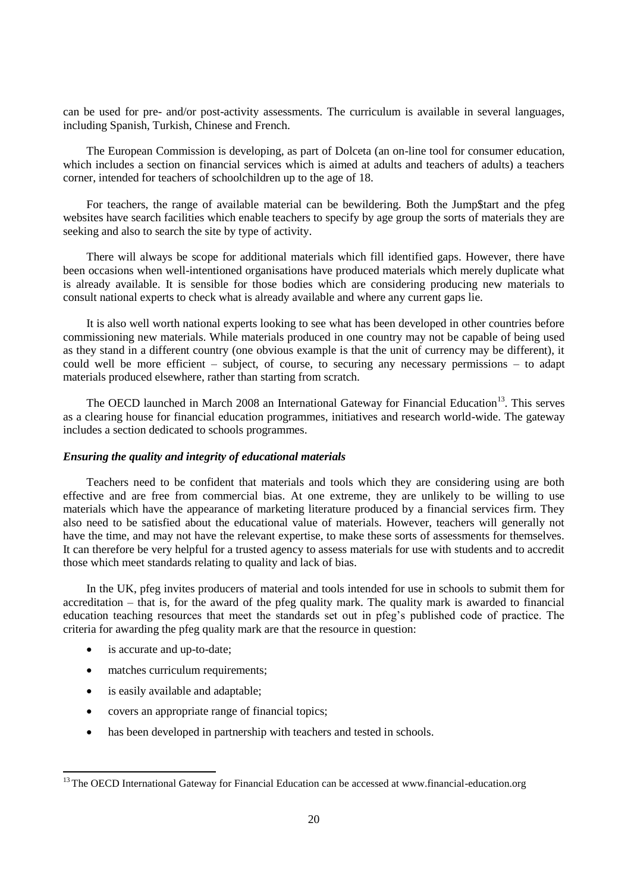can be used for pre- and/or post-activity assessments. The curriculum is available in several languages, including Spanish, Turkish, Chinese and French.

The European Commission is developing, as part of Dolceta (an on-line tool for consumer education, which includes a section on financial services which is aimed at adults and teachers of adults) a teachers corner, intended for teachers of schoolchildren up to the age of 18.

For teachers, the range of available material can be bewildering. Both the Jump\$tart and the pfeg websites have search facilities which enable teachers to specify by age group the sorts of materials they are seeking and also to search the site by type of activity.

There will always be scope for additional materials which fill identified gaps. However, there have been occasions when well-intentioned organisations have produced materials which merely duplicate what is already available. It is sensible for those bodies which are considering producing new materials to consult national experts to check what is already available and where any current gaps lie.

It is also well worth national experts looking to see what has been developed in other countries before commissioning new materials. While materials produced in one country may not be capable of being used as they stand in a different country (one obvious example is that the unit of currency may be different), it could well be more efficient – subject, of course, to securing any necessary permissions – to adapt materials produced elsewhere, rather than starting from scratch.

The OECD launched in March 2008 an International Gateway for Financial Education<sup>13</sup>. This serves as a clearing house for financial education programmes, initiatives and research world-wide. The gateway includes a section dedicated to schools programmes.

### *Ensuring the quality and integrity of educational materials*

Teachers need to be confident that materials and tools which they are considering using are both effective and are free from commercial bias. At one extreme, they are unlikely to be willing to use materials which have the appearance of marketing literature produced by a financial services firm. They also need to be satisfied about the educational value of materials. However, teachers will generally not have the time, and may not have the relevant expertise, to make these sorts of assessments for themselves. It can therefore be very helpful for a trusted agency to assess materials for use with students and to accredit those which meet standards relating to quality and lack of bias.

In the UK, pfeg invites producers of material and tools intended for use in schools to submit them for accreditation – that is, for the award of the pfeg quality mark. The quality mark is awarded to financial education teaching resources that meet the standards set out in pfeg"s published code of practice. The criteria for awarding the pfeg quality mark are that the resource in question:

• is accurate and up-to-date;

- matches curriculum requirements;
- is easily available and adaptable;
- covers an appropriate range of financial topics;
- has been developed in partnership with teachers and tested in schools.

<sup>&</sup>lt;sup>13</sup> The OECD International Gateway for Financial Education can be accessed at www.financial-education.org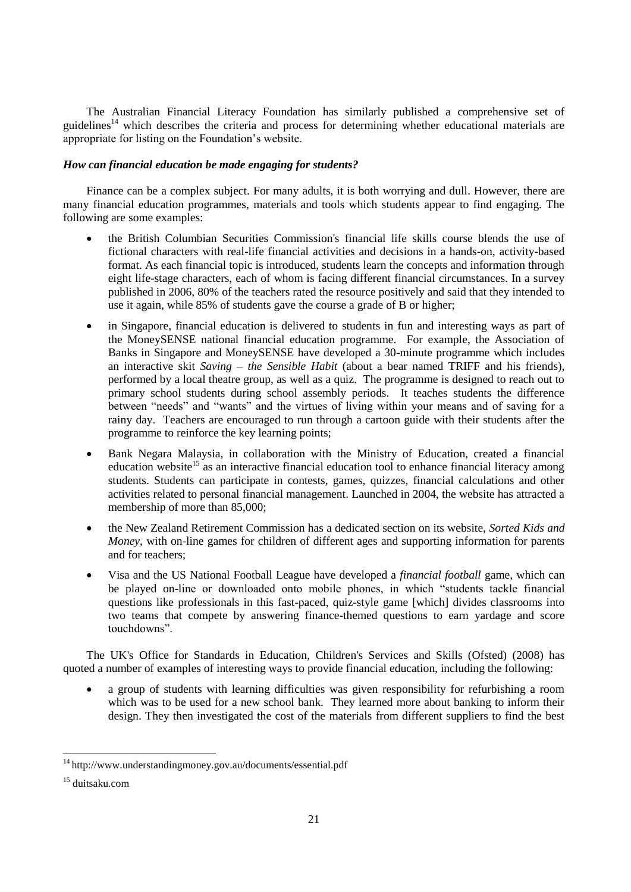The Australian Financial Literacy Foundation has similarly published a comprehensive set of guidelines<sup>14</sup> which describes the criteria and process for determining whether educational materials are appropriate for listing on the Foundation"s website.

### *How can financial education be made engaging for students?*

Finance can be a complex subject. For many adults, it is both worrying and dull. However, there are many financial education programmes, materials and tools which students appear to find engaging. The following are some examples:

- the British Columbian Securities Commission's financial life skills course blends the use of fictional characters with real-life financial activities and decisions in a hands-on, activity-based format. As each financial topic is introduced, students learn the concepts and information through eight life-stage characters, each of whom is facing different financial circumstances. In a survey published in 2006, 80% of the teachers rated the resource positively and said that they intended to use it again, while 85% of students gave the course a grade of B or higher;
- in Singapore, financial education is delivered to students in fun and interesting ways as part of the MoneySENSE national financial education programme. For example, the Association of Banks in Singapore and MoneySENSE have developed a 30-minute programme which includes an interactive skit *Saving – the Sensible Habit* (about a bear named TRIFF and his friends), performed by a local theatre group, as well as a quiz. The programme is designed to reach out to primary school students during school assembly periods. It teaches students the difference between "needs" and "wants" and the virtues of living within your means and of saving for a rainy day. Teachers are encouraged to run through a cartoon guide with their students after the programme to reinforce the key learning points;
- Bank Negara Malaysia, in collaboration with the Ministry of Education, created a financial education website<sup>15</sup> as an interactive financial education tool to enhance financial literacy among students. Students can participate in contests, games, quizzes, financial calculations and other activities related to personal financial management. Launched in 2004, the website has attracted a membership of more than 85,000;
- the New Zealand Retirement Commission has a dedicated section on its website, *Sorted Kids and Money*, with on-line games for children of different ages and supporting information for parents and for teachers;
- Visa and the US National Football League have developed a *financial football* game, which can be played on-line or downloaded onto mobile phones, in which "students tackle financial questions like professionals in this fast-paced, quiz-style game [which] divides classrooms into two teams that compete by answering finance-themed questions to earn yardage and score touchdowns".

The UK's Office for Standards in Education, Children's Services and Skills (Ofsted) (2008) has quoted a number of examples of interesting ways to provide financial education, including the following:

 a group of students with learning difficulties was given responsibility for refurbishing a room which was to be used for a new school bank. They learned more about banking to inform their design. They then investigated the cost of the materials from different suppliers to find the best

l

<sup>&</sup>lt;sup>14</sup> http://www.understandingmoney.gov.au/documents/essential.pdf

<sup>15</sup> duitsaku.com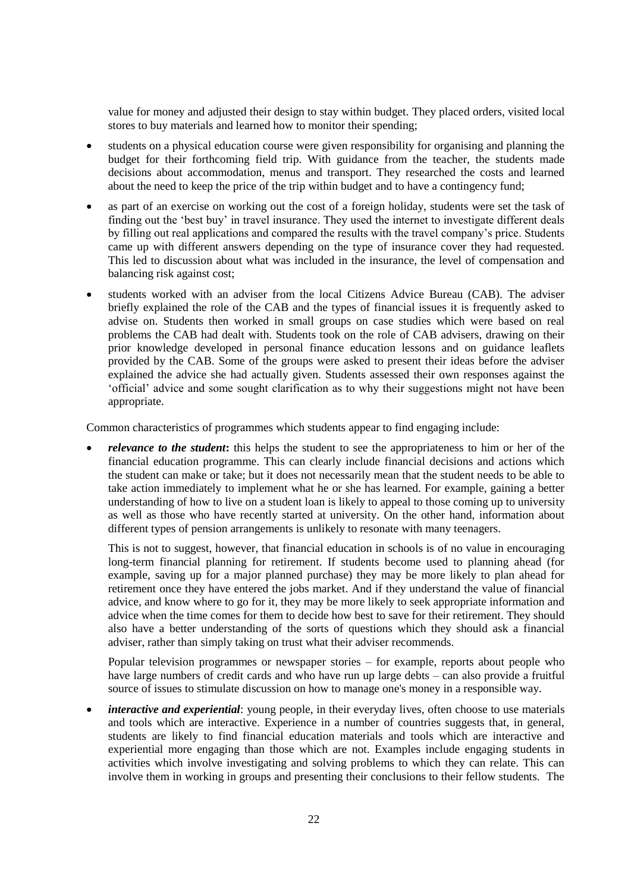value for money and adjusted their design to stay within budget. They placed orders, visited local stores to buy materials and learned how to monitor their spending;

- students on a physical education course were given responsibility for organising and planning the budget for their forthcoming field trip. With guidance from the teacher, the students made decisions about accommodation, menus and transport. They researched the costs and learned about the need to keep the price of the trip within budget and to have a contingency fund;
- as part of an exercise on working out the cost of a foreign holiday, students were set the task of finding out the "best buy" in travel insurance. They used the internet to investigate different deals by filling out real applications and compared the results with the travel company"s price. Students came up with different answers depending on the type of insurance cover they had requested. This led to discussion about what was included in the insurance, the level of compensation and balancing risk against cost;
- students worked with an adviser from the local Citizens Advice Bureau (CAB). The adviser briefly explained the role of the CAB and the types of financial issues it is frequently asked to advise on. Students then worked in small groups on case studies which were based on real problems the CAB had dealt with. Students took on the role of CAB advisers, drawing on their prior knowledge developed in personal finance education lessons and on guidance leaflets provided by the CAB. Some of the groups were asked to present their ideas before the adviser explained the advice she had actually given. Students assessed their own responses against the "official" advice and some sought clarification as to why their suggestions might not have been appropriate.

Common characteristics of programmes which students appear to find engaging include:

 *relevance to the student***:** this helps the student to see the appropriateness to him or her of the financial education programme. This can clearly include financial decisions and actions which the student can make or take; but it does not necessarily mean that the student needs to be able to take action immediately to implement what he or she has learned. For example, gaining a better understanding of how to live on a student loan is likely to appeal to those coming up to university as well as those who have recently started at university. On the other hand, information about different types of pension arrangements is unlikely to resonate with many teenagers.

This is not to suggest, however, that financial education in schools is of no value in encouraging long-term financial planning for retirement. If students become used to planning ahead (for example, saving up for a major planned purchase) they may be more likely to plan ahead for retirement once they have entered the jobs market. And if they understand the value of financial advice, and know where to go for it, they may be more likely to seek appropriate information and advice when the time comes for them to decide how best to save for their retirement. They should also have a better understanding of the sorts of questions which they should ask a financial adviser, rather than simply taking on trust what their adviser recommends.

Popular television programmes or newspaper stories – for example, reports about people who have large numbers of credit cards and who have run up large debts – can also provide a fruitful source of issues to stimulate discussion on how to manage one's money in a responsible way.

• *interactive and experiential*: young people, in their everyday lives, often choose to use materials and tools which are interactive. Experience in a number of countries suggests that, in general, students are likely to find financial education materials and tools which are interactive and experiential more engaging than those which are not. Examples include engaging students in activities which involve investigating and solving problems to which they can relate. This can involve them in working in groups and presenting their conclusions to their fellow students. The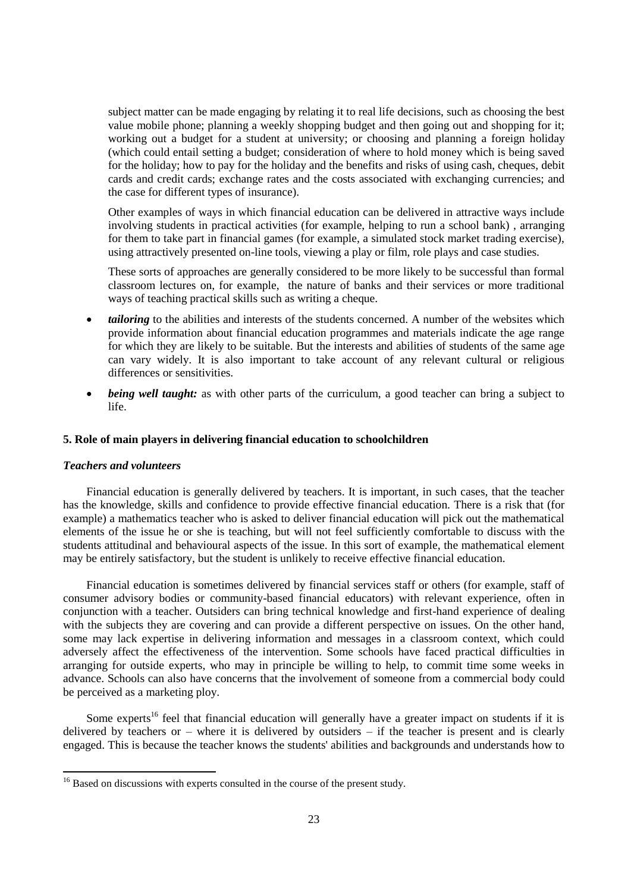subject matter can be made engaging by relating it to real life decisions, such as choosing the best value mobile phone; planning a weekly shopping budget and then going out and shopping for it; working out a budget for a student at university; or choosing and planning a foreign holiday (which could entail setting a budget; consideration of where to hold money which is being saved for the holiday; how to pay for the holiday and the benefits and risks of using cash, cheques, debit cards and credit cards; exchange rates and the costs associated with exchanging currencies; and the case for different types of insurance).

Other examples of ways in which financial education can be delivered in attractive ways include involving students in practical activities (for example, helping to run a school bank) , arranging for them to take part in financial games (for example, a simulated stock market trading exercise), using attractively presented on-line tools, viewing a play or film, role plays and case studies.

These sorts of approaches are generally considered to be more likely to be successful than formal classroom lectures on, for example, the nature of banks and their services or more traditional ways of teaching practical skills such as writing a cheque.

- *tailoring* to the abilities and interests of the students concerned. A number of the websites which provide information about financial education programmes and materials indicate the age range for which they are likely to be suitable. But the interests and abilities of students of the same age can vary widely. It is also important to take account of any relevant cultural or religious differences or sensitivities.
- *being well taught:* as with other parts of the curriculum, a good teacher can bring a subject to life.

## **5. Role of main players in delivering financial education to schoolchildren**

### *Teachers and volunteers*

 $\overline{a}$ 

Financial education is generally delivered by teachers. It is important, in such cases, that the teacher has the knowledge, skills and confidence to provide effective financial education. There is a risk that (for example) a mathematics teacher who is asked to deliver financial education will pick out the mathematical elements of the issue he or she is teaching, but will not feel sufficiently comfortable to discuss with the students attitudinal and behavioural aspects of the issue. In this sort of example, the mathematical element may be entirely satisfactory, but the student is unlikely to receive effective financial education.

Financial education is sometimes delivered by financial services staff or others (for example, staff of consumer advisory bodies or community-based financial educators) with relevant experience, often in conjunction with a teacher. Outsiders can bring technical knowledge and first-hand experience of dealing with the subjects they are covering and can provide a different perspective on issues. On the other hand, some may lack expertise in delivering information and messages in a classroom context, which could adversely affect the effectiveness of the intervention. Some schools have faced practical difficulties in arranging for outside experts, who may in principle be willing to help, to commit time some weeks in advance. Schools can also have concerns that the involvement of someone from a commercial body could be perceived as a marketing ploy.

Some experts<sup>16</sup> feel that financial education will generally have a greater impact on students if it is delivered by teachers or – where it is delivered by outsiders – if the teacher is present and is clearly engaged. This is because the teacher knows the students' abilities and backgrounds and understands how to

<sup>&</sup>lt;sup>16</sup> Based on discussions with experts consulted in the course of the present study.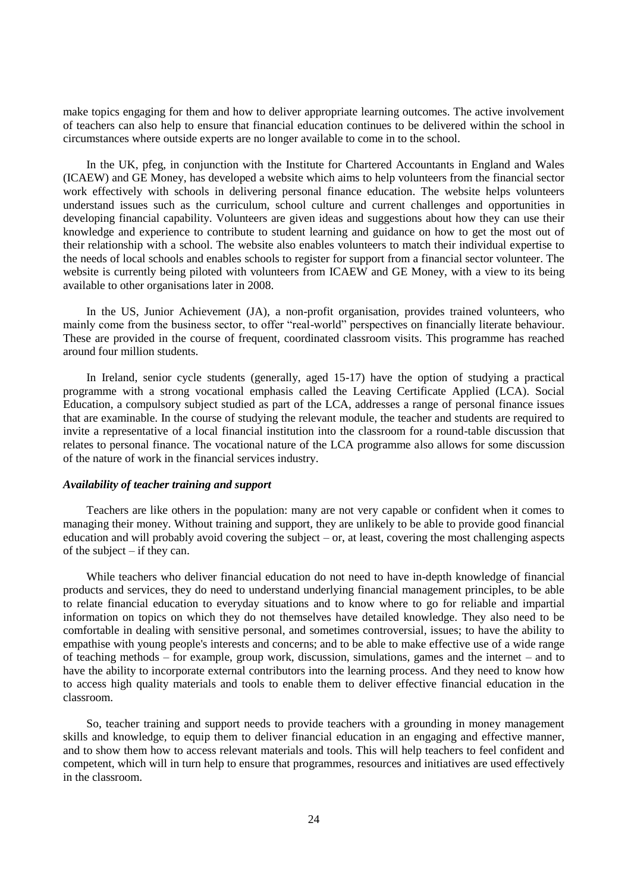make topics engaging for them and how to deliver appropriate learning outcomes. The active involvement of teachers can also help to ensure that financial education continues to be delivered within the school in circumstances where outside experts are no longer available to come in to the school.

In the UK, pfeg, in conjunction with the Institute for Chartered Accountants in England and Wales (ICAEW) and GE Money, has developed a website which aims to help volunteers from the financial sector work effectively with schools in delivering personal finance education. The website helps volunteers understand issues such as the curriculum, school culture and current challenges and opportunities in developing financial capability. Volunteers are given ideas and suggestions about how they can use their knowledge and experience to contribute to student learning and guidance on how to get the most out of their relationship with a school. The website also enables volunteers to match their individual expertise to the needs of local schools and enables schools to register for support from a financial sector volunteer. The website is currently being piloted with volunteers from ICAEW and GE Money, with a view to its being available to other organisations later in 2008.

In the US, Junior Achievement (JA), a non-profit organisation, provides trained volunteers, who mainly come from the business sector, to offer "real-world" perspectives on financially literate behaviour. These are provided in the course of frequent, coordinated classroom visits. This programme has reached around four million students.

In Ireland, senior cycle students (generally, aged 15-17) have the option of studying a practical programme with a strong vocational emphasis called the Leaving Certificate Applied (LCA). Social Education, a compulsory subject studied as part of the LCA, addresses a range of personal finance issues that are examinable. In the course of studying the relevant module, the teacher and students are required to invite a representative of a local financial institution into the classroom for a round-table discussion that relates to personal finance. The vocational nature of the LCA programme also allows for some discussion of the nature of work in the financial services industry.

### *Availability of teacher training and support*

Teachers are like others in the population: many are not very capable or confident when it comes to managing their money. Without training and support, they are unlikely to be able to provide good financial education and will probably avoid covering the subject – or, at least, covering the most challenging aspects of the subject – if they can.

While teachers who deliver financial education do not need to have in-depth knowledge of financial products and services, they do need to understand underlying financial management principles, to be able to relate financial education to everyday situations and to know where to go for reliable and impartial information on topics on which they do not themselves have detailed knowledge. They also need to be comfortable in dealing with sensitive personal, and sometimes controversial, issues; to have the ability to empathise with young people's interests and concerns; and to be able to make effective use of a wide range of teaching methods – for example, group work, discussion, simulations, games and the internet – and to have the ability to incorporate external contributors into the learning process. And they need to know how to access high quality materials and tools to enable them to deliver effective financial education in the classroom.

So, teacher training and support needs to provide teachers with a grounding in money management skills and knowledge, to equip them to deliver financial education in an engaging and effective manner, and to show them how to access relevant materials and tools. This will help teachers to feel confident and competent, which will in turn help to ensure that programmes, resources and initiatives are used effectively in the classroom.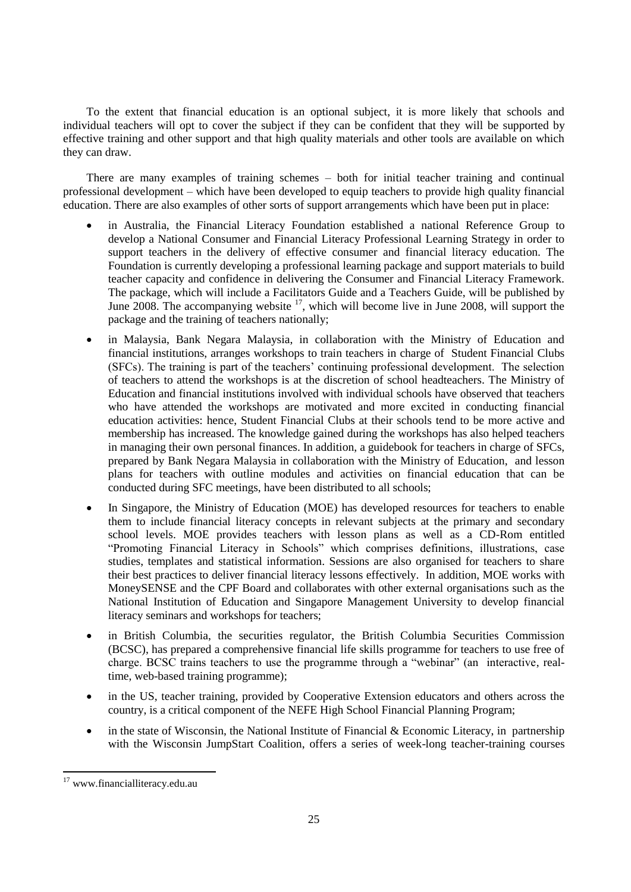To the extent that financial education is an optional subject, it is more likely that schools and individual teachers will opt to cover the subject if they can be confident that they will be supported by effective training and other support and that high quality materials and other tools are available on which they can draw.

There are many examples of training schemes – both for initial teacher training and continual professional development – which have been developed to equip teachers to provide high quality financial education. There are also examples of other sorts of support arrangements which have been put in place:

- in Australia, the Financial Literacy Foundation established a national Reference Group to develop a National Consumer and Financial Literacy Professional Learning Strategy in order to support teachers in the delivery of effective consumer and financial literacy education. The Foundation is currently developing a professional learning package and support materials to build teacher capacity and confidence in delivering the Consumer and Financial Literacy Framework. The package, which will include a Facilitators Guide and a Teachers Guide, will be published by June 2008. The accompanying website  $17$ , which will become live in June 2008, will support the package and the training of teachers nationally;
- in Malaysia, Bank Negara Malaysia, in collaboration with the Ministry of Education and financial institutions, arranges workshops to train teachers in charge of Student Financial Clubs (SFCs). The training is part of the teachers" continuing professional development. The selection of teachers to attend the workshops is at the discretion of school headteachers. The Ministry of Education and financial institutions involved with individual schools have observed that teachers who have attended the workshops are motivated and more excited in conducting financial education activities: hence, Student Financial Clubs at their schools tend to be more active and membership has increased. The knowledge gained during the workshops has also helped teachers in managing their own personal finances. In addition, a guidebook for teachers in charge of SFCs, prepared by Bank Negara Malaysia in collaboration with the Ministry of Education, and lesson plans for teachers with outline modules and activities on financial education that can be conducted during SFC meetings, have been distributed to all schools;
- In Singapore, the Ministry of Education (MOE) has developed resources for teachers to enable them to include financial literacy concepts in relevant subjects at the primary and secondary school levels. MOE provides teachers with lesson plans as well as a CD-Rom entitled "Promoting Financial Literacy in Schools" which comprises definitions, illustrations, case studies, templates and statistical information. Sessions are also organised for teachers to share their best practices to deliver financial literacy lessons effectively. In addition, MOE works with MoneySENSE and the CPF Board and collaborates with other external organisations such as the National Institution of Education and Singapore Management University to develop financial literacy seminars and workshops for teachers;
- in British Columbia, the securities regulator, the British Columbia Securities Commission (BCSC), has prepared a comprehensive financial life skills programme for teachers to use free of charge. BCSC trains teachers to use the programme through a "webinar" (an interactive, realtime, web-based training programme);
- in the US, teacher training, provided by Cooperative Extension educators and others across the country, is a critical component of the NEFE High School Financial Planning Program;
- in the state of Wisconsin, the National Institute of Financial  $\&$  Economic Literacy, in partnership with the Wisconsin JumpStart Coalition, offers a series of week-long teacher-training courses

<sup>17</sup> www.financialliteracy.edu.au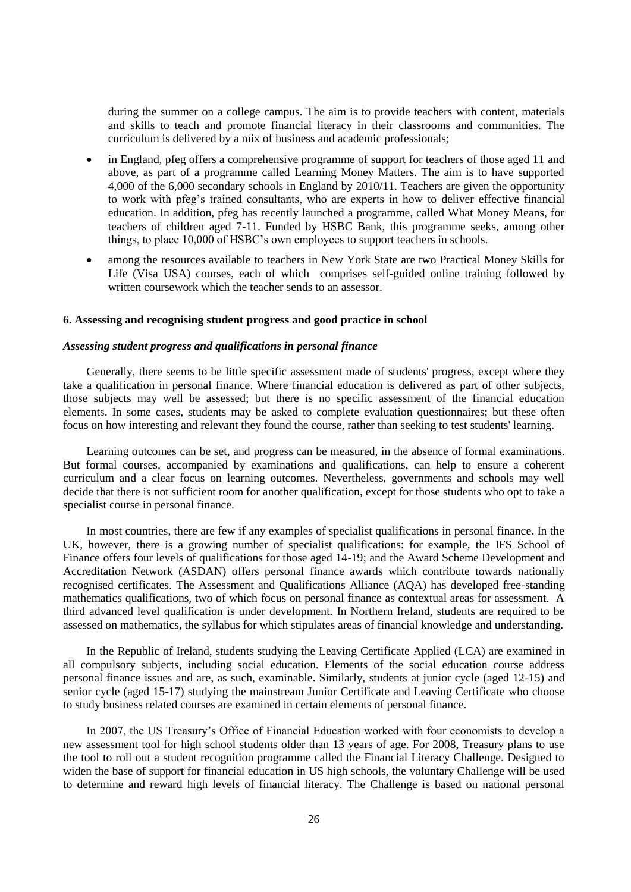during the summer on a college campus. The aim is to provide teachers with content, materials and skills to teach and promote financial literacy in their classrooms and communities. The curriculum is delivered by a mix of business and academic professionals;

- in England, pfeg offers a comprehensive programme of support for teachers of those aged 11 and above, as part of a programme called Learning Money Matters. The aim is to have supported 4,000 of the 6,000 secondary schools in England by 2010/11. Teachers are given the opportunity to work with pfeg"s trained consultants, who are experts in how to deliver effective financial education. In addition, pfeg has recently launched a programme, called What Money Means, for teachers of children aged 7-11. Funded by HSBC Bank, this programme seeks, among other things, to place 10,000 of HSBC"s own employees to support teachers in schools.
- among the resources available to teachers in New York State are two Practical Money Skills for Life (Visa USA) courses, each of which comprises self-guided online training followed by written coursework which the teacher sends to an assessor.

## **6. Assessing and recognising student progress and good practice in school**

## *Assessing student progress and qualifications in personal finance*

Generally, there seems to be little specific assessment made of students' progress, except where they take a qualification in personal finance. Where financial education is delivered as part of other subjects, those subjects may well be assessed; but there is no specific assessment of the financial education elements. In some cases, students may be asked to complete evaluation questionnaires; but these often focus on how interesting and relevant they found the course, rather than seeking to test students' learning.

Learning outcomes can be set, and progress can be measured, in the absence of formal examinations. But formal courses, accompanied by examinations and qualifications, can help to ensure a coherent curriculum and a clear focus on learning outcomes. Nevertheless, governments and schools may well decide that there is not sufficient room for another qualification, except for those students who opt to take a specialist course in personal finance.

In most countries, there are few if any examples of specialist qualifications in personal finance. In the UK, however, there is a growing number of specialist qualifications: for example, the IFS School of Finance offers four levels of qualifications for those aged 14-19; and the Award Scheme Development and Accreditation Network (ASDAN) offers personal finance awards which contribute towards nationally recognised certificates. The Assessment and Qualifications Alliance (AQA) has developed free-standing mathematics qualifications, two of which focus on personal finance as contextual areas for assessment. A third advanced level qualification is under development. In Northern Ireland, students are required to be assessed on mathematics, the syllabus for which stipulates areas of financial knowledge and understanding.

In the Republic of Ireland, students studying the Leaving Certificate Applied (LCA) are examined in all compulsory subjects, including social education. Elements of the social education course address personal finance issues and are, as such, examinable. Similarly, students at junior cycle (aged 12-15) and senior cycle (aged 15-17) studying the mainstream Junior Certificate and Leaving Certificate who choose to study business related courses are examined in certain elements of personal finance.

In 2007, the US Treasury"s Office of Financial Education worked with four economists to develop a new assessment tool for high school students older than 13 years of age. For 2008, Treasury plans to use the tool to roll out a student recognition programme called the Financial Literacy Challenge. Designed to widen the base of support for financial education in US high schools, the voluntary Challenge will be used to determine and reward high levels of financial literacy. The Challenge is based on national personal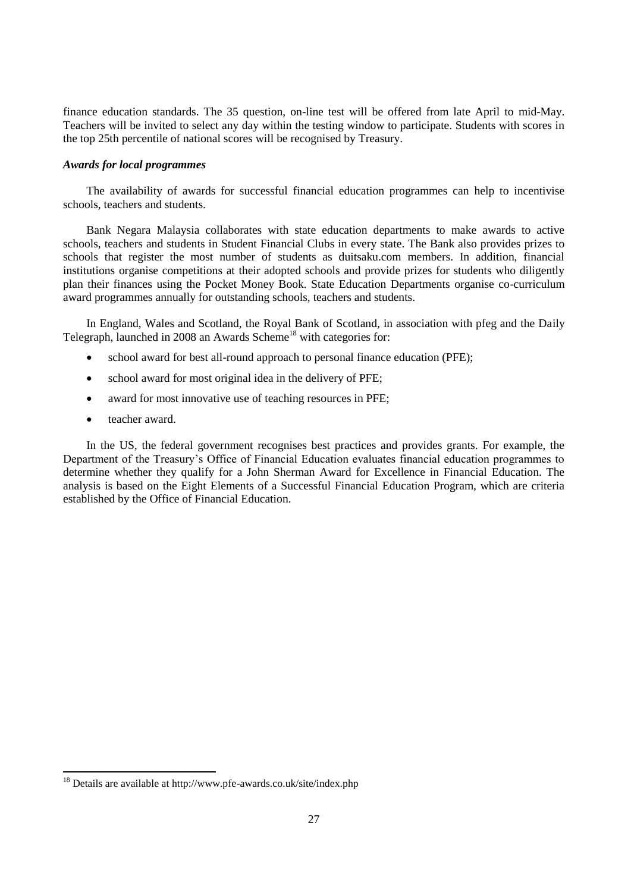finance education standards. The 35 question, on-line test will be offered from late April to mid-May. Teachers will be invited to select any day within the testing window to participate. Students with scores in the top 25th percentile of national scores will be recognised by Treasury.

### *Awards for local programmes*

The availability of awards for successful financial education programmes can help to incentivise schools, teachers and students.

Bank Negara Malaysia collaborates with state education departments to make awards to active schools, teachers and students in Student Financial Clubs in every state. The Bank also provides prizes to schools that register the most number of students as duitsaku.com members. In addition, financial institutions organise competitions at their adopted schools and provide prizes for students who diligently plan their finances using the Pocket Money Book. State Education Departments organise co-curriculum award programmes annually for outstanding schools, teachers and students.

In England, Wales and Scotland, the Royal Bank of Scotland, in association with pfeg and the Daily Telegraph, launched in 2008 an Awards Scheme<sup>18</sup> with categories for:

- school award for best all-round approach to personal finance education (PFE);
- school award for most original idea in the delivery of PFE;
- award for most innovative use of teaching resources in PFE;
- teacher award.

 $\overline{a}$ 

In the US, the federal government recognises best practices and provides grants. For example, the Department of the Treasury"s Office of Financial Education evaluates financial education programmes to determine whether they qualify for a John Sherman Award for Excellence in Financial Education. The analysis is based on the Eight Elements of a Successful Financial Education Program, which are criteria established by the Office of Financial Education.

<sup>18</sup> Details are available at http://www.pfe-awards.co.uk/site/index.php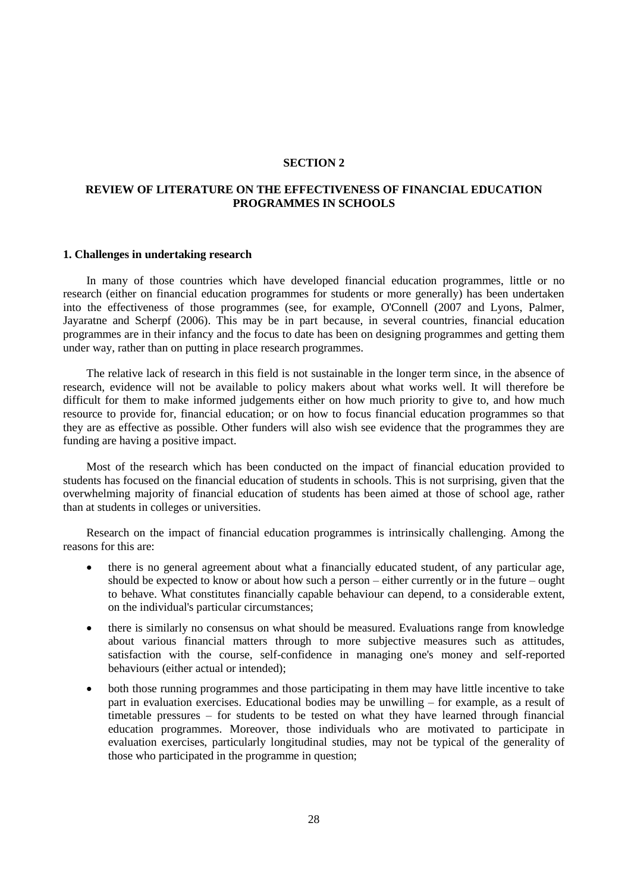#### **SECTION 2**

## **REVIEW OF LITERATURE ON THE EFFECTIVENESS OF FINANCIAL EDUCATION PROGRAMMES IN SCHOOLS**

#### **1. Challenges in undertaking research**

In many of those countries which have developed financial education programmes, little or no research (either on financial education programmes for students or more generally) has been undertaken into the effectiveness of those programmes (see, for example, O'Connell (2007 and Lyons, Palmer, Jayaratne and Scherpf (2006). This may be in part because, in several countries, financial education programmes are in their infancy and the focus to date has been on designing programmes and getting them under way, rather than on putting in place research programmes.

The relative lack of research in this field is not sustainable in the longer term since, in the absence of research, evidence will not be available to policy makers about what works well. It will therefore be difficult for them to make informed judgements either on how much priority to give to, and how much resource to provide for, financial education; or on how to focus financial education programmes so that they are as effective as possible. Other funders will also wish see evidence that the programmes they are funding are having a positive impact.

Most of the research which has been conducted on the impact of financial education provided to students has focused on the financial education of students in schools. This is not surprising, given that the overwhelming majority of financial education of students has been aimed at those of school age, rather than at students in colleges or universities.

Research on the impact of financial education programmes is intrinsically challenging. Among the reasons for this are:

- there is no general agreement about what a financially educated student, of any particular age, should be expected to know or about how such a person – either currently or in the future – ought to behave. What constitutes financially capable behaviour can depend, to a considerable extent, on the individual's particular circumstances;
- there is similarly no consensus on what should be measured. Evaluations range from knowledge about various financial matters through to more subjective measures such as attitudes, satisfaction with the course, self-confidence in managing one's money and self-reported behaviours (either actual or intended);
- both those running programmes and those participating in them may have little incentive to take part in evaluation exercises. Educational bodies may be unwilling – for example, as a result of timetable pressures – for students to be tested on what they have learned through financial education programmes. Moreover, those individuals who are motivated to participate in evaluation exercises, particularly longitudinal studies, may not be typical of the generality of those who participated in the programme in question;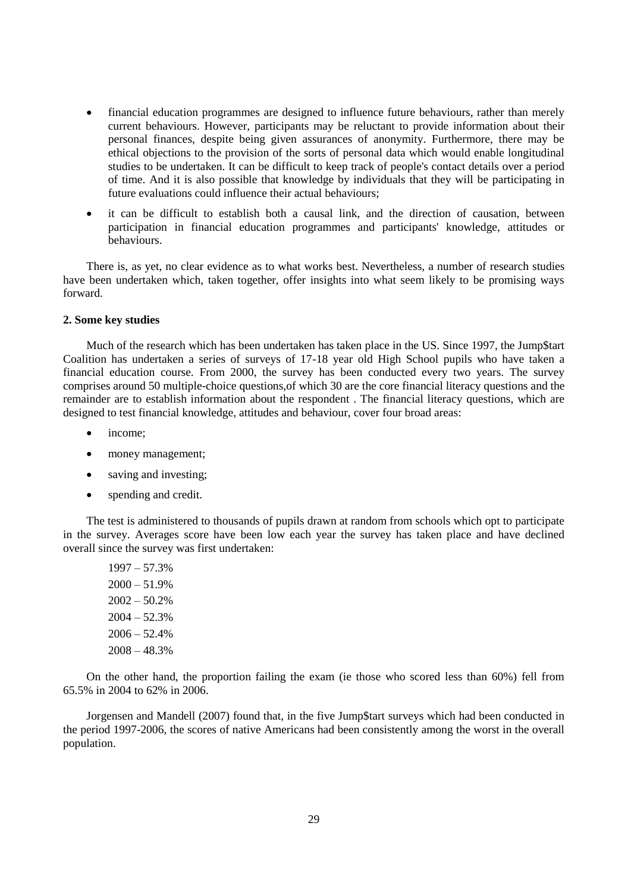- financial education programmes are designed to influence future behaviours, rather than merely current behaviours. However, participants may be reluctant to provide information about their personal finances, despite being given assurances of anonymity. Furthermore, there may be ethical objections to the provision of the sorts of personal data which would enable longitudinal studies to be undertaken. It can be difficult to keep track of people's contact details over a period of time. And it is also possible that knowledge by individuals that they will be participating in future evaluations could influence their actual behaviours;
- it can be difficult to establish both a causal link, and the direction of causation, between participation in financial education programmes and participants' knowledge, attitudes or behaviours.

There is, as yet, no clear evidence as to what works best. Nevertheless, a number of research studies have been undertaken which, taken together, offer insights into what seem likely to be promising ways forward.

## **2. Some key studies**

Much of the research which has been undertaken has taken place in the US. Since 1997, the Jump\$tart Coalition has undertaken a series of surveys of 17-18 year old High School pupils who have taken a financial education course. From 2000, the survey has been conducted every two years. The survey comprises around 50 multiple-choice questions,of which 30 are the core financial literacy questions and the remainder are to establish information about the respondent . The financial literacy questions, which are designed to test financial knowledge, attitudes and behaviour, cover four broad areas:

- income;
- money management;
- saving and investing;
- spending and credit.

The test is administered to thousands of pupils drawn at random from schools which opt to participate in the survey. Averages score have been low each year the survey has taken place and have declined overall since the survey was first undertaken:

1997 – 57.3%  $2000 - 51.9%$  $2002 - 50.2%$  $2004 - 52.3%$  $2006 - 52.4%$ 2008 – 48.3%

On the other hand, the proportion failing the exam (ie those who scored less than 60%) fell from 65.5% in 2004 to 62% in 2006.

Jorgensen and Mandell (2007) found that, in the five Jump\$tart surveys which had been conducted in the period 1997-2006, the scores of native Americans had been consistently among the worst in the overall population.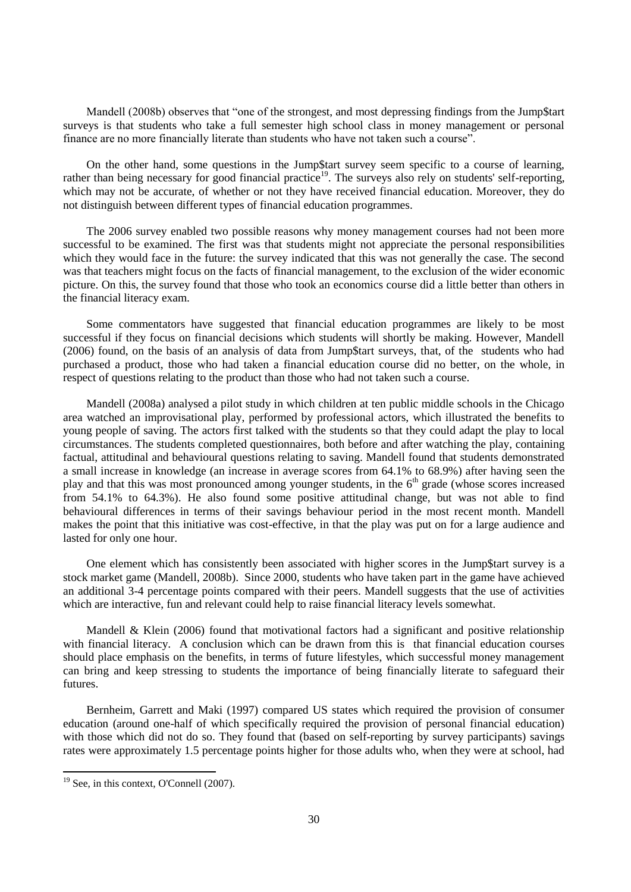Mandell (2008b) observes that "one of the strongest, and most depressing findings from the Jump\$tart surveys is that students who take a full semester high school class in money management or personal finance are no more financially literate than students who have not taken such a course".

On the other hand, some questions in the Jump\$tart survey seem specific to a course of learning, rather than being necessary for good financial practice<sup>19</sup>. The surveys also rely on students' self-reporting, which may not be accurate, of whether or not they have received financial education. Moreover, they do not distinguish between different types of financial education programmes.

The 2006 survey enabled two possible reasons why money management courses had not been more successful to be examined. The first was that students might not appreciate the personal responsibilities which they would face in the future: the survey indicated that this was not generally the case. The second was that teachers might focus on the facts of financial management, to the exclusion of the wider economic picture. On this, the survey found that those who took an economics course did a little better than others in the financial literacy exam.

Some commentators have suggested that financial education programmes are likely to be most successful if they focus on financial decisions which students will shortly be making. However, Mandell (2006) found, on the basis of an analysis of data from Jump\$tart surveys, that, of the students who had purchased a product, those who had taken a financial education course did no better, on the whole, in respect of questions relating to the product than those who had not taken such a course.

Mandell (2008a) analysed a pilot study in which children at ten public middle schools in the Chicago area watched an improvisational play, performed by professional actors, which illustrated the benefits to young people of saving. The actors first talked with the students so that they could adapt the play to local circumstances. The students completed questionnaires, both before and after watching the play, containing factual, attitudinal and behavioural questions relating to saving. Mandell found that students demonstrated a small increase in knowledge (an increase in average scores from 64.1% to 68.9%) after having seen the play and that this was most pronounced among younger students, in the 6<sup>th</sup> grade (whose scores increased from 54.1% to 64.3%). He also found some positive attitudinal change, but was not able to find behavioural differences in terms of their savings behaviour period in the most recent month. Mandell makes the point that this initiative was cost-effective, in that the play was put on for a large audience and lasted for only one hour.

One element which has consistently been associated with higher scores in the Jump\$tart survey is a stock market game (Mandell, 2008b). Since 2000, students who have taken part in the game have achieved an additional 3-4 percentage points compared with their peers. Mandell suggests that the use of activities which are interactive, fun and relevant could help to raise financial literacy levels somewhat.

Mandell & Klein (2006) found that motivational factors had a significant and positive relationship with financial literacy. A conclusion which can be drawn from this is that financial education courses should place emphasis on the benefits, in terms of future lifestyles, which successful money management can bring and keep stressing to students the importance of being financially literate to safeguard their futures.

Bernheim, Garrett and Maki (1997) compared US states which required the provision of consumer education (around one-half of which specifically required the provision of personal financial education) with those which did not do so. They found that (based on self-reporting by survey participants) savings rates were approximately 1.5 percentage points higher for those adults who, when they were at school, had

<sup>&</sup>lt;sup>19</sup> See, in this context, O'Connell (2007).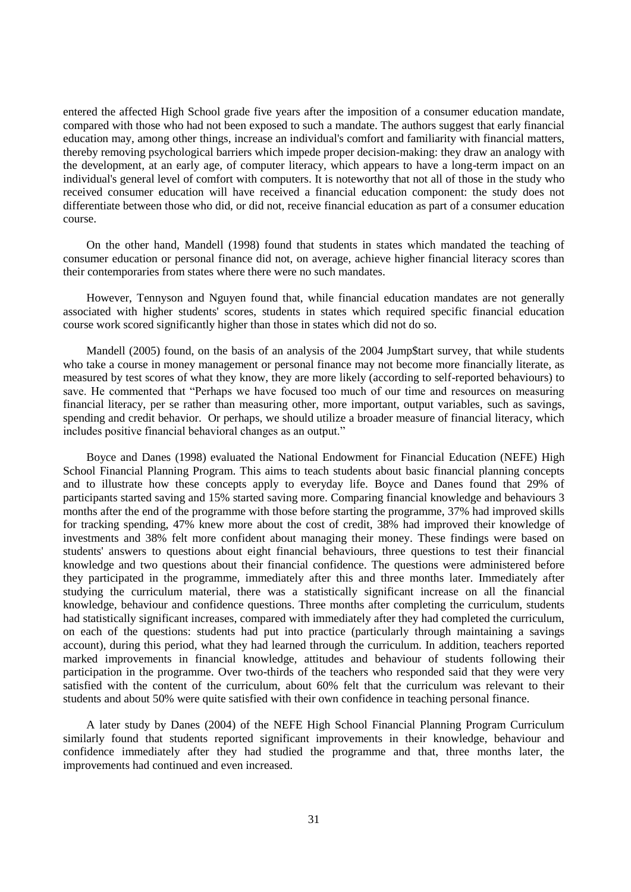entered the affected High School grade five years after the imposition of a consumer education mandate, compared with those who had not been exposed to such a mandate. The authors suggest that early financial education may, among other things, increase an individual's comfort and familiarity with financial matters, thereby removing psychological barriers which impede proper decision-making: they draw an analogy with the development, at an early age, of computer literacy, which appears to have a long-term impact on an individual's general level of comfort with computers. It is noteworthy that not all of those in the study who received consumer education will have received a financial education component: the study does not differentiate between those who did, or did not, receive financial education as part of a consumer education course.

On the other hand, Mandell (1998) found that students in states which mandated the teaching of consumer education or personal finance did not, on average, achieve higher financial literacy scores than their contemporaries from states where there were no such mandates.

However, Tennyson and Nguyen found that, while financial education mandates are not generally associated with higher students' scores, students in states which required specific financial education course work scored significantly higher than those in states which did not do so.

Mandell (2005) found, on the basis of an analysis of the 2004 Jump\$tart survey, that while students who take a course in money management or personal finance may not become more financially literate, as measured by test scores of what they know, they are more likely (according to self-reported behaviours) to save. He commented that "Perhaps we have focused too much of our time and resources on measuring financial literacy, per se rather than measuring other, more important, output variables, such as savings, spending and credit behavior. Or perhaps, we should utilize a broader measure of financial literacy, which includes positive financial behavioral changes as an output."

Boyce and Danes (1998) evaluated the National Endowment for Financial Education (NEFE) High School Financial Planning Program. This aims to teach students about basic financial planning concepts and to illustrate how these concepts apply to everyday life. Boyce and Danes found that 29% of participants started saving and 15% started saving more. Comparing financial knowledge and behaviours 3 months after the end of the programme with those before starting the programme, 37% had improved skills for tracking spending, 47% knew more about the cost of credit, 38% had improved their knowledge of investments and 38% felt more confident about managing their money. These findings were based on students' answers to questions about eight financial behaviours, three questions to test their financial knowledge and two questions about their financial confidence. The questions were administered before they participated in the programme, immediately after this and three months later. Immediately after studying the curriculum material, there was a statistically significant increase on all the financial knowledge, behaviour and confidence questions. Three months after completing the curriculum, students had statistically significant increases, compared with immediately after they had completed the curriculum, on each of the questions: students had put into practice (particularly through maintaining a savings account), during this period, what they had learned through the curriculum. In addition, teachers reported marked improvements in financial knowledge, attitudes and behaviour of students following their participation in the programme. Over two-thirds of the teachers who responded said that they were very satisfied with the content of the curriculum, about 60% felt that the curriculum was relevant to their students and about 50% were quite satisfied with their own confidence in teaching personal finance.

A later study by Danes (2004) of the NEFE High School Financial Planning Program Curriculum similarly found that students reported significant improvements in their knowledge, behaviour and confidence immediately after they had studied the programme and that, three months later, the improvements had continued and even increased.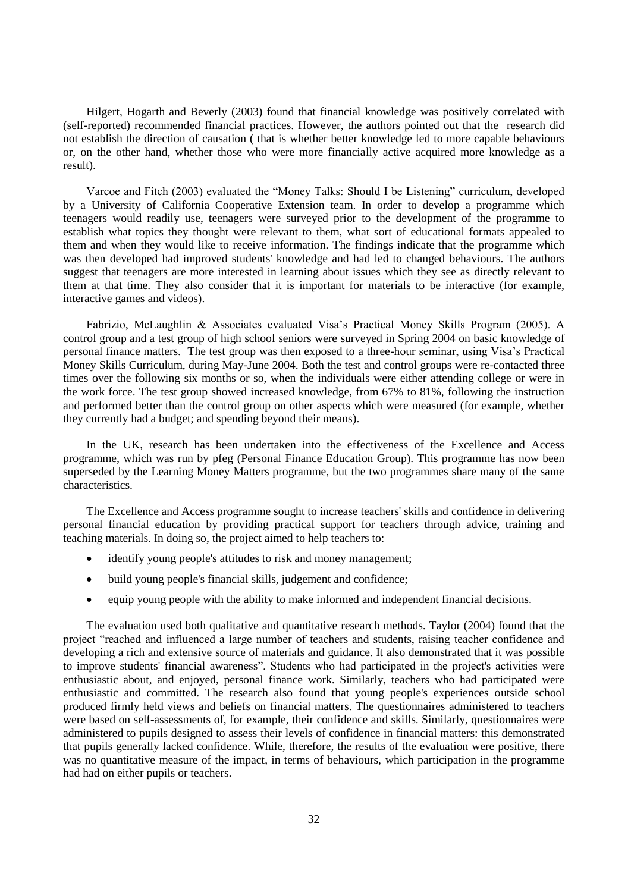Hilgert, Hogarth and Beverly (2003) found that financial knowledge was positively correlated with (self-reported) recommended financial practices. However, the authors pointed out that the research did not establish the direction of causation ( that is whether better knowledge led to more capable behaviours or, on the other hand, whether those who were more financially active acquired more knowledge as a result).

Varcoe and Fitch (2003) evaluated the "Money Talks: Should I be Listening" curriculum, developed by a University of California Cooperative Extension team. In order to develop a programme which teenagers would readily use, teenagers were surveyed prior to the development of the programme to establish what topics they thought were relevant to them, what sort of educational formats appealed to them and when they would like to receive information. The findings indicate that the programme which was then developed had improved students' knowledge and had led to changed behaviours. The authors suggest that teenagers are more interested in learning about issues which they see as directly relevant to them at that time. They also consider that it is important for materials to be interactive (for example, interactive games and videos).

Fabrizio, McLaughlin & Associates evaluated Visa's Practical Money Skills Program (2005). A control group and a test group of high school seniors were surveyed in Spring 2004 on basic knowledge of personal finance matters. The test group was then exposed to a three-hour seminar, using Visa"s Practical Money Skills Curriculum, during May-June 2004. Both the test and control groups were re-contacted three times over the following six months or so, when the individuals were either attending college or were in the work force. The test group showed increased knowledge, from 67% to 81%, following the instruction and performed better than the control group on other aspects which were measured (for example, whether they currently had a budget; and spending beyond their means).

In the UK, research has been undertaken into the effectiveness of the Excellence and Access programme, which was run by pfeg (Personal Finance Education Group). This programme has now been superseded by the Learning Money Matters programme, but the two programmes share many of the same characteristics.

The Excellence and Access programme sought to increase teachers' skills and confidence in delivering personal financial education by providing practical support for teachers through advice, training and teaching materials. In doing so, the project aimed to help teachers to:

- identify young people's attitudes to risk and money management;
- build young people's financial skills, judgement and confidence;
- equip young people with the ability to make informed and independent financial decisions.

The evaluation used both qualitative and quantitative research methods. Taylor (2004) found that the project "reached and influenced a large number of teachers and students, raising teacher confidence and developing a rich and extensive source of materials and guidance. It also demonstrated that it was possible to improve students' financial awareness". Students who had participated in the project's activities were enthusiastic about, and enjoyed, personal finance work. Similarly, teachers who had participated were enthusiastic and committed. The research also found that young people's experiences outside school produced firmly held views and beliefs on financial matters. The questionnaires administered to teachers were based on self-assessments of, for example, their confidence and skills. Similarly, questionnaires were administered to pupils designed to assess their levels of confidence in financial matters: this demonstrated that pupils generally lacked confidence. While, therefore, the results of the evaluation were positive, there was no quantitative measure of the impact, in terms of behaviours, which participation in the programme had had on either pupils or teachers.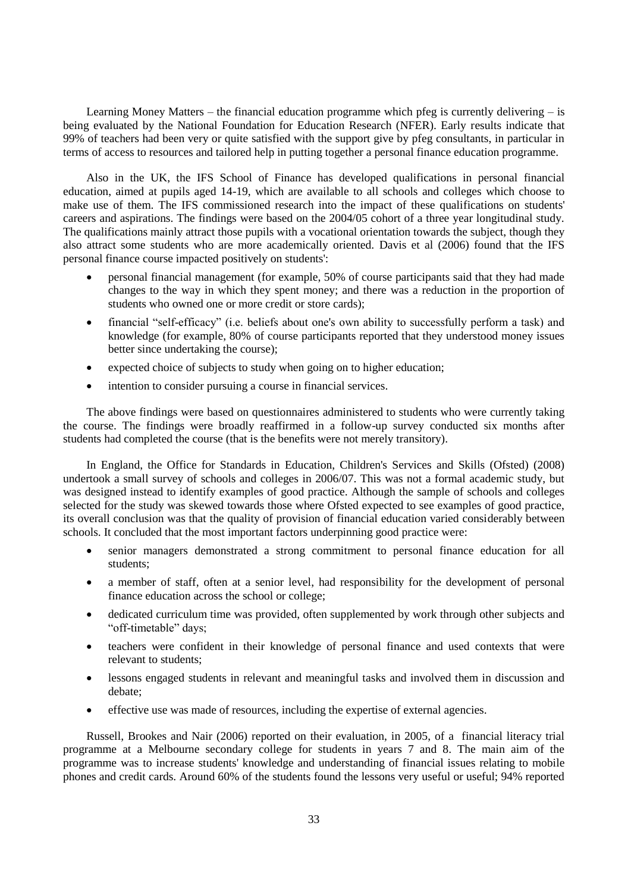Learning Money Matters – the financial education programme which pfeg is currently delivering – is being evaluated by the National Foundation for Education Research (NFER). Early results indicate that 99% of teachers had been very or quite satisfied with the support give by pfeg consultants, in particular in terms of access to resources and tailored help in putting together a personal finance education programme.

Also in the UK, the IFS School of Finance has developed qualifications in personal financial education, aimed at pupils aged 14-19, which are available to all schools and colleges which choose to make use of them. The IFS commissioned research into the impact of these qualifications on students' careers and aspirations. The findings were based on the 2004/05 cohort of a three year longitudinal study. The qualifications mainly attract those pupils with a vocational orientation towards the subject, though they also attract some students who are more academically oriented. Davis et al (2006) found that the IFS personal finance course impacted positively on students':

- personal financial management (for example, 50% of course participants said that they had made changes to the way in which they spent money; and there was a reduction in the proportion of students who owned one or more credit or store cards);
- financial "self-efficacy" (i.e. beliefs about one's own ability to successfully perform a task) and knowledge (for example, 80% of course participants reported that they understood money issues better since undertaking the course);
- expected choice of subjects to study when going on to higher education;
- intention to consider pursuing a course in financial services.

The above findings were based on questionnaires administered to students who were currently taking the course. The findings were broadly reaffirmed in a follow-up survey conducted six months after students had completed the course (that is the benefits were not merely transitory).

In England, the Office for Standards in Education, Children's Services and Skills (Ofsted) (2008) undertook a small survey of schools and colleges in 2006/07. This was not a formal academic study, but was designed instead to identify examples of good practice. Although the sample of schools and colleges selected for the study was skewed towards those where Ofsted expected to see examples of good practice, its overall conclusion was that the quality of provision of financial education varied considerably between schools. It concluded that the most important factors underpinning good practice were:

- senior managers demonstrated a strong commitment to personal finance education for all students;
- a member of staff, often at a senior level, had responsibility for the development of personal finance education across the school or college;
- dedicated curriculum time was provided, often supplemented by work through other subjects and "off-timetable" days;
- teachers were confident in their knowledge of personal finance and used contexts that were relevant to students;
- lessons engaged students in relevant and meaningful tasks and involved them in discussion and debate;
- effective use was made of resources, including the expertise of external agencies.

Russell, Brookes and Nair (2006) reported on their evaluation, in 2005, of a financial literacy trial programme at a Melbourne secondary college for students in years 7 and 8. The main aim of the programme was to increase students' knowledge and understanding of financial issues relating to mobile phones and credit cards. Around 60% of the students found the lessons very useful or useful; 94% reported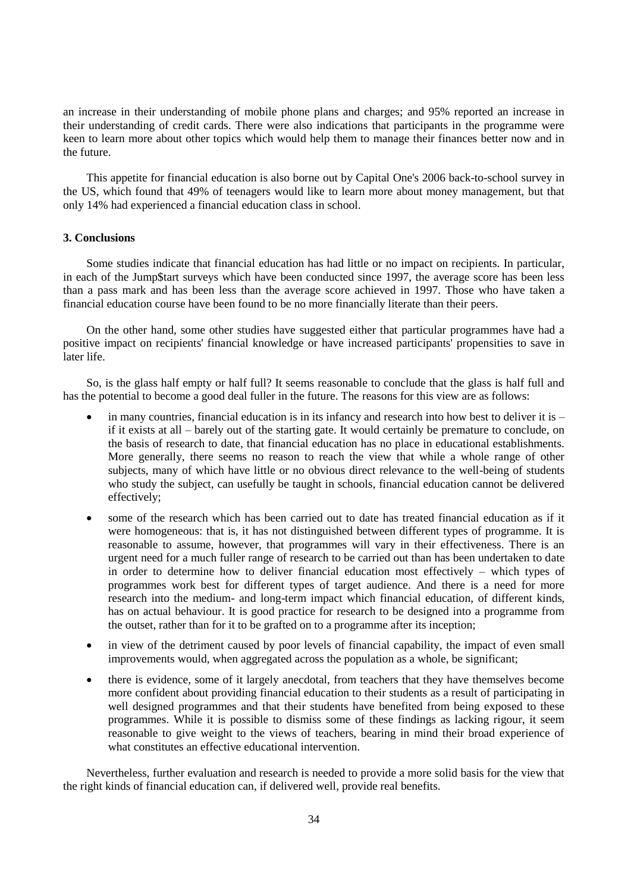an increase in their understanding of mobile phone plans and charges; and 95% reported an increase in their understanding of credit cards. There were also indications that participants in the programme were keen to learn more about other topics which would help them to manage their finances better now and in the future.

This appetite for financial education is also borne out by Capital One's 2006 back-to-school survey in the US, which found that 49% of teenagers would like to learn more about money management, but that only 14% had experienced a financial education class in school.

### **3. Conclusions**

Some studies indicate that financial education has had little or no impact on recipients. In particular, in each of the Jump\$tart surveys which have been conducted since 1997, the average score has been less than a pass mark and has been less than the average score achieved in 1997. Those who have taken a financial education course have been found to be no more financially literate than their peers.

On the other hand, some other studies have suggested either that particular programmes have had a positive impact on recipients' financial knowledge or have increased participants' propensities to save in later life.

So, is the glass half empty or half full? It seems reasonable to conclude that the glass is half full and has the potential to become a good deal fuller in the future. The reasons for this view are as follows:

- in many countries, financial education is in its infancy and research into how best to deliver it is if it exists at all – barely out of the starting gate. It would certainly be premature to conclude, on the basis of research to date, that financial education has no place in educational establishments. More generally, there seems no reason to reach the view that while a whole range of other subjects, many of which have little or no obvious direct relevance to the well-being of students who study the subject, can usefully be taught in schools, financial education cannot be delivered effectively;
- some of the research which has been carried out to date has treated financial education as if it were homogeneous: that is, it has not distinguished between different types of programme. It is reasonable to assume, however, that programmes will vary in their effectiveness. There is an urgent need for a much fuller range of research to be carried out than has been undertaken to date in order to determine how to deliver financial education most effectively – which types of programmes work best for different types of target audience. And there is a need for more research into the medium- and long-term impact which financial education, of different kinds, has on actual behaviour. It is good practice for research to be designed into a programme from the outset, rather than for it to be grafted on to a programme after its inception;
- in view of the detriment caused by poor levels of financial capability, the impact of even small improvements would, when aggregated across the population as a whole, be significant;
- there is evidence, some of it largely anecdotal, from teachers that they have themselves become more confident about providing financial education to their students as a result of participating in well designed programmes and that their students have benefited from being exposed to these programmes. While it is possible to dismiss some of these findings as lacking rigour, it seem reasonable to give weight to the views of teachers, bearing in mind their broad experience of what constitutes an effective educational intervention.

Nevertheless, further evaluation and research is needed to provide a more solid basis for the view that the right kinds of financial education can, if delivered well, provide real benefits.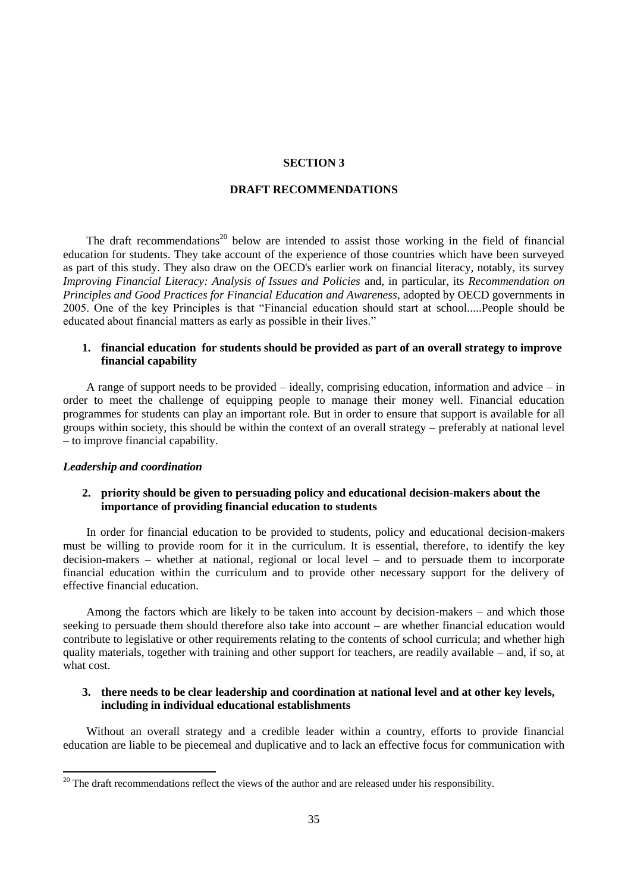#### **SECTION 3**

### **DRAFT RECOMMENDATIONS**

The draft recommendations<sup>20</sup> below are intended to assist those working in the field of financial education for students. They take account of the experience of those countries which have been surveyed as part of this study. They also draw on the OECD's earlier work on financial literacy, notably, its survey *Improving Financial Literacy: Analysis of Issues and Policies* and, in particular, its *Recommendation on Principles and Good Practices for Financial Education and Awareness*, adopted by OECD governments in 2005. One of the key Principles is that "Financial education should start at school.....People should be educated about financial matters as early as possible in their lives."

## **1. financial education for students should be provided as part of an overall strategy to improve financial capability**

A range of support needs to be provided – ideally, comprising education, information and advice – in order to meet the challenge of equipping people to manage their money well. Financial education programmes for students can play an important role. But in order to ensure that support is available for all groups within society, this should be within the context of an overall strategy – preferably at national level – to improve financial capability.

### *Leadership and coordination*

 $\overline{a}$ 

## **2. priority should be given to persuading policy and educational decision-makers about the importance of providing financial education to students**

In order for financial education to be provided to students, policy and educational decision-makers must be willing to provide room for it in the curriculum. It is essential, therefore, to identify the key decision-makers – whether at national, regional or local level – and to persuade them to incorporate financial education within the curriculum and to provide other necessary support for the delivery of effective financial education.

Among the factors which are likely to be taken into account by decision-makers – and which those seeking to persuade them should therefore also take into account – are whether financial education would contribute to legislative or other requirements relating to the contents of school curricula; and whether high quality materials, together with training and other support for teachers, are readily available – and, if so, at what cost.

## **3. there needs to be clear leadership and coordination at national level and at other key levels, including in individual educational establishments**

Without an overall strategy and a credible leader within a country, efforts to provide financial education are liable to be piecemeal and duplicative and to lack an effective focus for communication with

 $20$  The draft recommendations reflect the views of the author and are released under his responsibility.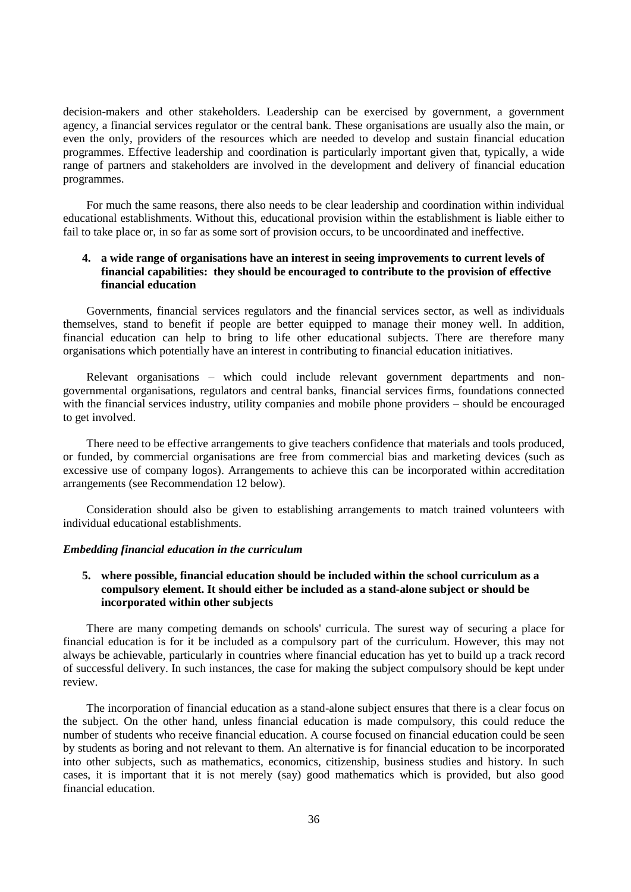decision-makers and other stakeholders. Leadership can be exercised by government, a government agency, a financial services regulator or the central bank. These organisations are usually also the main, or even the only, providers of the resources which are needed to develop and sustain financial education programmes. Effective leadership and coordination is particularly important given that, typically, a wide range of partners and stakeholders are involved in the development and delivery of financial education programmes.

For much the same reasons, there also needs to be clear leadership and coordination within individual educational establishments. Without this, educational provision within the establishment is liable either to fail to take place or, in so far as some sort of provision occurs, to be uncoordinated and ineffective.

## **4. a wide range of organisations have an interest in seeing improvements to current levels of financial capabilities: they should be encouraged to contribute to the provision of effective financial education**

Governments, financial services regulators and the financial services sector, as well as individuals themselves, stand to benefit if people are better equipped to manage their money well. In addition, financial education can help to bring to life other educational subjects. There are therefore many organisations which potentially have an interest in contributing to financial education initiatives.

Relevant organisations – which could include relevant government departments and nongovernmental organisations, regulators and central banks, financial services firms, foundations connected with the financial services industry, utility companies and mobile phone providers – should be encouraged to get involved.

There need to be effective arrangements to give teachers confidence that materials and tools produced, or funded, by commercial organisations are free from commercial bias and marketing devices (such as excessive use of company logos). Arrangements to achieve this can be incorporated within accreditation arrangements (see Recommendation 12 below).

Consideration should also be given to establishing arrangements to match trained volunteers with individual educational establishments.

### *Embedding financial education in the curriculum*

## **5. where possible, financial education should be included within the school curriculum as a compulsory element. It should either be included as a stand-alone subject or should be incorporated within other subjects**

There are many competing demands on schools' curricula. The surest way of securing a place for financial education is for it be included as a compulsory part of the curriculum. However, this may not always be achievable, particularly in countries where financial education has yet to build up a track record of successful delivery. In such instances, the case for making the subject compulsory should be kept under review.

The incorporation of financial education as a stand-alone subject ensures that there is a clear focus on the subject. On the other hand, unless financial education is made compulsory, this could reduce the number of students who receive financial education. A course focused on financial education could be seen by students as boring and not relevant to them. An alternative is for financial education to be incorporated into other subjects, such as mathematics, economics, citizenship, business studies and history. In such cases, it is important that it is not merely (say) good mathematics which is provided, but also good financial education.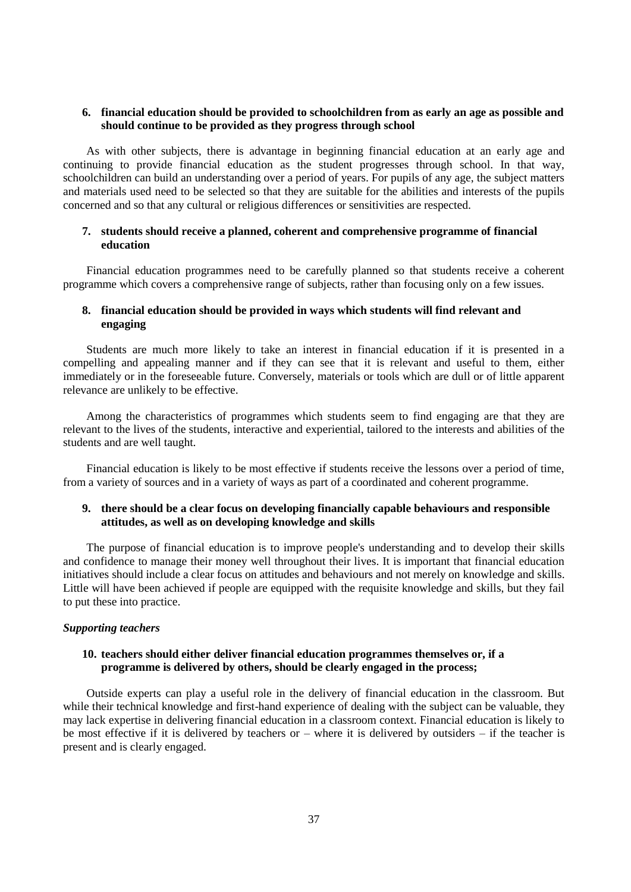## **6. financial education should be provided to schoolchildren from as early an age as possible and should continue to be provided as they progress through school**

As with other subjects, there is advantage in beginning financial education at an early age and continuing to provide financial education as the student progresses through school. In that way, schoolchildren can build an understanding over a period of years. For pupils of any age, the subject matters and materials used need to be selected so that they are suitable for the abilities and interests of the pupils concerned and so that any cultural or religious differences or sensitivities are respected.

## **7. students should receive a planned, coherent and comprehensive programme of financial education**

Financial education programmes need to be carefully planned so that students receive a coherent programme which covers a comprehensive range of subjects, rather than focusing only on a few issues.

## **8. financial education should be provided in ways which students will find relevant and engaging**

Students are much more likely to take an interest in financial education if it is presented in a compelling and appealing manner and if they can see that it is relevant and useful to them, either immediately or in the foreseeable future. Conversely, materials or tools which are dull or of little apparent relevance are unlikely to be effective.

Among the characteristics of programmes which students seem to find engaging are that they are relevant to the lives of the students, interactive and experiential, tailored to the interests and abilities of the students and are well taught.

Financial education is likely to be most effective if students receive the lessons over a period of time, from a variety of sources and in a variety of ways as part of a coordinated and coherent programme.

## **9. there should be a clear focus on developing financially capable behaviours and responsible attitudes, as well as on developing knowledge and skills**

The purpose of financial education is to improve people's understanding and to develop their skills and confidence to manage their money well throughout their lives. It is important that financial education initiatives should include a clear focus on attitudes and behaviours and not merely on knowledge and skills. Little will have been achieved if people are equipped with the requisite knowledge and skills, but they fail to put these into practice.

### *Supporting teachers*

## **10. teachers should either deliver financial education programmes themselves or, if a programme is delivered by others, should be clearly engaged in the process;**

Outside experts can play a useful role in the delivery of financial education in the classroom. But while their technical knowledge and first-hand experience of dealing with the subject can be valuable, they may lack expertise in delivering financial education in a classroom context. Financial education is likely to be most effective if it is delivered by teachers or – where it is delivered by outsiders – if the teacher is present and is clearly engaged.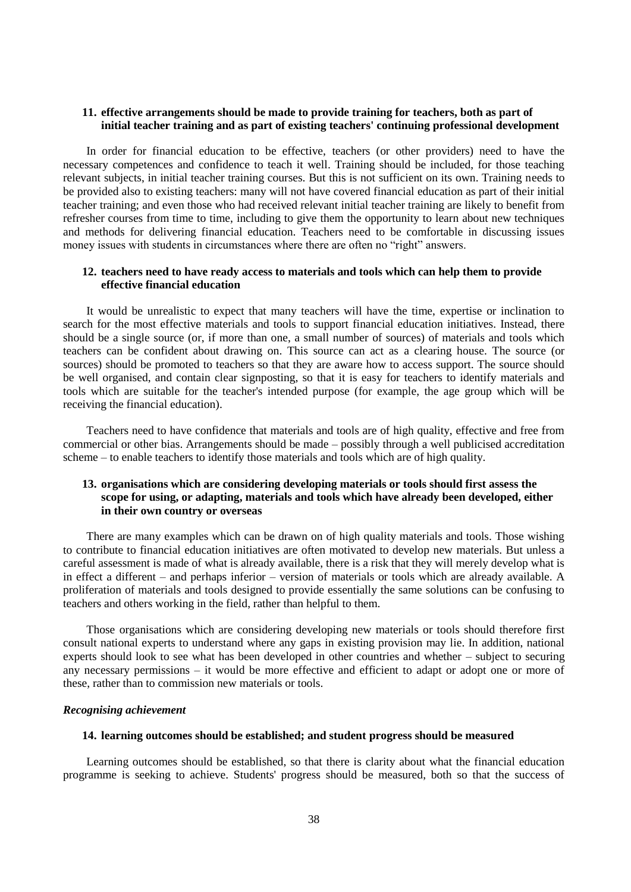## **11. effective arrangements should be made to provide training for teachers, both as part of initial teacher training and as part of existing teachers' continuing professional development**

In order for financial education to be effective, teachers (or other providers) need to have the necessary competences and confidence to teach it well. Training should be included, for those teaching relevant subjects, in initial teacher training courses. But this is not sufficient on its own. Training needs to be provided also to existing teachers: many will not have covered financial education as part of their initial teacher training; and even those who had received relevant initial teacher training are likely to benefit from refresher courses from time to time, including to give them the opportunity to learn about new techniques and methods for delivering financial education. Teachers need to be comfortable in discussing issues money issues with students in circumstances where there are often no "right" answers.

## **12. teachers need to have ready access to materials and tools which can help them to provide effective financial education**

It would be unrealistic to expect that many teachers will have the time, expertise or inclination to search for the most effective materials and tools to support financial education initiatives. Instead, there should be a single source (or, if more than one, a small number of sources) of materials and tools which teachers can be confident about drawing on. This source can act as a clearing house. The source (or sources) should be promoted to teachers so that they are aware how to access support. The source should be well organised, and contain clear signposting, so that it is easy for teachers to identify materials and tools which are suitable for the teacher's intended purpose (for example, the age group which will be receiving the financial education).

Teachers need to have confidence that materials and tools are of high quality, effective and free from commercial or other bias. Arrangements should be made – possibly through a well publicised accreditation scheme – to enable teachers to identify those materials and tools which are of high quality.

## **13. organisations which are considering developing materials or tools should first assess the scope for using, or adapting, materials and tools which have already been developed, either in their own country or overseas**

There are many examples which can be drawn on of high quality materials and tools. Those wishing to contribute to financial education initiatives are often motivated to develop new materials. But unless a careful assessment is made of what is already available, there is a risk that they will merely develop what is in effect a different – and perhaps inferior – version of materials or tools which are already available. A proliferation of materials and tools designed to provide essentially the same solutions can be confusing to teachers and others working in the field, rather than helpful to them.

Those organisations which are considering developing new materials or tools should therefore first consult national experts to understand where any gaps in existing provision may lie. In addition, national experts should look to see what has been developed in other countries and whether – subject to securing any necessary permissions – it would be more effective and efficient to adapt or adopt one or more of these, rather than to commission new materials or tools.

#### *Recognising achievement*

## **14. learning outcomes should be established; and student progress should be measured**

Learning outcomes should be established, so that there is clarity about what the financial education programme is seeking to achieve. Students' progress should be measured, both so that the success of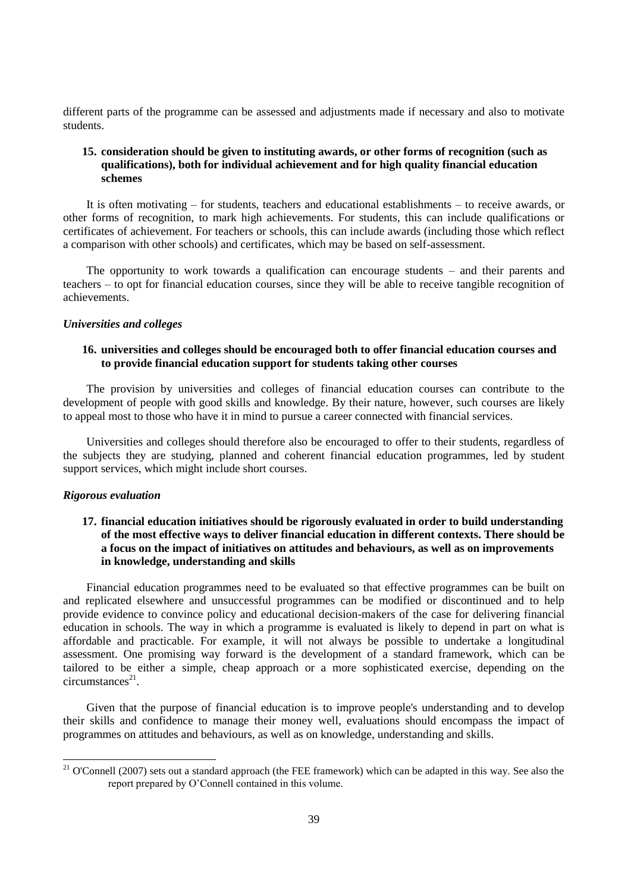different parts of the programme can be assessed and adjustments made if necessary and also to motivate students.

## **15. consideration should be given to instituting awards, or other forms of recognition (such as qualifications), both for individual achievement and for high quality financial education schemes**

It is often motivating – for students, teachers and educational establishments – to receive awards, or other forms of recognition, to mark high achievements. For students, this can include qualifications or certificates of achievement. For teachers or schools, this can include awards (including those which reflect a comparison with other schools) and certificates, which may be based on self-assessment.

The opportunity to work towards a qualification can encourage students – and their parents and teachers – to opt for financial education courses, since they will be able to receive tangible recognition of achievements.

### *Universities and colleges*

## **16. universities and colleges should be encouraged both to offer financial education courses and to provide financial education support for students taking other courses**

The provision by universities and colleges of financial education courses can contribute to the development of people with good skills and knowledge. By their nature, however, such courses are likely to appeal most to those who have it in mind to pursue a career connected with financial services.

Universities and colleges should therefore also be encouraged to offer to their students, regardless of the subjects they are studying, planned and coherent financial education programmes, led by student support services, which might include short courses.

### *Rigorous evaluation*

l

## **17. financial education initiatives should be rigorously evaluated in order to build understanding of the most effective ways to deliver financial education in different contexts. There should be a focus on the impact of initiatives on attitudes and behaviours, as well as on improvements in knowledge, understanding and skills**

Financial education programmes need to be evaluated so that effective programmes can be built on and replicated elsewhere and unsuccessful programmes can be modified or discontinued and to help provide evidence to convince policy and educational decision-makers of the case for delivering financial education in schools. The way in which a programme is evaluated is likely to depend in part on what is affordable and practicable. For example, it will not always be possible to undertake a longitudinal assessment. One promising way forward is the development of a standard framework, which can be tailored to be either a simple, cheap approach or a more sophisticated exercise, depending on the  $circumstances<sup>21</sup>$ .

Given that the purpose of financial education is to improve people's understanding and to develop their skills and confidence to manage their money well, evaluations should encompass the impact of programmes on attitudes and behaviours, as well as on knowledge, understanding and skills.

 $21$  O'Connell (2007) sets out a standard approach (the FEE framework) which can be adapted in this way. See also the report prepared by O"Connell contained in this volume.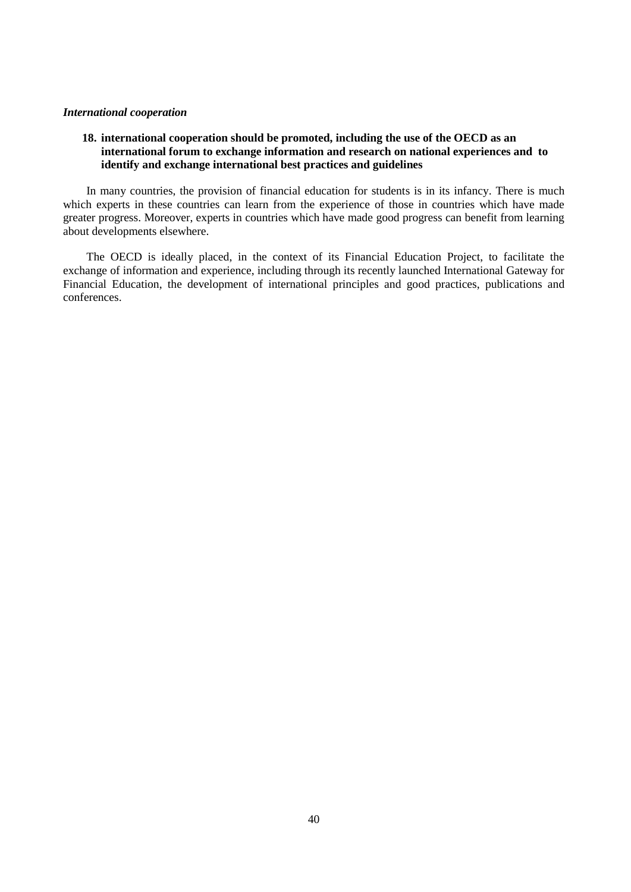## *International cooperation*

## **18. international cooperation should be promoted, including the use of the OECD as an international forum to exchange information and research on national experiences and to identify and exchange international best practices and guidelines**

In many countries, the provision of financial education for students is in its infancy. There is much which experts in these countries can learn from the experience of those in countries which have made greater progress. Moreover, experts in countries which have made good progress can benefit from learning about developments elsewhere.

The OECD is ideally placed, in the context of its Financial Education Project, to facilitate the exchange of information and experience, including through its recently launched International Gateway for Financial Education, the development of international principles and good practices, publications and conferences.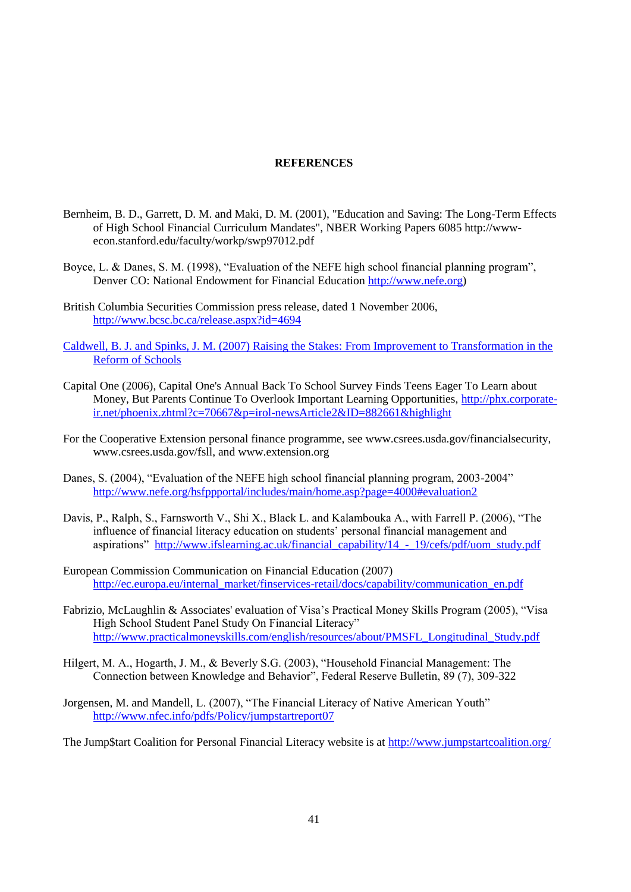### **REFERENCES**

- Bernheim, B. D., Garrett, D. M. and Maki, D. M. (2001), "Education and Saving: The Long-Term Effects of High School Financial Curriculum Mandates", NBER Working Papers 6085 http://wwwecon.stanford.edu/faculty/workp/swp97012.pdf
- Boyce, L. & Danes, S. M. (1998), "Evaluation of the NEFE high school financial planning program", Denver CO: National Endowment for Financial Education [http://www.nefe.org\)](http://www.nefe.org/)
- British Columbia Securities Commission press release, dated 1 November 2006, <http://www.bcsc.bc.ca/release.aspx?id=4694>
- Caldwell, B. J. and Spinks, J. M. (2007) Raising the Stakes: From Improvement to Transformation in the Reform of Schools
- Capital One (2006), Capital One's Annual Back To School Survey Finds Teens Eager To Learn about Money, But Parents Continue To Overlook Important Learning Opportunities, [http://phx.corporate](http://phx.corporate-ir.net/phoenix.zhtml?c=70667&p=irol-newsArticle2&ID=882661&highlight)[ir.net/phoenix.zhtml?c=70667&p=irol-newsArticle2&ID=882661&highlight](http://phx.corporate-ir.net/phoenix.zhtml?c=70667&p=irol-newsArticle2&ID=882661&highlight)
- For the Cooperative Extension personal finance programme, see www.csrees.usda.gov/financialsecurity, www.csrees.usda.gov/fsll, and www.extension.org
- Danes, S. (2004), "Evaluation of the NEFE high school financial planning program, 2003-2004" <http://www.nefe.org/hsfppportal/includes/main/home.asp?page=4000#evaluation2>
- Davis, P., Ralph, S., Farnsworth V., Shi X., Black L. and Kalambouka A., with Farrell P. (2006), "The influence of financial literacy education on students' personal financial management and aspirations" [http://www.ifslearning.ac.uk/financial\\_capability/14\\_-\\_19/cefs/pdf/uom\\_study.pdf](http://www.ifslearning.ac.uk/financial_capability/14_-_19/cefs/pdf/uom_study.pdf)
- European Commission Communication on Financial Education (2007) [http://ec.europa.eu/internal\\_market/finservices-retail/docs/capability/communication\\_en.pdf](http://ec.europa.eu/internal_market/finservices-retail/docs/capability/communication_en.pdf)
- Fabrizio, McLaughlin & Associates' evaluation of Visa"s Practical Money Skills Program (2005), "Visa High School Student Panel Study On Financial Literacy" [http://www.practicalmoneyskills.com/english/resources/about/PMSFL\\_Longitudinal\\_Study.pdf](http://www.practicalmoneyskills.com/english/resources/about/PMSFL_Longitudinal_Study.pdf)
- Hilgert, M. A., Hogarth, J. M., & Beverly S.G. (2003), "Household Financial Management: The Connection between Knowledge and Behavior", Federal Reserve Bulletin, 89 (7), 309-322
- Jorgensen, M. and Mandell, L. (2007), "The Financial Literacy of Native American Youth" <http://www.nfec.info/pdfs/Policy/jumpstartreport07>

The Jump\$tart Coalition for Personal Financial Literacy website is at<http://www.jumpstartcoalition.org/>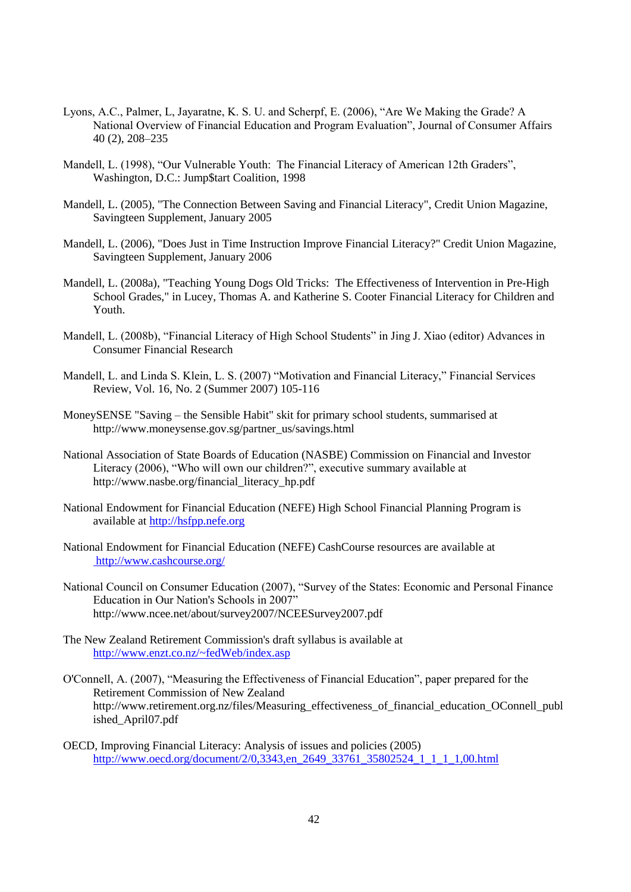- Lyons, A.C., Palmer, L, Jayaratne, K. S. U. and Scherpf, E. (2006), "Are We Making the Grade? A National Overview of Financial Education and Program Evaluation", Journal of Consumer Affairs 40 (2), 208–235
- Mandell, L. (1998), "Our Vulnerable Youth: The Financial Literacy of American 12th Graders", Washington, D.C.: Jump\$tart Coalition, 1998
- Mandell, L. (2005), "The Connection Between Saving and Financial Literacy", Credit Union Magazine, Savingteen Supplement, January 2005
- Mandell, L. (2006), "Does Just in Time Instruction Improve Financial Literacy?" Credit Union Magazine, Savingteen Supplement, January 2006
- Mandell, L. (2008a), "Teaching Young Dogs Old Tricks: The Effectiveness of Intervention in Pre-High School Grades," in Lucey, Thomas A. and Katherine S. Cooter Financial Literacy for Children and Youth.
- Mandell, L. (2008b), "Financial Literacy of High School Students" in Jing J. Xiao (editor) Advances in Consumer Financial Research
- Mandell, L. and Linda S. Klein, L. S. (2007) "Motivation and Financial Literacy," Financial Services Review, Vol. 16, No. 2 (Summer 2007) 105-116
- MoneySENSE "Saving the Sensible Habit" skit for primary school students, summarised at http://www.moneysense.gov.sg/partner\_us/savings.html
- National Association of State Boards of Education (NASBE) Commission on Financial and Investor Literacy (2006), "Who will own our children?", executive summary available at http://www.nasbe.org/financial\_literacy\_hp.pdf
- National Endowment for Financial Education (NEFE) High School Financial Planning Program is available at [http://hsfpp.nefe.org](http://hsfpp.nefe.org/)
- National Endowment for Financial Education (NEFE) CashCourse resources are available at http://www.cashcourse.org/
- National Council on Consumer Education (2007), "Survey of the States: Economic and Personal Finance Education in Our Nation's Schools in 2007" http://www.ncee.net/about/survey2007/NCEESurvey2007.pdf
- The New Zealand Retirement Commission's draft syllabus is available at <http://www.enzt.co.nz/~fedWeb/index.asp>
- O'Connell, A. (2007), "Measuring the Effectiveness of Financial Education", paper prepared for the Retirement Commission of New Zealand http://www.retirement.org.nz/files/Measuring\_effectiveness\_of\_financial\_education\_OConnell\_publ ished\_April07.pdf
- OECD, Improving Financial Literacy: Analysis of issues and policies (2005) [http://www.oecd.org/document/2/0,3343,en\\_2649\\_33761\\_35802524\\_1\\_1\\_1\\_1,00.html](http://www.oecd.org/document/2/0,3343,en_2649_33761_35802524_1_1_1_1,00.html)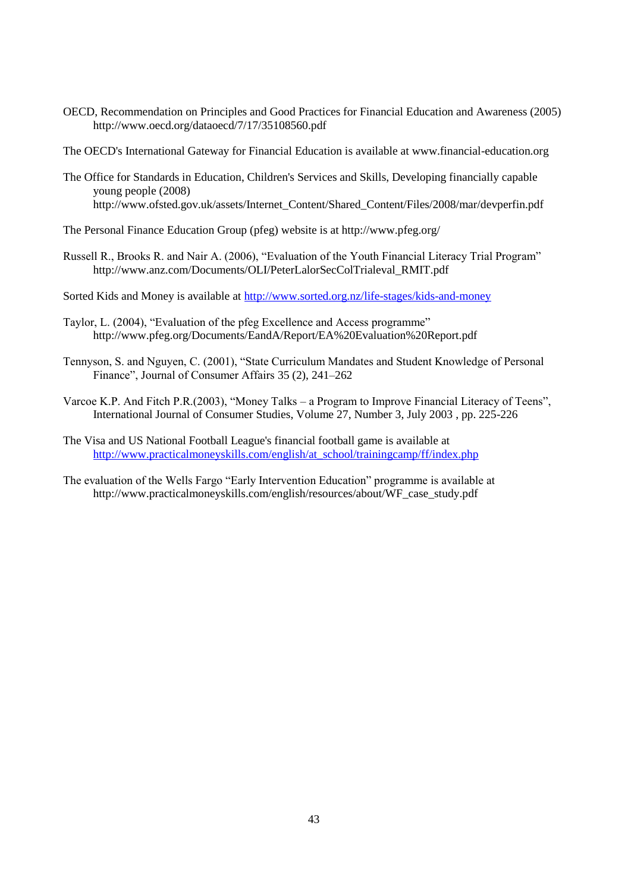OECD, Recommendation on Principles and Good Practices for Financial Education and Awareness (2005) http://www.oecd.org/dataoecd/7/17/35108560.pdf

The OECD's International Gateway for Financial Education is available at www.financial-education.org

- The Office for Standards in Education, Children's Services and Skills, Developing financially capable young people (2008) http://www.ofsted.gov.uk/assets/Internet\_Content/Shared\_Content/Files/2008/mar/devperfin.pdf
- The Personal Finance Education Group (pfeg) website is at http://www.pfeg.org/
- Russell R., Brooks R. and Nair A. (2006), "Evaluation of the Youth Financial Literacy Trial Program" http://www.anz.com/Documents/OLI/PeterLalorSecColTrialeval\_RMIT.pdf

Sorted Kids and Money is available at<http://www.sorted.org.nz/life-stages/kids-and-money>

- Taylor, L. (2004), "Evaluation of the pfeg Excellence and Access programme" http://www.pfeg.org/Documents/EandA/Report/EA%20Evaluation%20Report.pdf
- Tennyson, S. and Nguyen, C. (2001), "State Curriculum Mandates and Student Knowledge of Personal Finance", Journal of Consumer Affairs 35 (2), 241–262
- Varcoe K.P. And Fitch P.R.(2003), "Money Talks a Program to Improve Financial Literacy of Teens", International Journal of Consumer Studies, Volume 27, Number 3, July 2003 , pp. 225-226
- The Visa and US National Football League's financial football game is available at [http://www.practicalmoneyskills.com/english/at\\_school/trainingcamp/ff/index.php](http://www.practicalmoneyskills.com/english/at_school/trainingcamp/ff/index.php)
- The evaluation of the Wells Fargo "Early Intervention Education" programme is available at http://www.practicalmoneyskills.com/english/resources/about/WF\_case\_study.pdf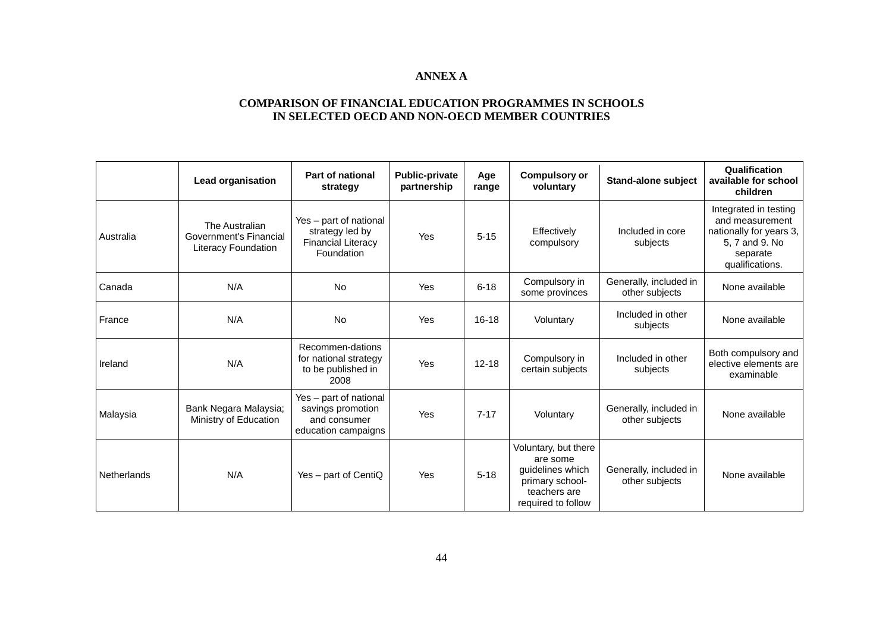## **ANNEX A**

## **COMPARISON OF FINANCIAL EDUCATION PROGRAMMES IN SCHOOLS IN SELECTED OECD AND NON-OECD MEMBER COUNTRIES**

|             | <b>Lead organisation</b>                                        | <b>Part of national</b><br>strategy                                                  | <b>Public-private</b><br>partnership | Age<br>range | <b>Compulsory or</b><br>voluntary                                                                             | <b>Stand-alone subject</b>               | Qualification<br>available for school<br>children                                                                    |
|-------------|-----------------------------------------------------------------|--------------------------------------------------------------------------------------|--------------------------------------|--------------|---------------------------------------------------------------------------------------------------------------|------------------------------------------|----------------------------------------------------------------------------------------------------------------------|
| Australia   | The Australian<br>Government's Financial<br>Literacy Foundation | Yes - part of national<br>strategy led by<br><b>Financial Literacy</b><br>Foundation | Yes                                  | $5 - 15$     | Effectively<br>compulsory                                                                                     | Included in core<br>subjects             | Integrated in testing<br>and measurement<br>nationally for years 3,<br>5, 7 and 9. No<br>separate<br>qualifications. |
| Canada      | N/A                                                             | <b>No</b>                                                                            | Yes                                  | $6 - 18$     | Compulsory in<br>some provinces                                                                               | Generally, included in<br>other subjects | None available                                                                                                       |
| France      | N/A                                                             | <b>No</b>                                                                            | Yes                                  | $16 - 18$    | Voluntary                                                                                                     | Included in other<br>subjects            | None available                                                                                                       |
| Ireland     | N/A                                                             | Recommen-dations<br>for national strategy<br>to be published in<br>2008              | Yes                                  | $12 - 18$    | Compulsory in<br>certain subjects                                                                             | Included in other<br>subjects            | Both compulsory and<br>elective elements are<br>examinable                                                           |
| Malaysia    | Bank Negara Malaysia;<br>Ministry of Education                  | Yes - part of national<br>savings promotion<br>and consumer<br>education campaigns   | Yes                                  | $7 - 17$     | Voluntary                                                                                                     | Generally, included in<br>other subjects | None available                                                                                                       |
| Netherlands | N/A                                                             | $Yes - part of CentiQ$                                                               | Yes                                  | $5 - 18$     | Voluntary, but there<br>are some<br>guidelines which<br>primary school-<br>teachers are<br>required to follow | Generally, included in<br>other subjects | None available                                                                                                       |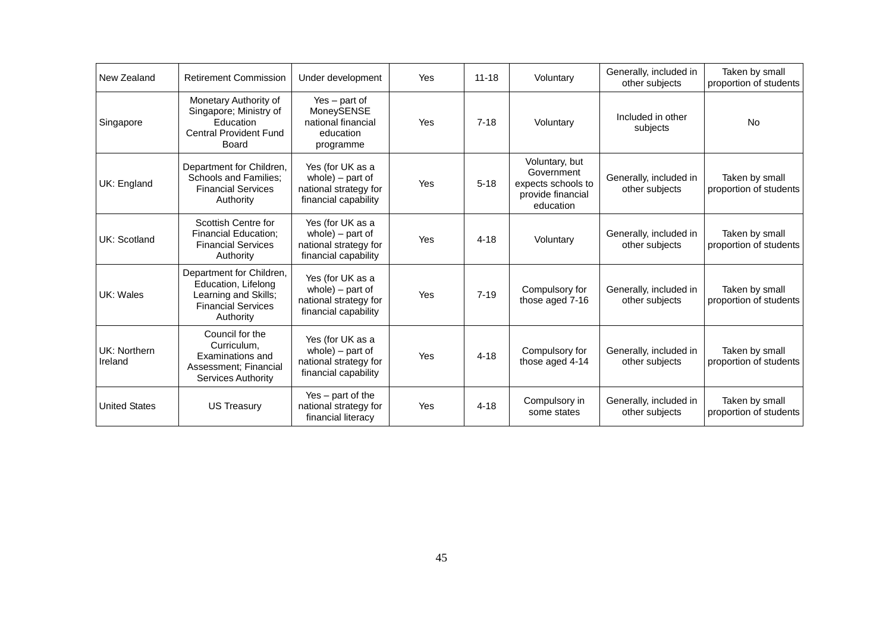| New Zealand             | <b>Retirement Commission</b>                                                                                      | Under development                                                                        | Yes | $11 - 18$ | Voluntary                                                                            | Generally, included in<br>other subjects | Taken by small<br>proportion of students |
|-------------------------|-------------------------------------------------------------------------------------------------------------------|------------------------------------------------------------------------------------------|-----|-----------|--------------------------------------------------------------------------------------|------------------------------------------|------------------------------------------|
| Singapore               | Monetary Authority of<br>Singapore; Ministry of<br>Education<br><b>Central Provident Fund</b><br><b>Board</b>     | $Yes - part of$<br>MoneySENSE<br>national financial<br>education<br>programme            | Yes | $7 - 18$  | Voluntary                                                                            | Included in other<br>subjects            | <b>No</b>                                |
| UK: England             | Department for Children,<br><b>Schools and Families;</b><br><b>Financial Services</b><br>Authority                | Yes (for UK as a<br>whole) - part of<br>national strategy for<br>financial capability    | Yes | $5 - 18$  | Voluntary, but<br>Government<br>expects schools to<br>provide financial<br>education | Generally, included in<br>other subjects | Taken by small<br>proportion of students |
| UK: Scotland            | Scottish Centre for<br><b>Financial Education;</b><br><b>Financial Services</b><br>Authority                      | Yes (for UK as a<br>whole) $-$ part of<br>national strategy for<br>financial capability  | Yes | $4 - 18$  | Voluntary                                                                            | Generally, included in<br>other subjects | Taken by small<br>proportion of students |
| UK: Wales               | Department for Children,<br>Education, Lifelong<br>Learning and Skills;<br><b>Financial Services</b><br>Authority | Yes (for UK as a<br>$whole$ ) – part of<br>national strategy for<br>financial capability | Yes | $7 - 19$  | Compulsory for<br>those aged 7-16                                                    | Generally, included in<br>other subjects | Taken by small<br>proportion of students |
| UK: Northern<br>Ireland | Council for the<br>Curriculum.<br>Examinations and<br>Assessment; Financial<br>Services Authority                 | Yes (for UK as a<br>whole) $-$ part of<br>national strategy for<br>financial capability  | Yes | $4 - 18$  | Compulsory for<br>those aged 4-14                                                    | Generally, included in<br>other subjects | Taken by small<br>proportion of students |
| <b>United States</b>    | <b>US Treasury</b>                                                                                                | $Yes - part of the$<br>national strategy for<br>financial literacy                       | Yes | $4 - 18$  | Compulsory in<br>some states                                                         | Generally, included in<br>other subjects | Taken by small<br>proportion of students |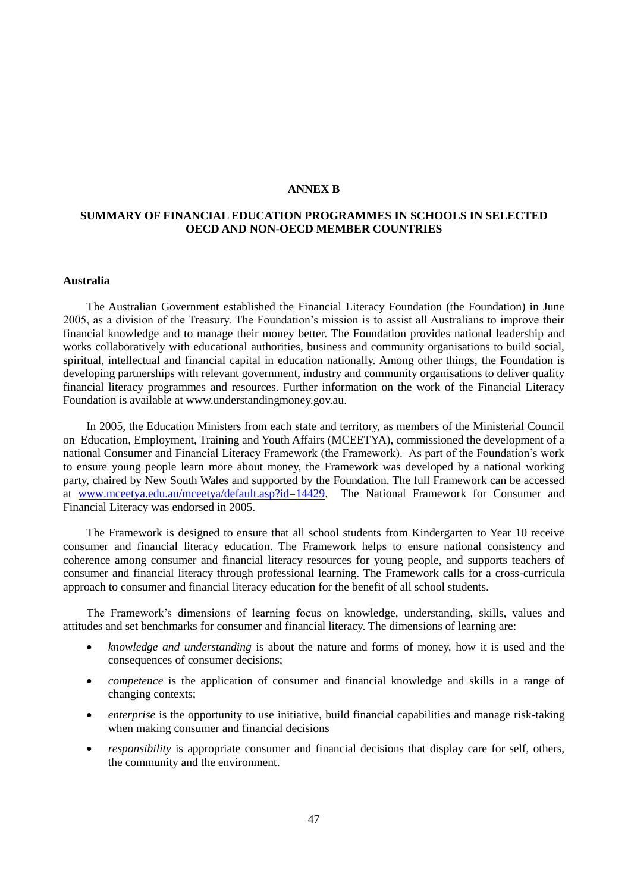### **ANNEX B**

## **SUMMARY OF FINANCIAL EDUCATION PROGRAMMES IN SCHOOLS IN SELECTED OECD AND NON-OECD MEMBER COUNTRIES**

### **Australia**

The Australian Government established the Financial Literacy Foundation (the Foundation) in June 2005, as a division of the Treasury. The Foundation"s mission is to assist all Australians to improve their financial knowledge and to manage their money better. The Foundation provides national leadership and works collaboratively with educational authorities, business and community organisations to build social, spiritual, intellectual and financial capital in education nationally. Among other things, the Foundation is developing partnerships with relevant government, industry and community organisations to deliver quality financial literacy programmes and resources. Further information on the work of the Financial Literacy Foundation is available at www.understandingmoney.gov.au.

In 2005, the Education Ministers from each state and territory, as members of the Ministerial Council on Education, Employment, Training and Youth Affairs (MCEETYA), commissioned the development of a national Consumer and Financial Literacy Framework (the Framework). As part of the Foundation"s work to ensure young people learn more about money, the Framework was developed by a national working party, chaired by New South Wales and supported by the Foundation. The full Framework can be accessed at [www.mceetya.edu.au/mceetya/default.asp?id=14429.](http://www.mceetya.edu.au/mceetya/default.asp?id=14429) The National Framework for Consumer and Financial Literacy was endorsed in 2005.

The Framework is designed to ensure that all school students from Kindergarten to Year 10 receive consumer and financial literacy education. The Framework helps to ensure national consistency and coherence among consumer and financial literacy resources for young people, and supports teachers of consumer and financial literacy through professional learning. The Framework calls for a cross-curricula approach to consumer and financial literacy education for the benefit of all school students.

The Framework"s dimensions of learning focus on knowledge, understanding, skills, values and attitudes and set benchmarks for consumer and financial literacy. The dimensions of learning are:

- *knowledge and understanding* is about the nature and forms of money, how it is used and the consequences of consumer decisions;
- *competence* is the application of consumer and financial knowledge and skills in a range of changing contexts;
- *enterprise* is the opportunity to use initiative, build financial capabilities and manage risk-taking when making consumer and financial decisions
- *responsibility* is appropriate consumer and financial decisions that display care for self, others, the community and the environment.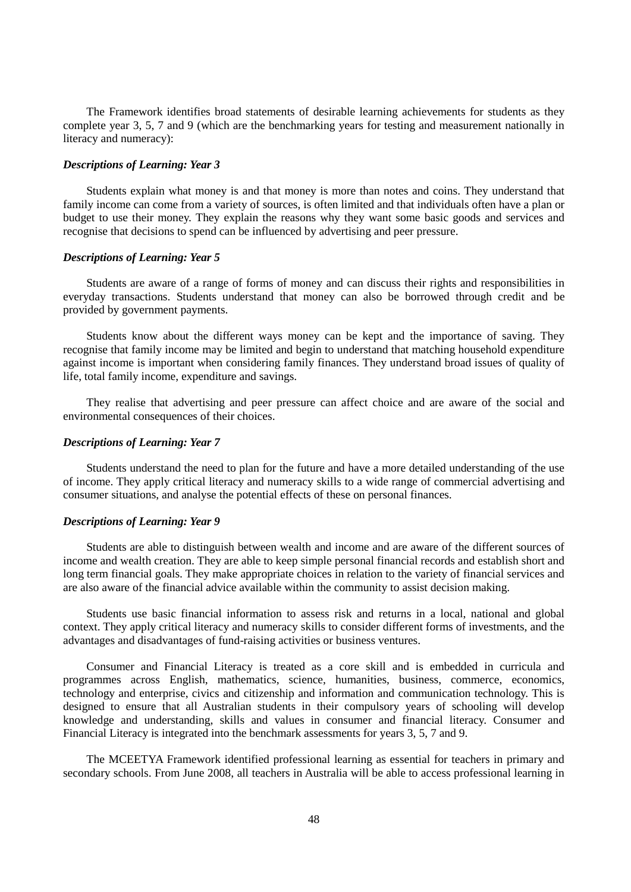The Framework identifies broad statements of desirable learning achievements for students as they complete year 3, 5, 7 and 9 (which are the benchmarking years for testing and measurement nationally in literacy and numeracy):

### *Descriptions of Learning: Year 3*

Students explain what money is and that money is more than notes and coins. They understand that family income can come from a variety of sources, is often limited and that individuals often have a plan or budget to use their money. They explain the reasons why they want some basic goods and services and recognise that decisions to spend can be influenced by advertising and peer pressure.

#### *Descriptions of Learning: Year 5*

Students are aware of a range of forms of money and can discuss their rights and responsibilities in everyday transactions. Students understand that money can also be borrowed through credit and be provided by government payments.

Students know about the different ways money can be kept and the importance of saving. They recognise that family income may be limited and begin to understand that matching household expenditure against income is important when considering family finances. They understand broad issues of quality of life, total family income, expenditure and savings.

They realise that advertising and peer pressure can affect choice and are aware of the social and environmental consequences of their choices.

### *Descriptions of Learning: Year 7*

Students understand the need to plan for the future and have a more detailed understanding of the use of income. They apply critical literacy and numeracy skills to a wide range of commercial advertising and consumer situations, and analyse the potential effects of these on personal finances.

## *Descriptions of Learning: Year 9*

Students are able to distinguish between wealth and income and are aware of the different sources of income and wealth creation. They are able to keep simple personal financial records and establish short and long term financial goals. They make appropriate choices in relation to the variety of financial services and are also aware of the financial advice available within the community to assist decision making.

Students use basic financial information to assess risk and returns in a local, national and global context. They apply critical literacy and numeracy skills to consider different forms of investments, and the advantages and disadvantages of fund-raising activities or business ventures.

Consumer and Financial Literacy is treated as a core skill and is embedded in curricula and programmes across English, mathematics, science, humanities, business, commerce, economics, technology and enterprise, civics and citizenship and information and communication technology. This is designed to ensure that all Australian students in their compulsory years of schooling will develop knowledge and understanding, skills and values in consumer and financial literacy. Consumer and Financial Literacy is integrated into the benchmark assessments for years 3, 5, 7 and 9.

The MCEETYA Framework identified professional learning as essential for teachers in primary and secondary schools. From June 2008, all teachers in Australia will be able to access professional learning in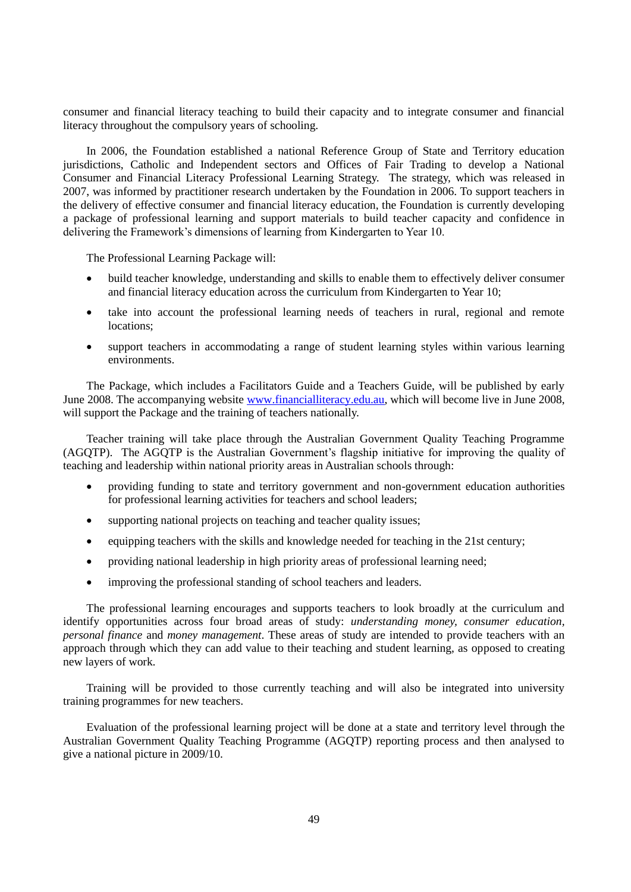consumer and financial literacy teaching to build their capacity and to integrate consumer and financial literacy throughout the compulsory years of schooling.

In 2006, the Foundation established a national Reference Group of State and Territory education jurisdictions, Catholic and Independent sectors and Offices of Fair Trading to develop a National Consumer and Financial Literacy Professional Learning Strategy. The strategy, which was released in 2007, was informed by practitioner research undertaken by the Foundation in 2006. To support teachers in the delivery of effective consumer and financial literacy education, the Foundation is currently developing a package of professional learning and support materials to build teacher capacity and confidence in delivering the Framework"s dimensions of learning from Kindergarten to Year 10.

The Professional Learning Package will:

- build teacher knowledge, understanding and skills to enable them to effectively deliver consumer and financial literacy education across the curriculum from Kindergarten to Year 10;
- take into account the professional learning needs of teachers in rural, regional and remote locations;
- support teachers in accommodating a range of student learning styles within various learning environments.

The Package, which includes a Facilitators Guide and a Teachers Guide, will be published by early June 2008. The accompanying website [www.financialliteracy.edu.au,](http://www.financialliteracy.edu.au/) which will become live in June 2008, will support the Package and the training of teachers nationally.

Teacher training will take place through the Australian Government Quality Teaching Programme (AGQTP). The AGQTP is the Australian Government"s flagship initiative for improving the quality of teaching and leadership within national priority areas in Australian schools through:

- providing funding to state and territory government and non-government education authorities for professional learning activities for teachers and school leaders;
- supporting national projects on teaching and teacher quality issues;
- equipping teachers with the skills and knowledge needed for teaching in the 21st century;
- providing national leadership in high priority areas of professional learning need;
- improving the professional standing of school teachers and leaders.

The professional learning encourages and supports teachers to look broadly at the curriculum and identify opportunities across four broad areas of study: *understanding money, consumer education, personal finance* and *money management*. These areas of study are intended to provide teachers with an approach through which they can add value to their teaching and student learning, as opposed to creating new layers of work.

Training will be provided to those currently teaching and will also be integrated into university training programmes for new teachers.

Evaluation of the professional learning project will be done at a state and territory level through the Australian Government Quality Teaching Programme (AGQTP) reporting process and then analysed to give a national picture in 2009/10.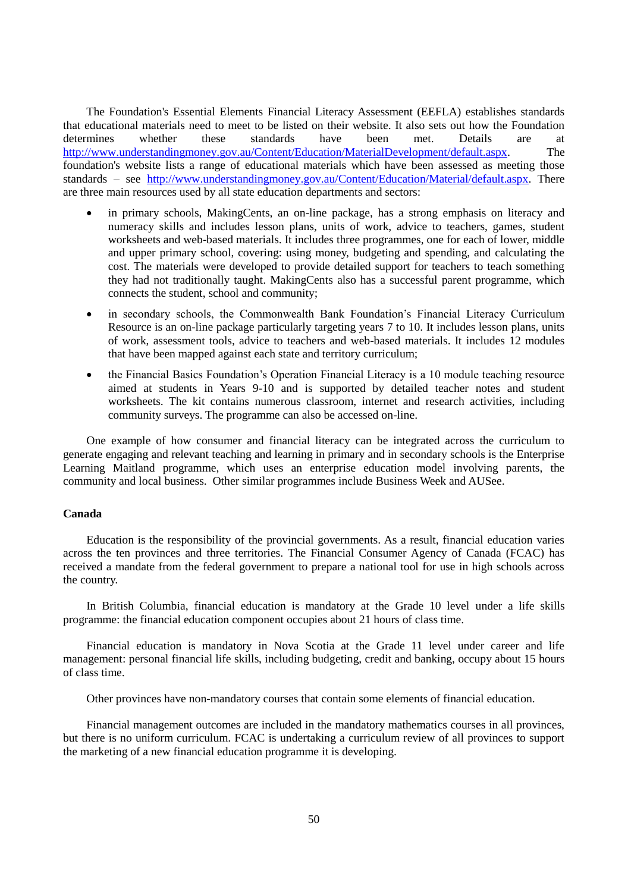The Foundation's Essential Elements Financial Literacy Assessment (EEFLA) establishes standards that educational materials need to meet to be listed on their website. It also sets out how the Foundation determines whether these standards have been met. Details are at [http://www.understandingmoney.gov.au/Content/Education/MaterialDevelopment/default.aspx.](http://www.understandingmoney.gov.au/Content/Education/MaterialDevelopment/default.aspx) The foundation's website lists a range of educational materials which have been assessed as meeting those standards – see [http://www.understandingmoney.gov.au/Content/Education/Material/default.aspx.](http://www.understandingmoney.gov.au/Content/Education/Material/default.aspx) There are three main resources used by all state education departments and sectors:

- in primary schools, MakingCents, an on-line package, has a strong emphasis on literacy and numeracy skills and includes lesson plans, units of work, advice to teachers, games, student worksheets and web-based materials. It includes three programmes, one for each of lower, middle and upper primary school, covering: using money, budgeting and spending, and calculating the cost. The materials were developed to provide detailed support for teachers to teach something they had not traditionally taught. MakingCents also has a successful parent programme, which connects the student, school and community;
- in secondary schools, the Commonwealth Bank Foundation's Financial Literacy Curriculum Resource is an on-line package particularly targeting years 7 to 10. It includes lesson plans, units of work, assessment tools, advice to teachers and web-based materials. It includes 12 modules that have been mapped against each state and territory curriculum;
- the Financial Basics Foundation"s Operation Financial Literacy is a 10 module teaching resource aimed at students in Years 9-10 and is supported by detailed teacher notes and student worksheets. The kit contains numerous classroom, internet and research activities, including community surveys. The programme can also be accessed on-line.

One example of how consumer and financial literacy can be integrated across the curriculum to generate engaging and relevant teaching and learning in primary and in secondary schools is the Enterprise Learning Maitland programme, which uses an enterprise education model involving parents, the community and local business. Other similar programmes include Business Week and AUSee.

### **Canada**

Education is the responsibility of the provincial governments. As a result, financial education varies across the ten provinces and three territories. The Financial Consumer Agency of Canada (FCAC) has received a mandate from the federal government to prepare a national tool for use in high schools across the country.

In British Columbia, financial education is mandatory at the Grade 10 level under a life skills programme: the financial education component occupies about 21 hours of class time.

Financial education is mandatory in Nova Scotia at the Grade 11 level under career and life management: personal financial life skills, including budgeting, credit and banking, occupy about 15 hours of class time.

Other provinces have non-mandatory courses that contain some elements of financial education.

Financial management outcomes are included in the mandatory mathematics courses in all provinces, but there is no uniform curriculum. FCAC is undertaking a curriculum review of all provinces to support the marketing of a new financial education programme it is developing.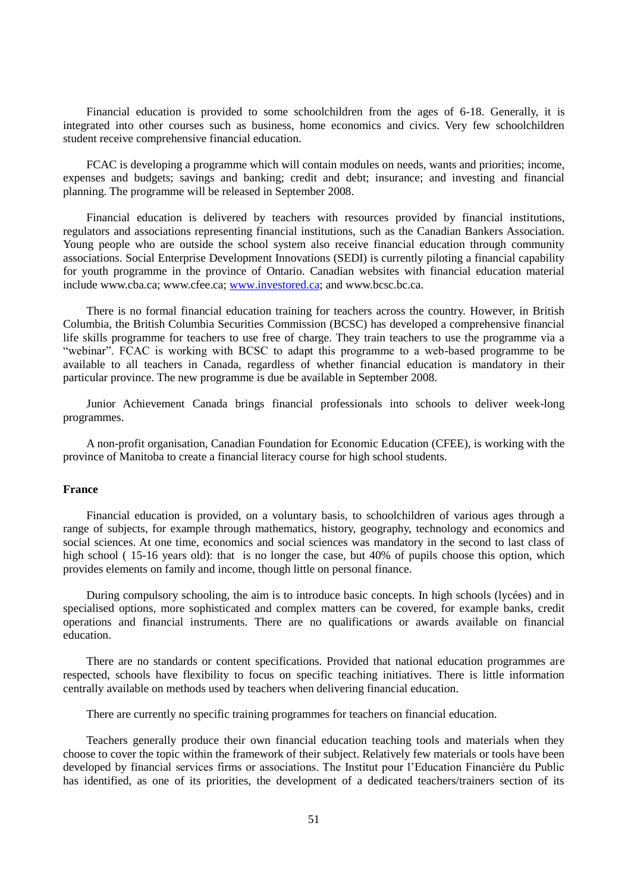Financial education is provided to some schoolchildren from the ages of 6-18. Generally, it is integrated into other courses such as business, home economics and civics. Very few schoolchildren student receive comprehensive financial education.

FCAC is developing a programme which will contain modules on needs, wants and priorities; income, expenses and budgets; savings and banking; credit and debt; insurance; and investing and financial planning. The programme will be released in September 2008.

Financial education is delivered by teachers with resources provided by financial institutions, regulators and associations representing financial institutions, such as the Canadian Bankers Association. Young people who are outside the school system also receive financial education through community associations. Social Enterprise Development Innovations (SEDI) is currently piloting a financial capability for youth programme in the province of Ontario. Canadian websites with financial education material include www.cba.ca; www.cfee.ca; [www.investored.ca;](http://www.investored.ca/) and www.bcsc.bc.ca.

There is no formal financial education training for teachers across the country. However, in British Columbia, the British Columbia Securities Commission (BCSC) has developed a comprehensive financial life skills programme for teachers to use free of charge. They train teachers to use the programme via a "webinar". FCAC is working with BCSC to adapt this programme to a web-based programme to be available to all teachers in Canada, regardless of whether financial education is mandatory in their particular province. The new programme is due be available in September 2008.

Junior Achievement Canada brings financial professionals into schools to deliver week-long programmes.

A non-profit organisation, Canadian Foundation for Economic Education (CFEE), is working with the province of Manitoba to create a financial literacy course for high school students.

### **France**

Financial education is provided, on a voluntary basis, to schoolchildren of various ages through a range of subjects, for example through mathematics, history, geography, technology and economics and social sciences. At one time, economics and social sciences was mandatory in the second to last class of high school ( 15-16 years old): that is no longer the case, but 40% of pupils choose this option, which provides elements on family and income, though little on personal finance.

During compulsory schooling, the aim is to introduce basic concepts. In high schools (lycées) and in specialised options, more sophisticated and complex matters can be covered, for example banks, credit operations and financial instruments. There are no qualifications or awards available on financial education.

There are no standards or content specifications. Provided that national education programmes are respected, schools have flexibility to focus on specific teaching initiatives. There is little information centrally available on methods used by teachers when delivering financial education.

There are currently no specific training programmes for teachers on financial education.

Teachers generally produce their own financial education teaching tools and materials when they choose to cover the topic within the framework of their subject. Relatively few materials or tools have been developed by financial services firms or associations. The Institut pour l"Education Financière du Public has identified, as one of its priorities, the development of a dedicated teachers/trainers section of its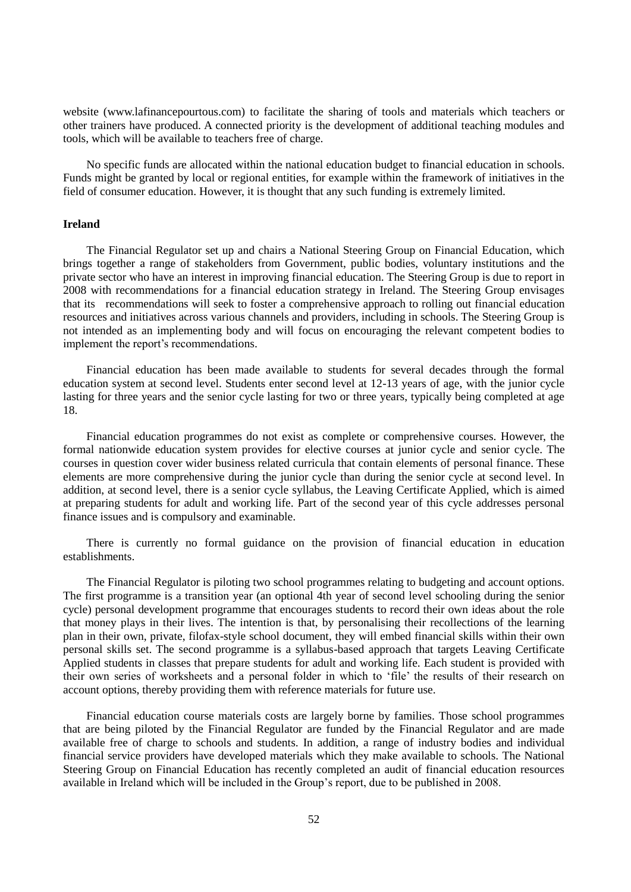website (www.lafinancepourtous.com) to facilitate the sharing of tools and materials which teachers or other trainers have produced. A connected priority is the development of additional teaching modules and tools, which will be available to teachers free of charge.

No specific funds are allocated within the national education budget to financial education in schools. Funds might be granted by local or regional entities, for example within the framework of initiatives in the field of consumer education. However, it is thought that any such funding is extremely limited.

### **Ireland**

The Financial Regulator set up and chairs a National Steering Group on Financial Education, which brings together a range of stakeholders from Government, public bodies, voluntary institutions and the private sector who have an interest in improving financial education. The Steering Group is due to report in 2008 with recommendations for a financial education strategy in Ireland. The Steering Group envisages that its recommendations will seek to foster a comprehensive approach to rolling out financial education resources and initiatives across various channels and providers, including in schools. The Steering Group is not intended as an implementing body and will focus on encouraging the relevant competent bodies to implement the report's recommendations.

Financial education has been made available to students for several decades through the formal education system at second level. Students enter second level at 12-13 years of age, with the junior cycle lasting for three years and the senior cycle lasting for two or three years, typically being completed at age 18.

Financial education programmes do not exist as complete or comprehensive courses. However, the formal nationwide education system provides for elective courses at junior cycle and senior cycle. The courses in question cover wider business related curricula that contain elements of personal finance. These elements are more comprehensive during the junior cycle than during the senior cycle at second level. In addition, at second level, there is a senior cycle syllabus, the Leaving Certificate Applied, which is aimed at preparing students for adult and working life. Part of the second year of this cycle addresses personal finance issues and is compulsory and examinable.

There is currently no formal guidance on the provision of financial education in education establishments.

The Financial Regulator is piloting two school programmes relating to budgeting and account options. The first programme is a transition year (an optional 4th year of second level schooling during the senior cycle) personal development programme that encourages students to record their own ideas about the role that money plays in their lives. The intention is that, by personalising their recollections of the learning plan in their own, private, filofax-style school document, they will embed financial skills within their own personal skills set. The second programme is a syllabus-based approach that targets Leaving Certificate Applied students in classes that prepare students for adult and working life. Each student is provided with their own series of worksheets and a personal folder in which to "file" the results of their research on account options, thereby providing them with reference materials for future use.

Financial education course materials costs are largely borne by families. Those school programmes that are being piloted by the Financial Regulator are funded by the Financial Regulator and are made available free of charge to schools and students. In addition, a range of industry bodies and individual financial service providers have developed materials which they make available to schools. The National Steering Group on Financial Education has recently completed an audit of financial education resources available in Ireland which will be included in the Group"s report, due to be published in 2008.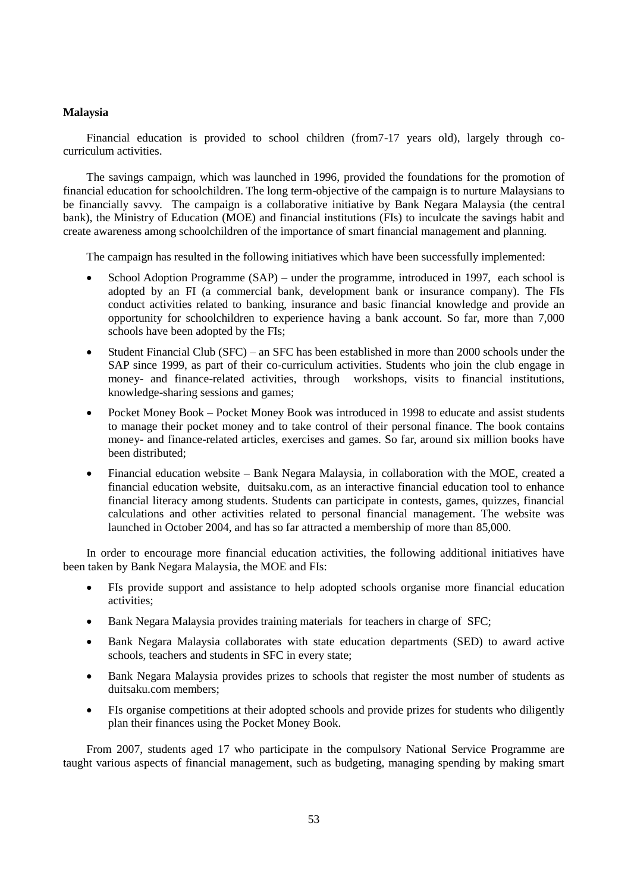## **Malaysia**

Financial education is provided to school children (from7-17 years old), largely through cocurriculum activities.

The savings campaign, which was launched in 1996, provided the foundations for the promotion of financial education for schoolchildren. The long term-objective of the campaign is to nurture Malaysians to be financially savvy. The campaign is a collaborative initiative by Bank Negara Malaysia (the central bank), the Ministry of Education (MOE) and financial institutions (FIs) to inculcate the savings habit and create awareness among schoolchildren of the importance of smart financial management and planning.

The campaign has resulted in the following initiatives which have been successfully implemented:

- School Adoption Programme (SAP) under the programme, introduced in 1997, each school is adopted by an FI (a commercial bank, development bank or insurance company). The FIs conduct activities related to banking, insurance and basic financial knowledge and provide an opportunity for schoolchildren to experience having a bank account. So far, more than 7,000 schools have been adopted by the FIs;
- Student Financial Club (SFC) an SFC has been established in more than 2000 schools under the SAP since 1999, as part of their co-curriculum activities. Students who join the club engage in money- and finance-related activities, through workshops, visits to financial institutions, knowledge-sharing sessions and games;
- Pocket Money Book Pocket Money Book was introduced in 1998 to educate and assist students to manage their pocket money and to take control of their personal finance. The book contains money- and finance-related articles, exercises and games. So far, around six million books have been distributed;
- Financial education website Bank Negara Malaysia, in collaboration with the MOE, created a financial education website, duitsaku.com, as an interactive financial education tool to enhance financial literacy among students. Students can participate in contests, games, quizzes, financial calculations and other activities related to personal financial management. The website was launched in October 2004, and has so far attracted a membership of more than 85,000.

In order to encourage more financial education activities, the following additional initiatives have been taken by Bank Negara Malaysia, the MOE and FIs:

- FIs provide support and assistance to help adopted schools organise more financial education activities;
- Bank Negara Malaysia provides training materials for teachers in charge of SFC;
- Bank Negara Malaysia collaborates with state education departments (SED) to award active schools, teachers and students in SFC in every state;
- Bank Negara Malaysia provides prizes to schools that register the most number of students as duitsaku.com members;
- FIs organise competitions at their adopted schools and provide prizes for students who diligently plan their finances using the Pocket Money Book.

From 2007, students aged 17 who participate in the compulsory National Service Programme are taught various aspects of financial management, such as budgeting, managing spending by making smart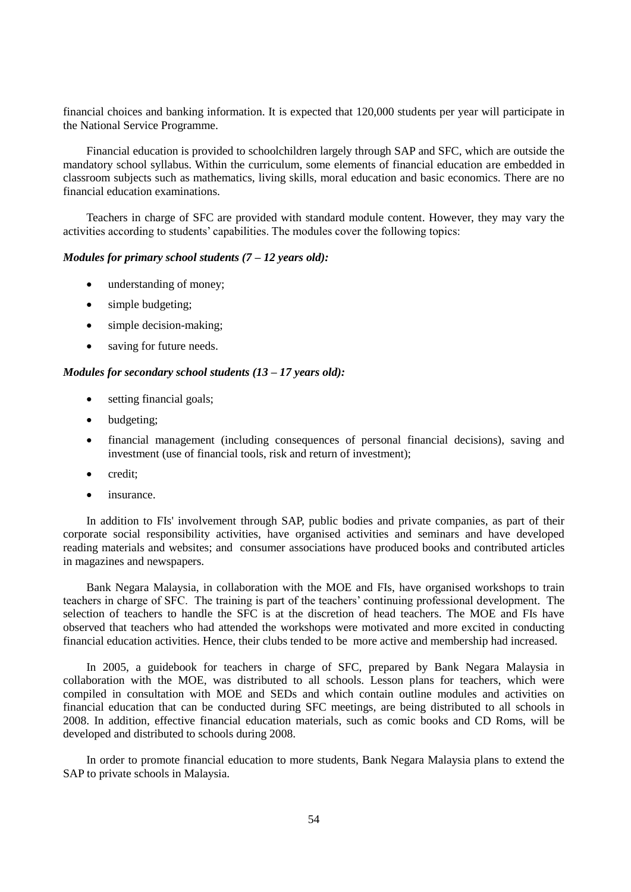financial choices and banking information. It is expected that 120,000 students per year will participate in the National Service Programme.

Financial education is provided to schoolchildren largely through SAP and SFC, which are outside the mandatory school syllabus. Within the curriculum, some elements of financial education are embedded in classroom subjects such as mathematics, living skills, moral education and basic economics. There are no financial education examinations.

Teachers in charge of SFC are provided with standard module content. However, they may vary the activities according to students" capabilities. The modules cover the following topics:

## *Modules for primary school students (7 – 12 years old):*

- understanding of money;
- simple budgeting;
- simple decision-making;
- saving for future needs.

### *Modules for secondary school students (13 – 17 years old):*

- setting financial goals;
- budgeting;
- financial management (including consequences of personal financial decisions), saving and investment (use of financial tools, risk and return of investment);
- credit;
- insurance.

In addition to FIs' involvement through SAP, public bodies and private companies, as part of their corporate social responsibility activities, have organised activities and seminars and have developed reading materials and websites; and consumer associations have produced books and contributed articles in magazines and newspapers.

Bank Negara Malaysia, in collaboration with the MOE and FIs, have organised workshops to train teachers in charge of SFC. The training is part of the teachers" continuing professional development. The selection of teachers to handle the SFC is at the discretion of head teachers. The MOE and FIs have observed that teachers who had attended the workshops were motivated and more excited in conducting financial education activities. Hence, their clubs tended to be more active and membership had increased.

In 2005, a guidebook for teachers in charge of SFC, prepared by Bank Negara Malaysia in collaboration with the MOE, was distributed to all schools. Lesson plans for teachers, which were compiled in consultation with MOE and SEDs and which contain outline modules and activities on financial education that can be conducted during SFC meetings, are being distributed to all schools in 2008. In addition, effective financial education materials, such as comic books and CD Roms, will be developed and distributed to schools during 2008.

In order to promote financial education to more students, Bank Negara Malaysia plans to extend the SAP to private schools in Malaysia.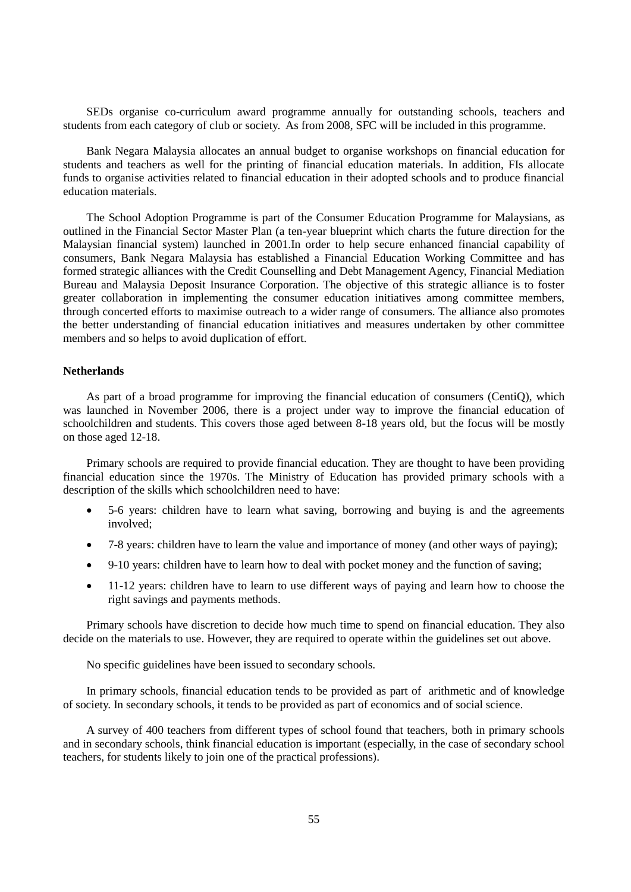SEDs organise co-curriculum award programme annually for outstanding schools, teachers and students from each category of club or society. As from 2008, SFC will be included in this programme.

Bank Negara Malaysia allocates an annual budget to organise workshops on financial education for students and teachers as well for the printing of financial education materials. In addition, FIs allocate funds to organise activities related to financial education in their adopted schools and to produce financial education materials.

The School Adoption Programme is part of the Consumer Education Programme for Malaysians, as outlined in the Financial Sector Master Plan (a ten-year blueprint which charts the future direction for the Malaysian financial system) launched in 2001.In order to help secure enhanced financial capability of consumers, Bank Negara Malaysia has established a Financial Education Working Committee and has formed strategic alliances with the Credit Counselling and Debt Management Agency, Financial Mediation Bureau and Malaysia Deposit Insurance Corporation. The objective of this strategic alliance is to foster greater collaboration in implementing the consumer education initiatives among committee members, through concerted efforts to maximise outreach to a wider range of consumers. The alliance also promotes the better understanding of financial education initiatives and measures undertaken by other committee members and so helps to avoid duplication of effort.

### **Netherlands**

As part of a broad programme for improving the financial education of consumers (CentiQ), which was launched in November 2006, there is a project under way to improve the financial education of schoolchildren and students. This covers those aged between 8-18 years old, but the focus will be mostly on those aged 12-18.

Primary schools are required to provide financial education. They are thought to have been providing financial education since the 1970s. The Ministry of Education has provided primary schools with a description of the skills which schoolchildren need to have:

- 5-6 years: children have to learn what saving, borrowing and buying is and the agreements involved;
- 7-8 years: children have to learn the value and importance of money (and other ways of paying);
- 9-10 years: children have to learn how to deal with pocket money and the function of saving;
- 11-12 years: children have to learn to use different ways of paying and learn how to choose the right savings and payments methods.

Primary schools have discretion to decide how much time to spend on financial education. They also decide on the materials to use. However, they are required to operate within the guidelines set out above.

No specific guidelines have been issued to secondary schools.

In primary schools, financial education tends to be provided as part of arithmetic and of knowledge of society. In secondary schools, it tends to be provided as part of economics and of social science.

A survey of 400 teachers from different types of school found that teachers, both in primary schools and in secondary schools, think financial education is important (especially, in the case of secondary school teachers, for students likely to join one of the practical professions).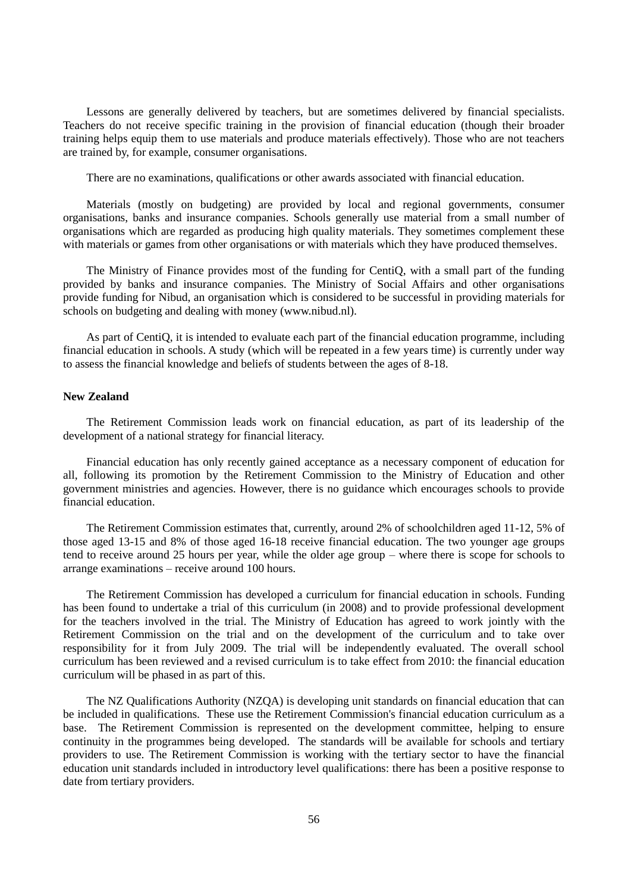Lessons are generally delivered by teachers, but are sometimes delivered by financial specialists. Teachers do not receive specific training in the provision of financial education (though their broader training helps equip them to use materials and produce materials effectively). Those who are not teachers are trained by, for example, consumer organisations.

There are no examinations, qualifications or other awards associated with financial education.

Materials (mostly on budgeting) are provided by local and regional governments, consumer organisations, banks and insurance companies. Schools generally use material from a small number of organisations which are regarded as producing high quality materials. They sometimes complement these with materials or games from other organisations or with materials which they have produced themselves.

The Ministry of Finance provides most of the funding for CentiQ, with a small part of the funding provided by banks and insurance companies. The Ministry of Social Affairs and other organisations provide funding for Nibud, an organisation which is considered to be successful in providing materials for schools on budgeting and dealing with money (www.nibud.nl).

As part of CentiQ, it is intended to evaluate each part of the financial education programme, including financial education in schools. A study (which will be repeated in a few years time) is currently under way to assess the financial knowledge and beliefs of students between the ages of 8-18.

### **New Zealand**

The Retirement Commission leads work on financial education, as part of its leadership of the development of a national strategy for financial literacy.

Financial education has only recently gained acceptance as a necessary component of education for all, following its promotion by the Retirement Commission to the Ministry of Education and other government ministries and agencies. However, there is no guidance which encourages schools to provide financial education.

The Retirement Commission estimates that, currently, around 2% of schoolchildren aged 11-12, 5% of those aged 13-15 and 8% of those aged 16-18 receive financial education. The two younger age groups tend to receive around 25 hours per year, while the older age group – where there is scope for schools to arrange examinations – receive around 100 hours.

The Retirement Commission has developed a curriculum for financial education in schools. Funding has been found to undertake a trial of this curriculum (in 2008) and to provide professional development for the teachers involved in the trial. The Ministry of Education has agreed to work jointly with the Retirement Commission on the trial and on the development of the curriculum and to take over responsibility for it from July 2009. The trial will be independently evaluated. The overall school curriculum has been reviewed and a revised curriculum is to take effect from 2010: the financial education curriculum will be phased in as part of this.

The NZ Qualifications Authority (NZQA) is developing unit standards on financial education that can be included in qualifications. These use the Retirement Commission's financial education curriculum as a base. The Retirement Commission is represented on the development committee, helping to ensure continuity in the programmes being developed. The standards will be available for schools and tertiary providers to use. The Retirement Commission is working with the tertiary sector to have the financial education unit standards included in introductory level qualifications: there has been a positive response to date from tertiary providers.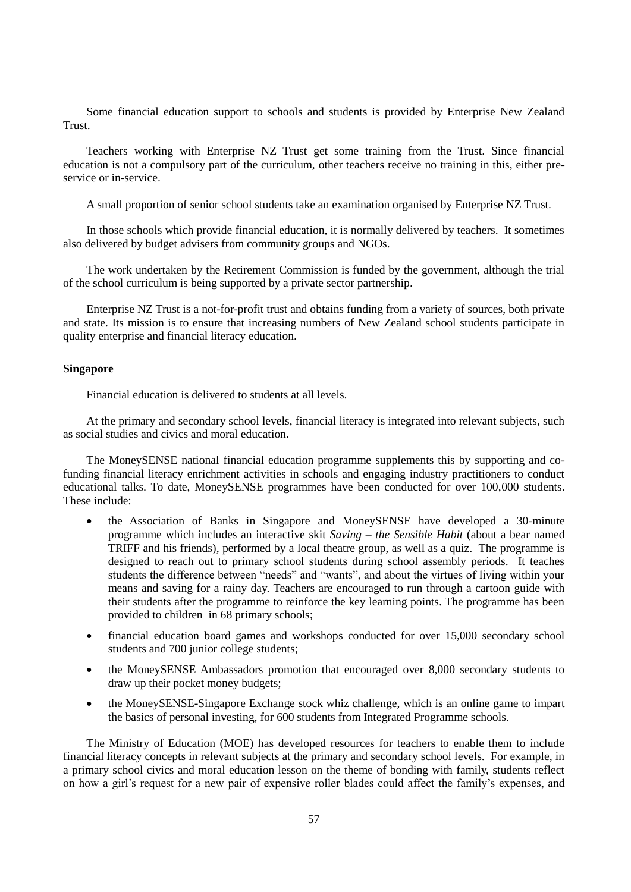Some financial education support to schools and students is provided by Enterprise New Zealand Trust.

Teachers working with Enterprise NZ Trust get some training from the Trust. Since financial education is not a compulsory part of the curriculum, other teachers receive no training in this, either preservice or in-service.

A small proportion of senior school students take an examination organised by Enterprise NZ Trust.

In those schools which provide financial education, it is normally delivered by teachers. It sometimes also delivered by budget advisers from community groups and NGOs.

The work undertaken by the Retirement Commission is funded by the government, although the trial of the school curriculum is being supported by a private sector partnership.

Enterprise NZ Trust is a not-for-profit trust and obtains funding from a variety of sources, both private and state. Its mission is to ensure that increasing numbers of New Zealand school students participate in quality enterprise and financial literacy education.

## **Singapore**

Financial education is delivered to students at all levels.

At the primary and secondary school levels, financial literacy is integrated into relevant subjects, such as social studies and civics and moral education.

The MoneySENSE national financial education programme supplements this by supporting and cofunding financial literacy enrichment activities in schools and engaging industry practitioners to conduct educational talks. To date, MoneySENSE programmes have been conducted for over 100,000 students. These include:

- the Association of Banks in Singapore and MoneySENSE have developed a 30-minute programme which includes an interactive skit *Saving – the Sensible Habit* (about a bear named TRIFF and his friends), performed by a local theatre group, as well as a quiz. The programme is designed to reach out to primary school students during school assembly periods. It teaches students the difference between "needs" and "wants", and about the virtues of living within your means and saving for a rainy day. Teachers are encouraged to run through a cartoon guide with their students after the programme to reinforce the key learning points. The programme has been provided to children in 68 primary schools;
- financial education board games and workshops conducted for over 15,000 secondary school students and 700 junior college students;
- the MoneySENSE Ambassadors promotion that encouraged over 8,000 secondary students to draw up their pocket money budgets;
- the MoneySENSE-Singapore Exchange stock whiz challenge, which is an online game to impart the basics of personal investing, for 600 students from Integrated Programme schools.

The Ministry of Education (MOE) has developed resources for teachers to enable them to include financial literacy concepts in relevant subjects at the primary and secondary school levels. For example, in a primary school civics and moral education lesson on the theme of bonding with family, students reflect on how a girl"s request for a new pair of expensive roller blades could affect the family"s expenses, and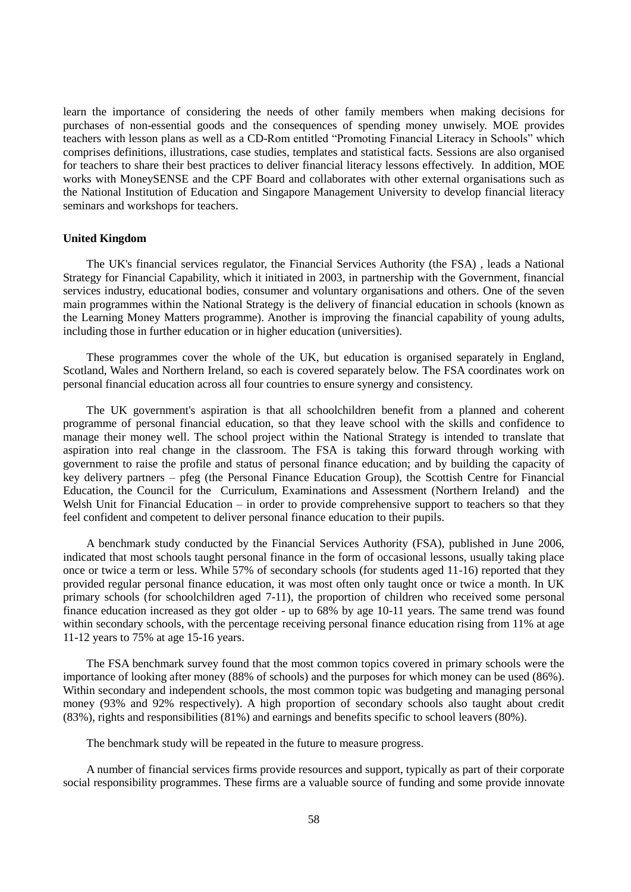learn the importance of considering the needs of other family members when making decisions for purchases of non-essential goods and the consequences of spending money unwisely. MOE provides teachers with lesson plans as well as a CD-Rom entitled "Promoting Financial Literacy in Schools" which comprises definitions, illustrations, case studies, templates and statistical facts. Sessions are also organised for teachers to share their best practices to deliver financial literacy lessons effectively. In addition, MOE works with MoneySENSE and the CPF Board and collaborates with other external organisations such as the National Institution of Education and Singapore Management University to develop financial literacy seminars and workshops for teachers.

## **United Kingdom**

The UK's financial services regulator, the Financial Services Authority (the FSA) , leads a National Strategy for Financial Capability, which it initiated in 2003, in partnership with the Government, financial services industry, educational bodies, consumer and voluntary organisations and others. One of the seven main programmes within the National Strategy is the delivery of financial education in schools (known as the Learning Money Matters programme). Another is improving the financial capability of young adults, including those in further education or in higher education (universities).

These programmes cover the whole of the UK, but education is organised separately in England, Scotland, Wales and Northern Ireland, so each is covered separately below. The FSA coordinates work on personal financial education across all four countries to ensure synergy and consistency.

The UK government's aspiration is that all schoolchildren benefit from a planned and coherent programme of personal financial education, so that they leave school with the skills and confidence to manage their money well. The school project within the National Strategy is intended to translate that aspiration into real change in the classroom. The FSA is taking this forward through working with government to raise the profile and status of personal finance education; and by building the capacity of key delivery partners – pfeg (the Personal Finance Education Group), the Scottish Centre for Financial Education, the Council for the Curriculum, Examinations and Assessment (Northern Ireland) and the Welsh Unit for Financial Education – in order to provide comprehensive support to teachers so that they feel confident and competent to deliver personal finance education to their pupils.

A benchmark study conducted by the Financial Services Authority (FSA), published in June 2006, indicated that most schools taught personal finance in the form of occasional lessons, usually taking place once or twice a term or less. While 57% of secondary schools (for students aged 11-16) reported that they provided regular personal finance education, it was most often only taught once or twice a month. In UK primary schools (for schoolchildren aged 7-11), the proportion of children who received some personal finance education increased as they got older - up to 68% by age 10-11 years. The same trend was found within secondary schools, with the percentage receiving personal finance education rising from 11% at age 11-12 years to 75% at age 15-16 years.

The FSA benchmark survey found that the most common topics covered in primary schools were the importance of looking after money (88% of schools) and the purposes for which money can be used (86%). Within secondary and independent schools, the most common topic was budgeting and managing personal money (93% and 92% respectively). A high proportion of secondary schools also taught about credit (83%), rights and responsibilities (81%) and earnings and benefits specific to school leavers (80%).

The benchmark study will be repeated in the future to measure progress.

A number of financial services firms provide resources and support, typically as part of their corporate social responsibility programmes. These firms are a valuable source of funding and some provide innovate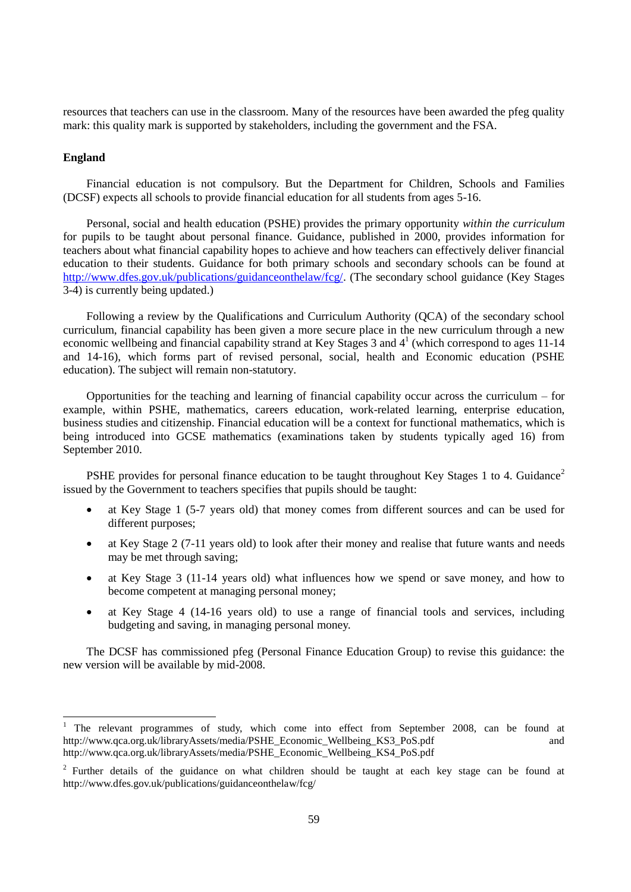resources that teachers can use in the classroom. Many of the resources have been awarded the pfeg quality mark: this quality mark is supported by stakeholders, including the government and the FSA.

## **England**

 $\overline{a}$ 

Financial education is not compulsory. But the Department for Children, Schools and Families (DCSF) expects all schools to provide financial education for all students from ages 5-16.

Personal, social and health education (PSHE) provides the primary opportunity *within the curriculum* for pupils to be taught about personal finance. Guidance, published in 2000, provides information for teachers about what financial capability hopes to achieve and how teachers can effectively deliver financial education to their students. Guidance for both primary schools and secondary schools can be found at [http://www.dfes.gov.uk/publications/guidanceonthelaw/fcg/.](http://www.dfes.gov.uk/publications/guidanceonthelaw/fcg/) (The secondary school guidance (Key Stages 3-4) is currently being updated.)

Following a review by the Qualifications and Curriculum Authority (QCA) of the secondary school curriculum, financial capability has been given a more secure place in the new curriculum through a new economic wellbeing and financial capability strand at Key Stages 3 and 4<sup>1</sup> (which correspond to ages 11-14 and 14-16), which forms part of revised personal, social, health and Economic education (PSHE education). The subject will remain non-statutory.

Opportunities for the teaching and learning of financial capability occur across the curriculum – for example, within PSHE, mathematics, careers education, work-related learning, enterprise education, business studies and citizenship. Financial education will be a context for functional mathematics, which is being introduced into GCSE mathematics (examinations taken by students typically aged 16) from September 2010.

PSHE provides for personal finance education to be taught throughout Key Stages 1 to 4. Guidance<sup>2</sup> issued by the Government to teachers specifies that pupils should be taught:

- at Key Stage 1 (5-7 years old) that money comes from different sources and can be used for different purposes;
- at Key Stage 2 (7-11 years old) to look after their money and realise that future wants and needs may be met through saving;
- at Key Stage 3 (11-14 years old) what influences how we spend or save money, and how to become competent at managing personal money;
- at Key Stage 4 (14-16 years old) to use a range of financial tools and services, including budgeting and saving, in managing personal money.

The DCSF has commissioned pfeg (Personal Finance Education Group) to revise this guidance: the new version will be available by mid-2008.

<sup>1</sup> The relevant programmes of study, which come into effect from September 2008, can be found at http://www.qca.org.uk/libraryAssets/media/PSHE\_Economic\_Wellbeing\_KS3\_PoS.pdf and http://www.qca.org.uk/libraryAssets/media/PSHE\_Economic\_Wellbeing\_KS4\_PoS.pdf

<sup>&</sup>lt;sup>2</sup> Further details of the guidance on what children should be taught at each key stage can be found at http://www.dfes.gov.uk/publications/guidanceonthelaw/fcg/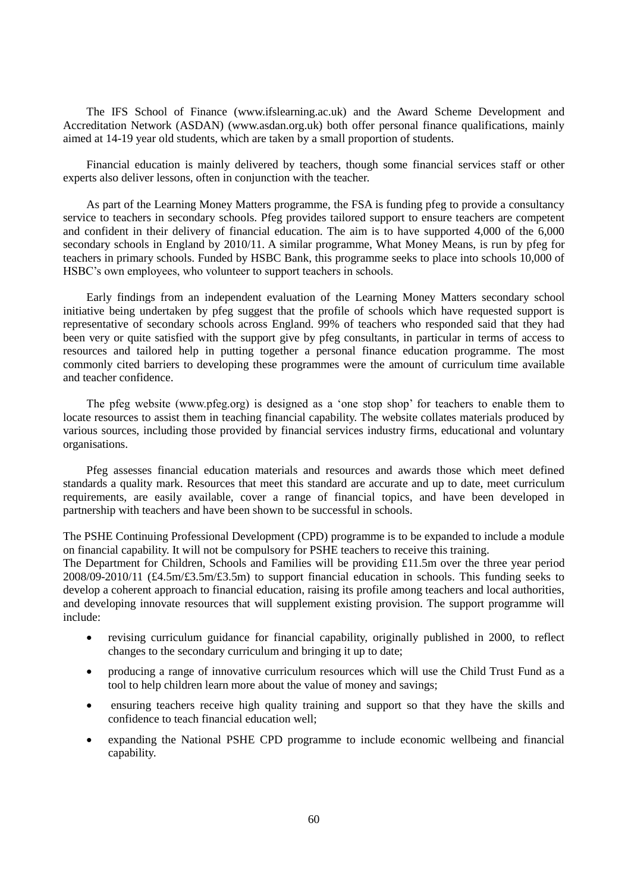The IFS School of Finance (www.ifslearning.ac.uk) and the Award Scheme Development and Accreditation Network (ASDAN) (www.asdan.org.uk) both offer personal finance qualifications, mainly aimed at 14-19 year old students, which are taken by a small proportion of students.

Financial education is mainly delivered by teachers, though some financial services staff or other experts also deliver lessons, often in conjunction with the teacher.

As part of the Learning Money Matters programme, the FSA is funding pfeg to provide a consultancy service to teachers in secondary schools. Pfeg provides tailored support to ensure teachers are competent and confident in their delivery of financial education. The aim is to have supported 4,000 of the 6,000 secondary schools in England by 2010/11. A similar programme, What Money Means, is run by pfeg for teachers in primary schools. Funded by HSBC Bank, this programme seeks to place into schools 10,000 of HSBC"s own employees, who volunteer to support teachers in schools.

Early findings from an independent evaluation of the Learning Money Matters secondary school initiative being undertaken by pfeg suggest that the profile of schools which have requested support is representative of secondary schools across England. 99% of teachers who responded said that they had been very or quite satisfied with the support give by pfeg consultants, in particular in terms of access to resources and tailored help in putting together a personal finance education programme. The most commonly cited barriers to developing these programmes were the amount of curriculum time available and teacher confidence.

The pfeg website (www.pfeg.org) is designed as a "one stop shop" for teachers to enable them to locate resources to assist them in teaching financial capability. The website collates materials produced by various sources, including those provided by financial services industry firms, educational and voluntary organisations.

Pfeg assesses financial education materials and resources and awards those which meet defined standards a quality mark. Resources that meet this standard are accurate and up to date, meet curriculum requirements, are easily available, cover a range of financial topics, and have been developed in partnership with teachers and have been shown to be successful in schools.

The PSHE Continuing Professional Development (CPD) programme is to be expanded to include a module on financial capability. It will not be compulsory for PSHE teachers to receive this training.

The Department for Children, Schools and Families will be providing £11.5m over the three year period  $2008/09-2010/11$  (£4.5m/£3.5m/£3.5m) to support financial education in schools. This funding seeks to develop a coherent approach to financial education, raising its profile among teachers and local authorities, and developing innovate resources that will supplement existing provision. The support programme will include:

- revising curriculum guidance for financial capability, originally published in 2000, to reflect changes to the secondary curriculum and bringing it up to date;
- producing a range of innovative curriculum resources which will use the Child Trust Fund as a tool to help children learn more about the value of money and savings;
- ensuring teachers receive high quality training and support so that they have the skills and confidence to teach financial education well;
- expanding the National PSHE CPD programme to include economic wellbeing and financial capability.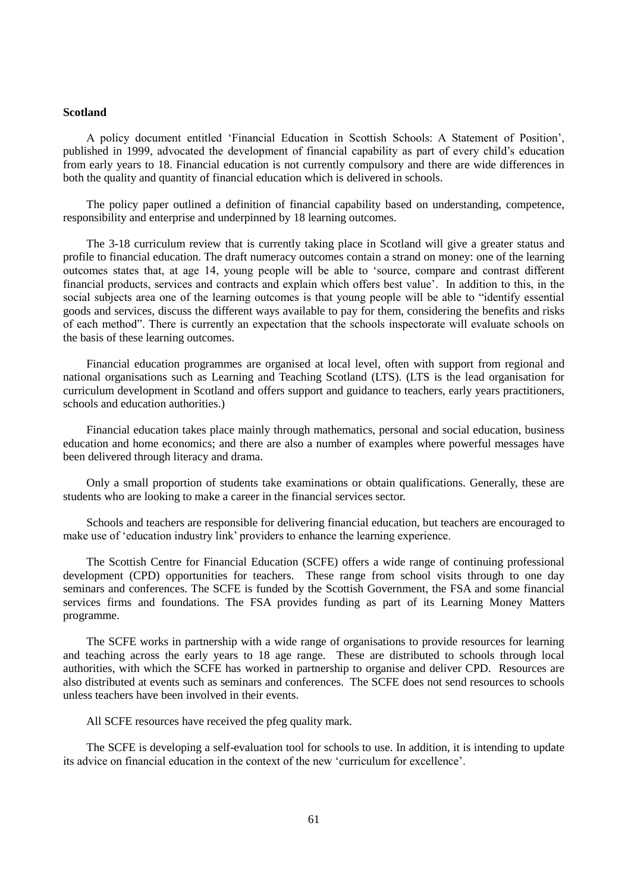#### **Scotland**

A policy document entitled "Financial Education in Scottish Schools: A Statement of Position", published in 1999, advocated the development of financial capability as part of every child"s education from early years to 18. Financial education is not currently compulsory and there are wide differences in both the quality and quantity of financial education which is delivered in schools.

The policy paper outlined a definition of financial capability based on understanding, competence, responsibility and enterprise and underpinned by 18 learning outcomes.

The 3-18 curriculum review that is currently taking place in Scotland will give a greater status and profile to financial education. The draft numeracy outcomes contain a strand on money: one of the learning outcomes states that, at age 14, young people will be able to "source, compare and contrast different financial products, services and contracts and explain which offers best value". In addition to this, in the social subjects area one of the learning outcomes is that young people will be able to "identify essential goods and services, discuss the different ways available to pay for them, considering the benefits and risks of each method". There is currently an expectation that the schools inspectorate will evaluate schools on the basis of these learning outcomes.

Financial education programmes are organised at local level, often with support from regional and national organisations such as Learning and Teaching Scotland (LTS). (LTS is the lead organisation for curriculum development in Scotland and offers support and guidance to teachers, early years practitioners, schools and education authorities.)

Financial education takes place mainly through mathematics, personal and social education, business education and home economics; and there are also a number of examples where powerful messages have been delivered through literacy and drama.

Only a small proportion of students take examinations or obtain qualifications. Generally, these are students who are looking to make a career in the financial services sector.

Schools and teachers are responsible for delivering financial education, but teachers are encouraged to make use of "education industry link" providers to enhance the learning experience.

The Scottish Centre for Financial Education (SCFE) offers a wide range of continuing professional development (CPD) opportunities for teachers. These range from school visits through to one day seminars and conferences. The SCFE is funded by the Scottish Government, the FSA and some financial services firms and foundations. The FSA provides funding as part of its Learning Money Matters programme.

The SCFE works in partnership with a wide range of organisations to provide resources for learning and teaching across the early years to 18 age range. These are distributed to schools through local authorities, with which the SCFE has worked in partnership to organise and deliver CPD. Resources are also distributed at events such as seminars and conferences. The SCFE does not send resources to schools unless teachers have been involved in their events.

All SCFE resources have received the pfeg quality mark.

The SCFE is developing a self-evaluation tool for schools to use. In addition, it is intending to update its advice on financial education in the context of the new "curriculum for excellence".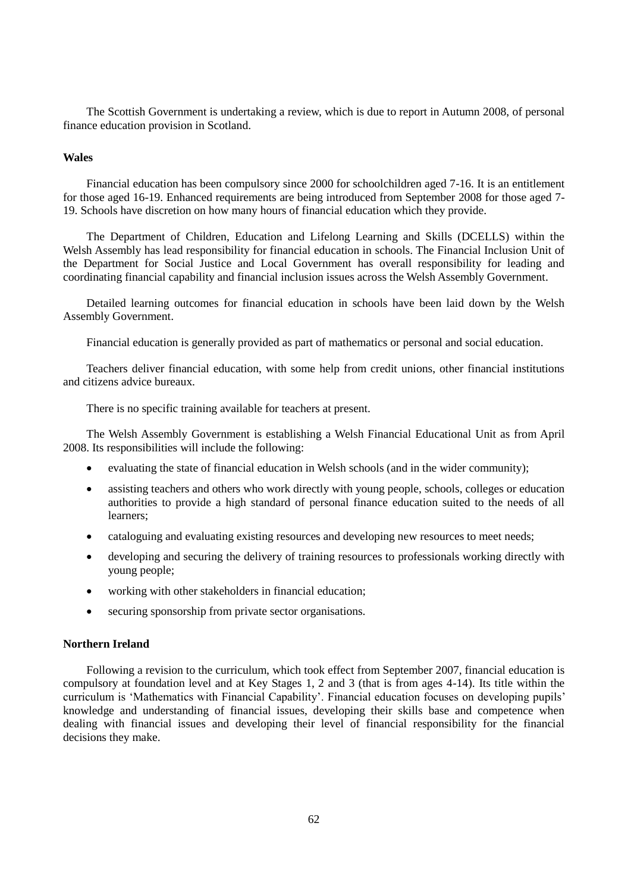The Scottish Government is undertaking a review, which is due to report in Autumn 2008, of personal finance education provision in Scotland.

## **Wales**

Financial education has been compulsory since 2000 for schoolchildren aged 7-16. It is an entitlement for those aged 16-19. Enhanced requirements are being introduced from September 2008 for those aged 7- 19. Schools have discretion on how many hours of financial education which they provide.

The Department of Children, Education and Lifelong Learning and Skills (DCELLS) within the Welsh Assembly has lead responsibility for financial education in schools. The Financial Inclusion Unit of the Department for Social Justice and Local Government has overall responsibility for leading and coordinating financial capability and financial inclusion issues across the Welsh Assembly Government.

Detailed learning outcomes for financial education in schools have been laid down by the Welsh Assembly Government.

Financial education is generally provided as part of mathematics or personal and social education.

Teachers deliver financial education, with some help from credit unions, other financial institutions and citizens advice bureaux.

There is no specific training available for teachers at present.

The Welsh Assembly Government is establishing a Welsh Financial Educational Unit as from April 2008. Its responsibilities will include the following:

- evaluating the state of financial education in Welsh schools (and in the wider community);
- assisting teachers and others who work directly with young people, schools, colleges or education authorities to provide a high standard of personal finance education suited to the needs of all learners;
- cataloguing and evaluating existing resources and developing new resources to meet needs;
- developing and securing the delivery of training resources to professionals working directly with young people;
- working with other stakeholders in financial education;
- securing sponsorship from private sector organisations.

## **Northern Ireland**

Following a revision to the curriculum, which took effect from September 2007, financial education is compulsory at foundation level and at Key Stages 1, 2 and 3 (that is from ages 4-14). Its title within the curriculum is 'Mathematics with Financial Capability'. Financial education focuses on developing pupils' knowledge and understanding of financial issues, developing their skills base and competence when dealing with financial issues and developing their level of financial responsibility for the financial decisions they make.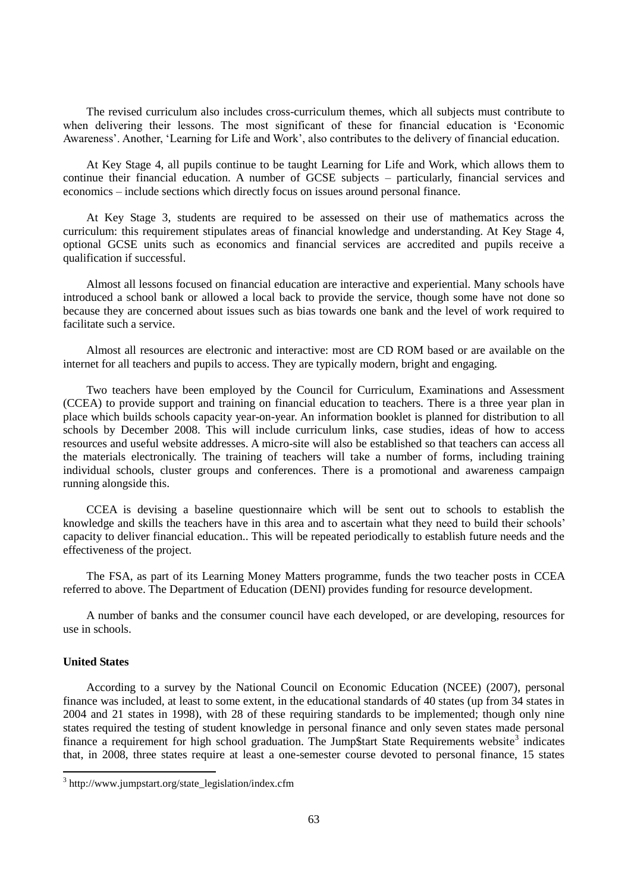The revised curriculum also includes cross-curriculum themes, which all subjects must contribute to when delivering their lessons. The most significant of these for financial education is "Economic Awareness'. Another, 'Learning for Life and Work', also contributes to the delivery of financial education.

At Key Stage 4, all pupils continue to be taught Learning for Life and Work, which allows them to continue their financial education. A number of GCSE subjects – particularly, financial services and economics – include sections which directly focus on issues around personal finance.

At Key Stage 3, students are required to be assessed on their use of mathematics across the curriculum: this requirement stipulates areas of financial knowledge and understanding. At Key Stage 4, optional GCSE units such as economics and financial services are accredited and pupils receive a qualification if successful.

Almost all lessons focused on financial education are interactive and experiential. Many schools have introduced a school bank or allowed a local back to provide the service, though some have not done so because they are concerned about issues such as bias towards one bank and the level of work required to facilitate such a service.

Almost all resources are electronic and interactive: most are CD ROM based or are available on the internet for all teachers and pupils to access. They are typically modern, bright and engaging.

Two teachers have been employed by the Council for Curriculum, Examinations and Assessment (CCEA) to provide support and training on financial education to teachers. There is a three year plan in place which builds schools capacity year-on-year. An information booklet is planned for distribution to all schools by December 2008. This will include curriculum links, case studies, ideas of how to access resources and useful website addresses. A micro-site will also be established so that teachers can access all the materials electronically. The training of teachers will take a number of forms, including training individual schools, cluster groups and conferences. There is a promotional and awareness campaign running alongside this.

CCEA is devising a baseline questionnaire which will be sent out to schools to establish the knowledge and skills the teachers have in this area and to ascertain what they need to build their schools" capacity to deliver financial education.. This will be repeated periodically to establish future needs and the effectiveness of the project.

The FSA, as part of its Learning Money Matters programme, funds the two teacher posts in CCEA referred to above. The Department of Education (DENI) provides funding for resource development.

A number of banks and the consumer council have each developed, or are developing, resources for use in schools.

### **United States**

l

According to a survey by the National Council on Economic Education (NCEE) (2007), personal finance was included, at least to some extent, in the educational standards of 40 states (up from 34 states in 2004 and 21 states in 1998), with 28 of these requiring standards to be implemented; though only nine states required the testing of student knowledge in personal finance and only seven states made personal finance a requirement for high school graduation. The Jump\$tart State Requirements website<sup>3</sup> indicates that, in 2008, three states require at least a one-semester course devoted to personal finance, 15 states

<sup>3</sup> http://www.jumpstart.org/state\_legislation/index.cfm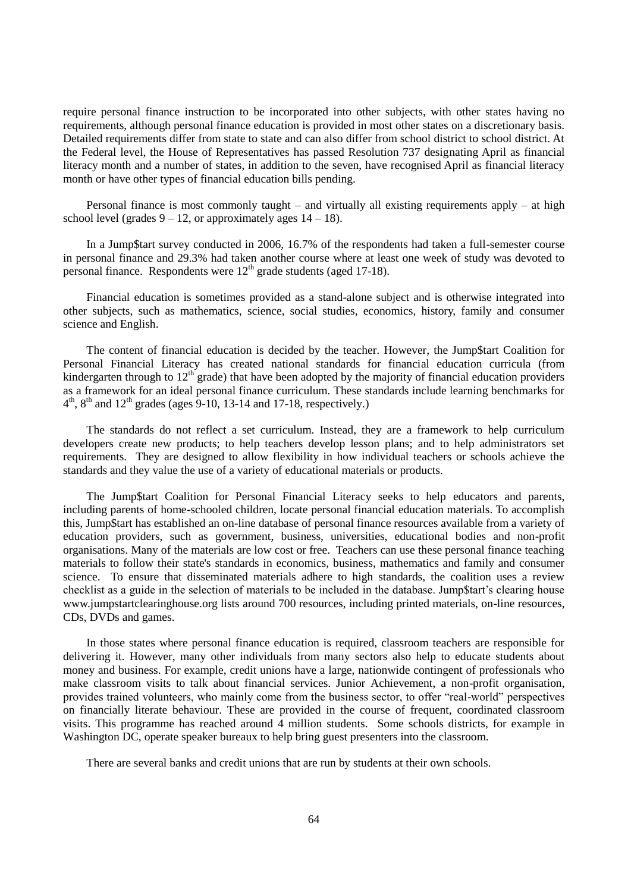require personal finance instruction to be incorporated into other subjects, with other states having no requirements, although personal finance education is provided in most other states on a discretionary basis. Detailed requirements differ from state to state and can also differ from school district to school district. At the Federal level, the House of Representatives has passed Resolution 737 designating April as financial literacy month and a number of states, in addition to the seven, have recognised April as financial literacy month or have other types of financial education bills pending.

Personal finance is most commonly taught – and virtually all existing requirements apply – at high school level (grades  $9 - 12$ , or approximately ages  $14 - 18$ ).

In a Jump\$tart survey conducted in 2006, 16.7% of the respondents had taken a full-semester course in personal finance and 29.3% had taken another course where at least one week of study was devoted to personal finance. Respondents were  $12<sup>th</sup>$  grade students (aged 17-18).

Financial education is sometimes provided as a stand-alone subject and is otherwise integrated into other subjects, such as mathematics, science, social studies, economics, history, family and consumer science and English.

The content of financial education is decided by the teacher. However, the Jump\$tart Coalition for Personal Financial Literacy has created national standards for financial education curricula (from kindergarten through to  $12<sup>th</sup>$  grade) that have been adopted by the majority of financial education providers as a framework for an ideal personal finance curriculum. These standards include learning benchmarks for  $4<sup>th</sup>$ ,  $8<sup>th</sup>$  and  $12<sup>th</sup>$  grades (ages 9-10, 13-14 and 17-18, respectively.)

The standards do not reflect a set curriculum. Instead, they are a framework to help curriculum developers create new products; to help teachers develop lesson plans; and to help administrators set requirements. They are designed to allow flexibility in how individual teachers or schools achieve the standards and they value the use of a variety of educational materials or products.

The Jump\$tart Coalition for Personal Financial Literacy seeks to help educators and parents, including parents of home-schooled children, locate personal financial education materials. To accomplish this, Jump\$tart has established an on-line database of personal finance resources available from a variety of education providers, such as government, business, universities, educational bodies and non-profit organisations. Many of the materials are low cost or free. Teachers can use these personal finance teaching materials to follow their state's standards in economics, business, mathematics and family and consumer science. To ensure that disseminated materials adhere to high standards, the coalition uses a review checklist as a guide in the selection of materials to be included in the database. Jump\$tart's clearing house www.jumpstartclearinghouse.org lists around 700 resources, including printed materials, on-line resources, CDs, DVDs and games.

In those states where personal finance education is required, classroom teachers are responsible for delivering it. However, many other individuals from many sectors also help to educate students about money and business. For example, credit unions have a large, nationwide contingent of professionals who make classroom visits to talk about financial services. Junior Achievement, a non-profit organisation, provides trained volunteers, who mainly come from the business sector, to offer "real-world" perspectives on financially literate behaviour. These are provided in the course of frequent, coordinated classroom visits. This programme has reached around 4 million students. Some schools districts, for example in Washington DC, operate speaker bureaux to help bring guest presenters into the classroom.

There are several banks and credit unions that are run by students at their own schools.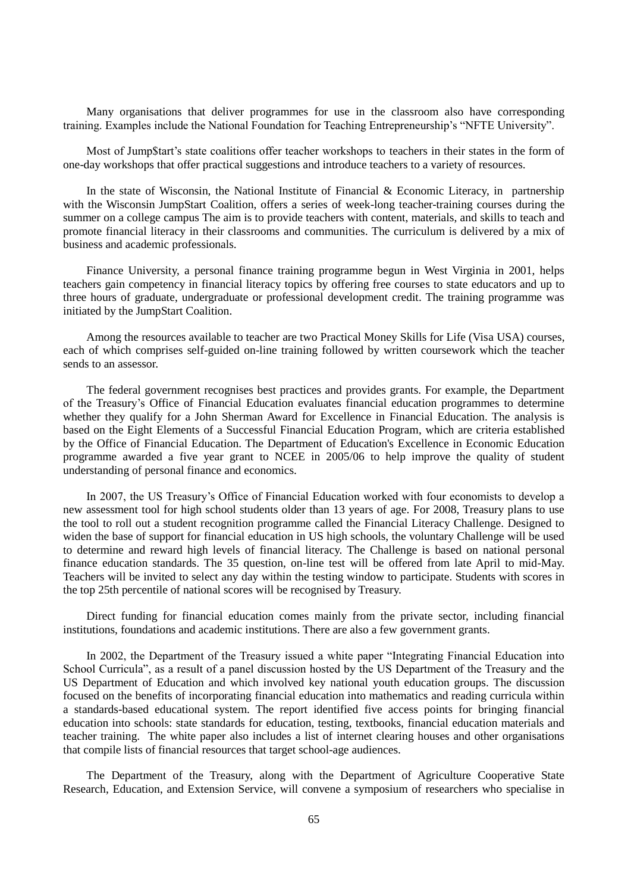Many organisations that deliver programmes for use in the classroom also have corresponding training. Examples include the National Foundation for Teaching Entrepreneurship"s "NFTE University".

Most of Jump\$tart's state coalitions offer teacher workshops to teachers in their states in the form of one-day workshops that offer practical suggestions and introduce teachers to a variety of resources.

In the state of Wisconsin, the National Institute of Financial  $\&$  Economic Literacy, in partnership with the Wisconsin JumpStart Coalition, offers a series of week-long teacher-training courses during the summer on a college campus The aim is to provide teachers with content, materials, and skills to teach and promote financial literacy in their classrooms and communities. The curriculum is delivered by a mix of business and academic professionals.

Finance University, a personal finance training programme begun in West Virginia in 2001, helps teachers gain competency in financial literacy topics by offering free courses to state educators and up to three hours of graduate, undergraduate or professional development credit. The training programme was initiated by the JumpStart Coalition.

Among the resources available to teacher are two Practical Money Skills for Life (Visa USA) courses, each of which comprises self-guided on-line training followed by written coursework which the teacher sends to an assessor.

The federal government recognises best practices and provides grants. For example, the Department of the Treasury"s Office of Financial Education evaluates financial education programmes to determine whether they qualify for a John Sherman Award for Excellence in Financial Education. The analysis is based on the Eight Elements of a Successful Financial Education Program, which are criteria established by the Office of Financial Education. The Department of Education's Excellence in Economic Education programme awarded a five year grant to NCEE in 2005/06 to help improve the quality of student understanding of personal finance and economics.

In 2007, the US Treasury"s Office of Financial Education worked with four economists to develop a new assessment tool for high school students older than 13 years of age. For 2008, Treasury plans to use the tool to roll out a student recognition programme called the Financial Literacy Challenge. Designed to widen the base of support for financial education in US high schools, the voluntary Challenge will be used to determine and reward high levels of financial literacy. The Challenge is based on national personal finance education standards. The 35 question, on-line test will be offered from late April to mid-May. Teachers will be invited to select any day within the testing window to participate. Students with scores in the top 25th percentile of national scores will be recognised by Treasury.

Direct funding for financial education comes mainly from the private sector, including financial institutions, foundations and academic institutions. There are also a few government grants.

In 2002, the Department of the Treasury issued a white paper "Integrating Financial Education into School Curricula", as a result of a panel discussion hosted by the US Department of the Treasury and the US Department of Education and which involved key national youth education groups. The discussion focused on the benefits of incorporating financial education into mathematics and reading curricula within a standards-based educational system. The report identified five access points for bringing financial education into schools: state standards for education, testing, textbooks, financial education materials and teacher training. The white paper also includes a list of internet clearing houses and other organisations that compile lists of financial resources that target school-age audiences.

The Department of the Treasury, along with the Department of Agriculture Cooperative State Research, Education, and Extension Service, will convene a symposium of researchers who specialise in